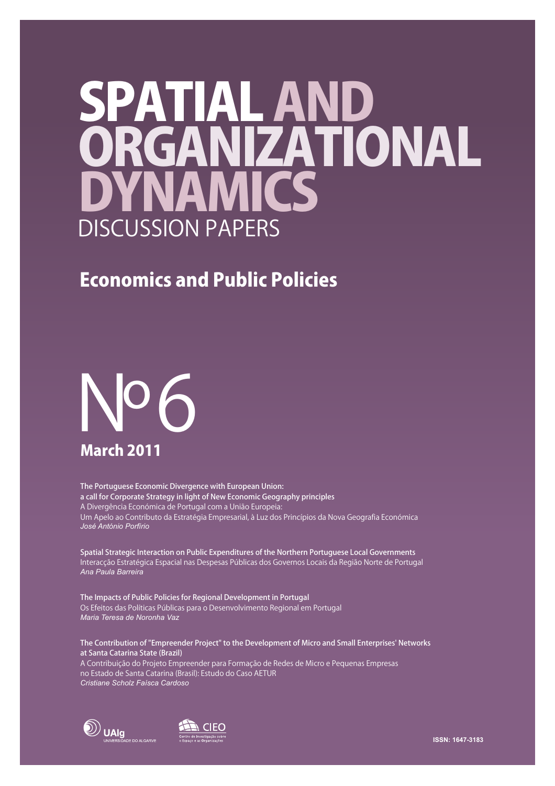# SPATIAL ANI **DYNAMICS** ORGANIZATIONAL DISCUSSION PAPERS

# Economics and Public Policies



The Portuguese Economic Divergence with European Union: a call for Corporate Strategy in light of New Economic Geography principles A Divergência Económica de Portugal com a União Europeia: Um Apelo ao Contributo da Estratégia Empresarial, à Luz dos Princípios da Nova Geografia Económica *José António Porfírio*

Spatial Strategic Interaction on Public Expenditures of the Northern Portuguese Local Governments Interacção Estratégica Espacial nas Despesas Públicas dos Governos Locais da Região Norte de Portugal *Ana Paula Barreira*

The Impacts of Public Policies for Regional Development in Portugal Os Efeitos das Políticas Públicas para o Desenvolvimento Regional em Portugal *Maria Teresa de Noronha Vaz*

The Contribution of "Empreender Project" to the Development of Micro and Small Enterprises' Networks at Santa Catarina State (Brazil)

A Contribuição do Projeto Empreender para Formação de Redes de Micro e Pequenas Empresas no Estado de Santa Catarina (Brasil): Estudo do Caso AETUR *Cristiane Scholz Faísca Cardoso*



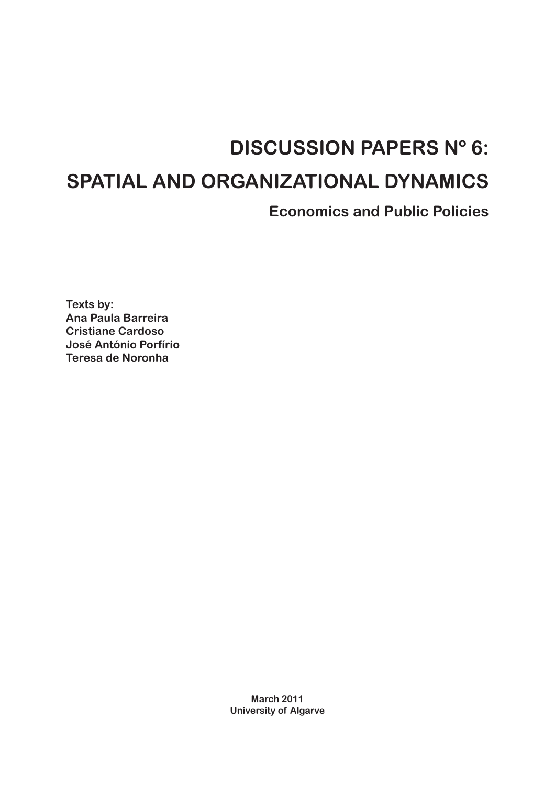# **DISCUSSION PAPERS Nº 6:**

# **SPATIAL AND ORGANIZATIONAL DYNAMICS**

**Economics and Public Policies**

**Texts by: Ana Paula Barreira Cristiane Cardoso José António Porfírio Teresa de Noronha**

> **March 2011 University of Algarve**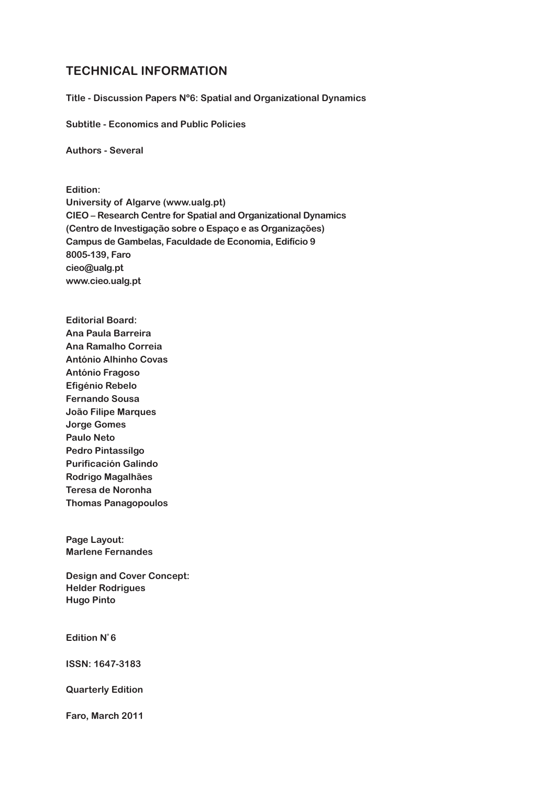### **TECHNICAL INFORMATION**

**Title - Discussion Papers Nº6: Spatial and Organizational Dynamics**

**Subtitle - Economics and Public Policies**

**Authors - Several**

**Edition: University of Algarve (www.ualg.pt) CIEO – Research Centre for Spatial and Organizational Dynamics (Centro de Investigação sobre o Espaço e as Organizações) Campus de Gambelas, Faculdade de Economia, Edifício 9 8005-139, Faro cieo@ualg.pt www.cieo.ualg.pt**

**Editorial Board: Ana Paula Barreira Ana Ramalho Correia António Alhinho Covas António Fragoso Efigénio Rebelo Fernando Sousa João Filipe Marques Jorge Gomes Paulo Neto Pedro Pintassílgo Purificación Galindo Rodrigo Magalhães Teresa de Noronha Thomas Panagopoulos**

**Page Layout: Marlene Fernandes**

**Design and Cover Concept: Helder Rodrigues Hugo Pinto**

**Edition Nº 6**

**ISSN: 1647-3183**

**Quarterly Edition**

**Faro, March 2011**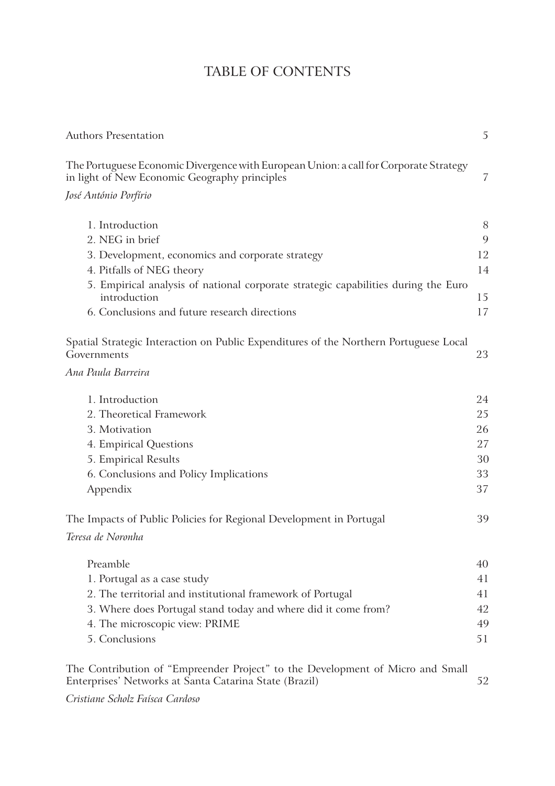# TABLE OF CONTENTS

| <b>Authors Presentation</b>                                                                                                              | 5  |
|------------------------------------------------------------------------------------------------------------------------------------------|----|
| The Portuguese Economic Divergence with European Union: a call for Corporate Strategy<br>in light of New Economic Geography principles   | 7  |
| José António Porfírio                                                                                                                    |    |
| 1. Introduction                                                                                                                          | 8  |
| 2. NEG in brief                                                                                                                          | 9  |
| 3. Development, economics and corporate strategy                                                                                         | 12 |
| 4. Pitfalls of NEG theory                                                                                                                | 14 |
| 5. Empirical analysis of national corporate strategic capabilities during the Euro<br>introduction                                       | 15 |
| 6. Conclusions and future research directions                                                                                            | 17 |
| Spatial Strategic Interaction on Public Expenditures of the Northern Portuguese Local<br>Governments                                     | 23 |
| Ana Paula Barreira                                                                                                                       |    |
| 1. Introduction                                                                                                                          | 24 |
| 2. Theoretical Framework                                                                                                                 | 25 |
| 3. Motivation                                                                                                                            | 26 |
| 4. Empirical Questions                                                                                                                   | 27 |
| 5. Empirical Results                                                                                                                     | 30 |
| 6. Conclusions and Policy Implications                                                                                                   | 33 |
| Appendix                                                                                                                                 | 37 |
| The Impacts of Public Policies for Regional Development in Portugal                                                                      | 39 |
| Teresa de Noronha                                                                                                                        |    |
| Preamble                                                                                                                                 | 40 |
| 1. Portugal as a case study                                                                                                              | 41 |
| 2. The territorial and institutional framework of Portugal                                                                               | 41 |
| 3. Where does Portugal stand today and where did it come from?                                                                           | 42 |
| 4. The microscopic view: PRIME                                                                                                           | 49 |
| 5. Conclusions                                                                                                                           | 51 |
| The Contribution of "Empreender Project" to the Development of Micro and Small<br>Enterprises' Networks at Santa Catarina State (Brazil) | 52 |

*Cristiane Scholz Faísca Cardoso*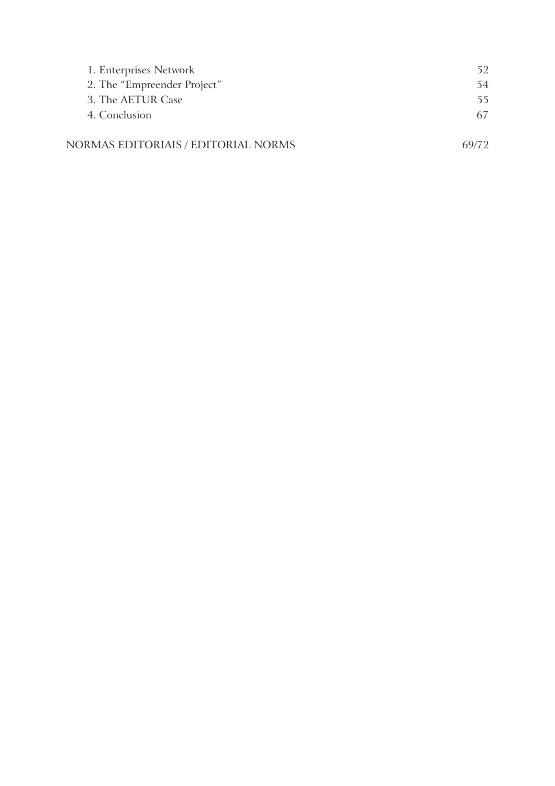| 1. Enterprises Network              | 52.   |
|-------------------------------------|-------|
| 2. The "Empreender Project"         | 54    |
| 3. The AETUR Case                   | 55.   |
| 4. Conclusion                       | 67    |
|                                     |       |
| NORMAS EDITORIAIS / EDITORIAL NORMS | 69/72 |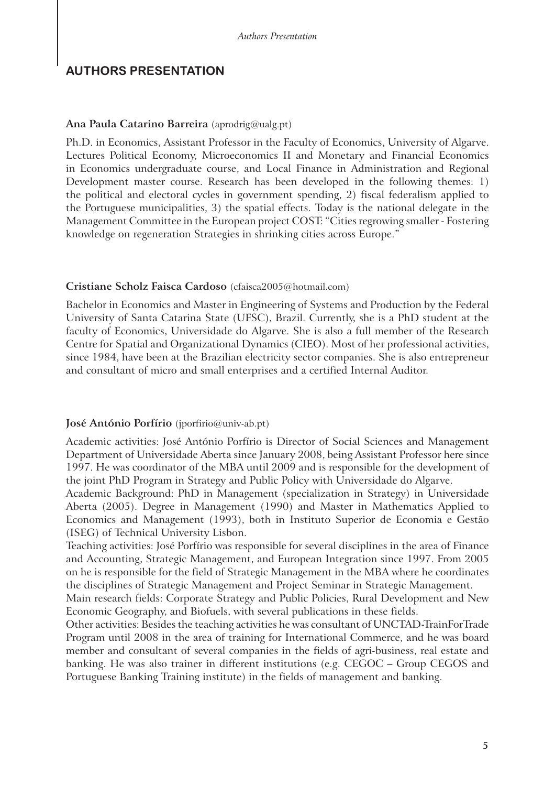## **AUTHORS PRESENTATION**

#### **Ana Paula Catarino Barreira** (aprodrig@ualg.pt)

Ph.D. in Economics, Assistant Professor in the Faculty of Economics, University of Algarve. Lectures Political Economy, Microeconomics II and Monetary and Financial Economics in Economics undergraduate course, and Local Finance in Administration and Regional Development master course. Research has been developed in the following themes: 1) the political and electoral cycles in government spending, 2) fiscal federalism applied to the Portuguese municipalities, 3) the spatial effects. Today is the national delegate in the Management Committee in the European project COST: "Cities regrowing smaller - Fostering knowledge on regeneration Strategies in shrinking cities across Europe."

#### **Cristiane Scholz Faisca Cardoso** (cfaisca2005@hotmail.com)

Bachelor in Economics and Master in Engineering of Systems and Production by the Federal University of Santa Catarina State (UFSC), Brazil. Currently, she is a PhD student at the faculty of Economics, Universidade do Algarve. She is also a full member of the Research Centre for Spatial and Organizational Dynamics (CIEO). Most of her professional activities, since 1984, have been at the Brazilian electricity sector companies. She is also entrepreneur and consultant of micro and small enterprises and a certified Internal Auditor.

#### **José António Porfírio** (jporfirio@univ-ab.pt)

Academic activities: José António Porfírio is Director of Social Sciences and Management Department of Universidade Aberta since January 2008, being Assistant Professor here since 1997. He was coordinator of the MBA until 2009 and is responsible for the development of the joint PhD Program in Strategy and Public Policy with Universidade do Algarve.

Academic Background: PhD in Management (specialization in Strategy) in Universidade Aberta (2005). Degree in Management (1990) and Master in Mathematics Applied to Economics and Management (1993), both in Instituto Superior de Economia e Gestão (ISEG) of Technical University Lisbon.

Teaching activities: José Porfírio was responsible for several disciplines in the area of Finance and Accounting, Strategic Management, and European Integration since 1997. From 2005 on he is responsible for the field of Strategic Management in the MBA where he coordinates the disciplines of Strategic Management and Project Seminar in Strategic Management.

Main research fields: Corporate Strategy and Public Policies, Rural Development and New Economic Geography, and Biofuels, with several publications in these fields.

Other activities: Besides the teaching activities he was consultant of UNCTAD-TrainForTrade Program until 2008 in the area of training for International Commerce, and he was board member and consultant of several companies in the fields of agri-business, real estate and banking. He was also trainer in different institutions (e.g. CEGOC – Group CEGOS and Portuguese Banking Training institute) in the fields of management and banking.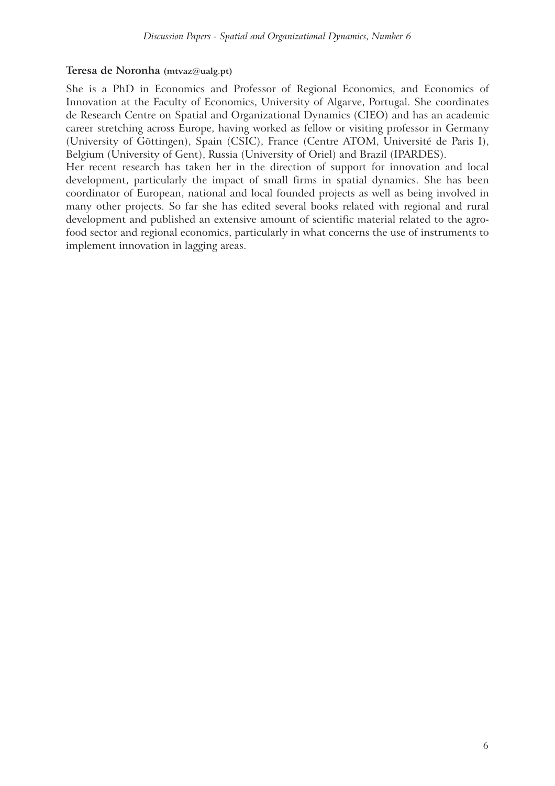#### **Teresa de Noronha (mtvaz@ualg.pt)**

She is a PhD in Economics and Professor of Regional Economics, and Economics of Innovation at the Faculty of Economics, University of Algarve, Portugal. She coordinates de Research Centre on Spatial and Organizational Dynamics (CIEO) and has an academic career stretching across Europe, having worked as fellow or visiting professor in Germany (University of Göttingen), Spain (CSIC), France (Centre ATOM, Université de Paris I), Belgium (University of Gent), Russia (University of Oriel) and Brazil (IPARDES).

Her recent research has taken her in the direction of support for innovation and local development, particularly the impact of small firms in spatial dynamics. She has been coordinator of European, national and local founded projects as well as being involved in many other projects. So far she has edited several books related with regional and rural development and published an extensive amount of scientific material related to the agrofood sector and regional economics, particularly in what concerns the use of instruments to implement innovation in lagging areas.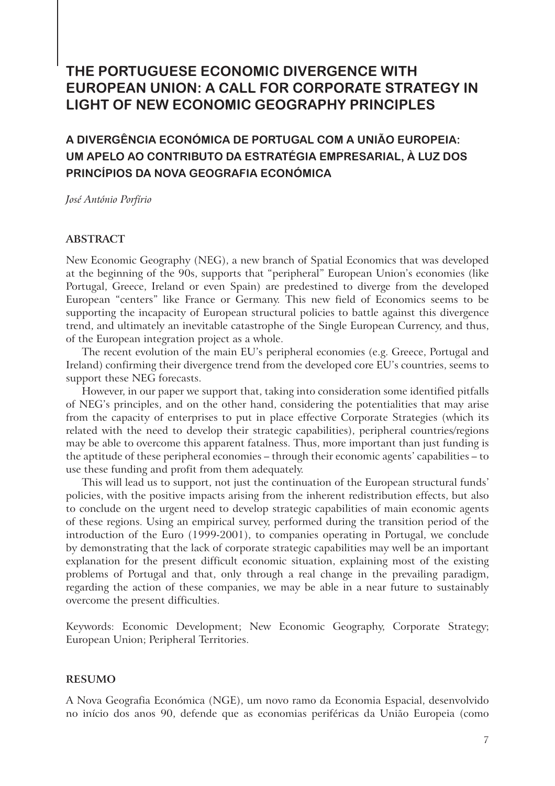## **THE PORTUGUESE ECONOMIC DIVERGENCE WITH EUROPEAN UNION: A CALL FOR CORPORATE STRATEGY IN LIGHT OF NEW ECONOMIC GEOGRAPHY PRINCIPLES**

## **A DIVERGÊNCIA ECONÓMICA DE PORTUGAL COM A UNIÃO EUROPEIA: UM APELO AO CONTRIBUTO DA ESTRATÉGIA EMPRESARIAL, À LUZ DOS PRINCÍPIOS DA NOVA GEOGRAFIA ECONÓMICA**

*José António Porfírio*

#### **ABSTRACT**

New Economic Geography (NEG), a new branch of Spatial Economics that was developed at the beginning of the 90s, supports that "peripheral" European Union's economies (like Portugal, Greece, Ireland or even Spain) are predestined to diverge from the developed European "centers" like France or Germany. This new field of Economics seems to be supporting the incapacity of European structural policies to battle against this divergence trend, and ultimately an inevitable catastrophe of the Single European Currency, and thus, of the European integration project as a whole.

The recent evolution of the main EU's peripheral economies (e.g. Greece, Portugal and Ireland) confirming their divergence trend from the developed core EU's countries, seems to support these NEG forecasts.

However, in our paper we support that, taking into consideration some identified pitfalls of NEG's principles, and on the other hand, considering the potentialities that may arise from the capacity of enterprises to put in place effective Corporate Strategies (which its related with the need to develop their strategic capabilities), peripheral countries/regions may be able to overcome this apparent fatalness. Thus, more important than just funding is the aptitude of these peripheral economies – through their economic agents' capabilities – to use these funding and profit from them adequately.

This will lead us to support, not just the continuation of the European structural funds' policies, with the positive impacts arising from the inherent redistribution effects, but also to conclude on the urgent need to develop strategic capabilities of main economic agents of these regions. Using an empirical survey, performed during the transition period of the introduction of the Euro (1999-2001), to companies operating in Portugal, we conclude by demonstrating that the lack of corporate strategic capabilities may well be an important explanation for the present difficult economic situation, explaining most of the existing problems of Portugal and that, only through a real change in the prevailing paradigm, regarding the action of these companies, we may be able in a near future to sustainably overcome the present difficulties.

Keywords: Economic Development; New Economic Geography, Corporate Strategy; European Union; Peripheral Territories.

#### **RESUMO**

A Nova Geografia Económica (NGE), um novo ramo da Economia Espacial, desenvolvido no início dos anos 90, defende que as economias periféricas da União Europeia (como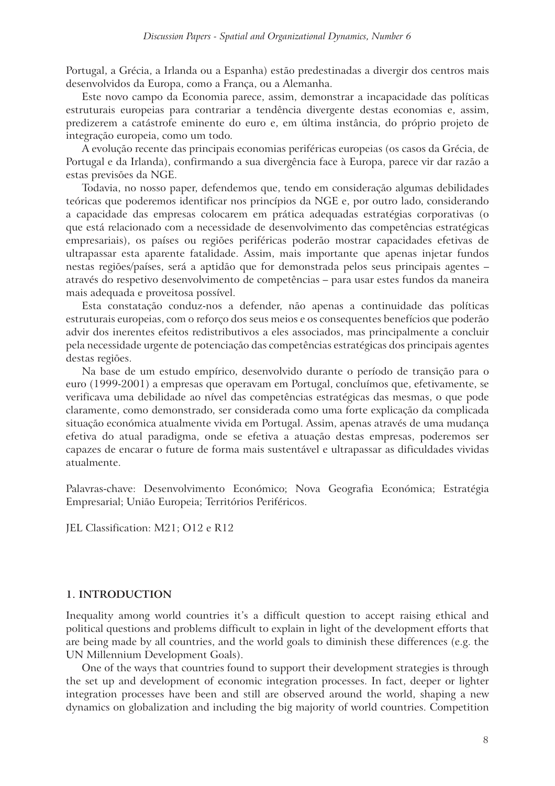Portugal, a Grécia, a Irlanda ou a Espanha) estão predestinadas a divergir dos centros mais desenvolvidos da Europa, como a França, ou a Alemanha.

Este novo campo da Economia parece, assim, demonstrar a incapacidade das políticas estruturais europeias para contrariar a tendência divergente destas economias e, assim, predizerem a catástrofe eminente do euro e, em última instância, do próprio projeto de integração europeia, como um todo.

A evolução recente das principais economias periféricas europeias (os casos da Grécia, de Portugal e da Irlanda), confirmando a sua divergência face à Europa, parece vir dar razão a estas previsões da NGE.

Todavia, no nosso paper, defendemos que, tendo em consideração algumas debilidades teóricas que poderemos identificar nos princípios da NGE e, por outro lado, considerando a capacidade das empresas colocarem em prática adequadas estratégias corporativas (o que está relacionado com a necessidade de desenvolvimento das competências estratégicas empresariais), os países ou regiões periféricas poderão mostrar capacidades efetivas de ultrapassar esta aparente fatalidade. Assim, mais importante que apenas injetar fundos nestas regiões/países, será a aptidão que for demonstrada pelos seus principais agentes – através do respetivo desenvolvimento de competências – para usar estes fundos da maneira mais adequada e proveitosa possível.

Esta constatação conduz-nos a defender, não apenas a continuidade das políticas estruturais europeias, com o reforço dos seus meios e os consequentes benefícios que poderão advir dos inerentes efeitos redistributivos a eles associados, mas principalmente a concluir pela necessidade urgente de potenciação das competências estratégicas dos principais agentes destas regiões.

Na base de um estudo empírico, desenvolvido durante o período de transição para o euro (1999-2001) a empresas que operavam em Portugal, concluímos que, efetivamente, se verificava uma debilidade ao nível das competências estratégicas das mesmas, o que pode claramente, como demonstrado, ser considerada como uma forte explicação da complicada situação económica atualmente vivida em Portugal. Assim, apenas através de uma mudança efetiva do atual paradigma, onde se efetiva a atuação destas empresas, poderemos ser capazes de encarar o future de forma mais sustentável e ultrapassar as dificuldades vividas atualmente.

Palavras-chave: Desenvolvimento Económico; Nova Geografia Económica; Estratégia Empresarial; União Europeia; Territórios Periféricos.

JEL Classification: M21; O12 e R12

#### **1. INTRODUCTION**

Inequality among world countries it's a difficult question to accept raising ethical and political questions and problems difficult to explain in light of the development efforts that are being made by all countries, and the world goals to diminish these differences (e.g. the UN Millennium Development Goals).

One of the ways that countries found to support their development strategies is through the set up and development of economic integration processes. In fact, deeper or lighter integration processes have been and still are observed around the world, shaping a new dynamics on globalization and including the big majority of world countries. Competition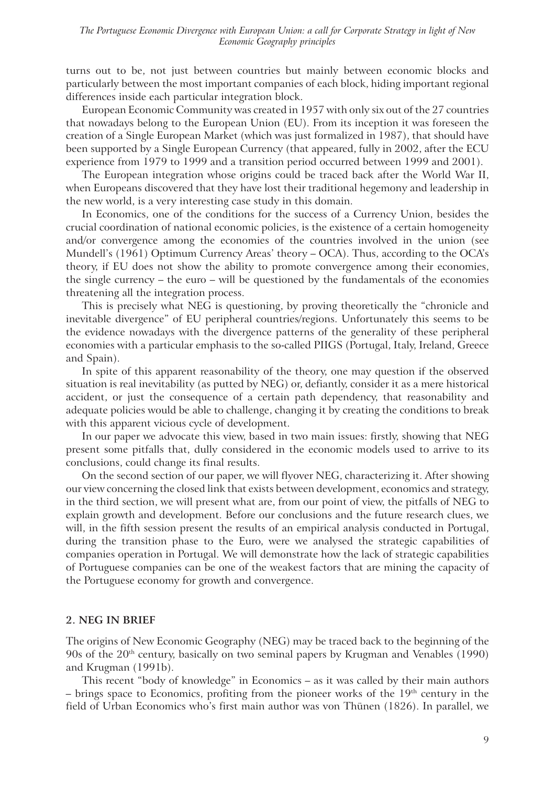turns out to be, not just between countries but mainly between economic blocks and particularly between the most important companies of each block, hiding important regional differences inside each particular integration block.

European Economic Community was created in 1957 with only six out of the 27 countries that nowadays belong to the European Union (EU). From its inception it was foreseen the creation of a Single European Market (which was just formalized in 1987), that should have been supported by a Single European Currency (that appeared, fully in 2002, after the ECU experience from 1979 to 1999 and a transition period occurred between 1999 and 2001).

The European integration whose origins could be traced back after the World War II, when Europeans discovered that they have lost their traditional hegemony and leadership in the new world, is a very interesting case study in this domain.

In Economics, one of the conditions for the success of a Currency Union, besides the crucial coordination of national economic policies, is the existence of a certain homogeneity and/or convergence among the economies of the countries involved in the union (see Mundell's (1961) Optimum Currency Areas' theory – OCA). Thus, according to the OCA's theory, if EU does not show the ability to promote convergence among their economies, the single currency – the euro – will be questioned by the fundamentals of the economies threatening all the integration process.

This is precisely what NEG is questioning, by proving theoretically the "chronicle and inevitable divergence" of EU peripheral countries/regions. Unfortunately this seems to be the evidence nowadays with the divergence patterns of the generality of these peripheral economies with a particular emphasis to the so-called PIIGS (Portugal, Italy, Ireland, Greece and Spain).

In spite of this apparent reasonability of the theory, one may question if the observed situation is real inevitability (as putted by NEG) or, defiantly, consider it as a mere historical accident, or just the consequence of a certain path dependency, that reasonability and adequate policies would be able to challenge, changing it by creating the conditions to break with this apparent vicious cycle of development.

In our paper we advocate this view, based in two main issues: firstly, showing that NEG present some pitfalls that, dully considered in the economic models used to arrive to its conclusions, could change its final results.

On the second section of our paper, we will flyover NEG, characterizing it. After showing our view concerning the closed link that exists between development, economics and strategy, in the third section, we will present what are, from our point of view, the pitfalls of NEG to explain growth and development. Before our conclusions and the future research clues, we will, in the fifth session present the results of an empirical analysis conducted in Portugal, during the transition phase to the Euro, were we analysed the strategic capabilities of companies operation in Portugal. We will demonstrate how the lack of strategic capabilities of Portuguese companies can be one of the weakest factors that are mining the capacity of the Portuguese economy for growth and convergence.

#### **2. NEG IN BRIEF**

The origins of New Economic Geography (NEG) may be traced back to the beginning of the 90s of the 20th century, basically on two seminal papers by Krugman and Venables (1990) and Krugman (1991b).

This recent "body of knowledge" in Economics – as it was called by their main authors  $-$  brings space to Economics, profiting from the pioneer works of the  $19<sup>th</sup>$  century in the field of Urban Economics who's first main author was von Thünen (1826). In parallel, we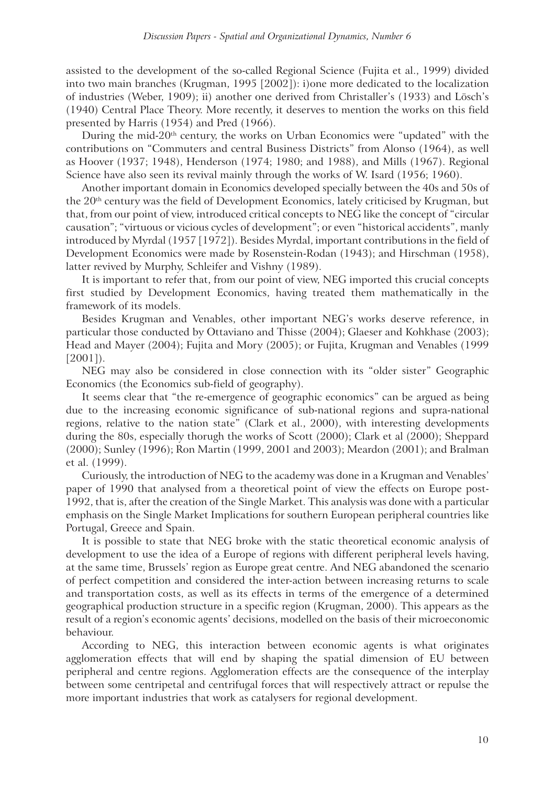assisted to the development of the so-called Regional Science (Fujita et al., 1999) divided into two main branches (Krugman, 1995 [2002]): i)one more dedicated to the localization of industries (Weber, 1909); ii) another one derived from Christaller's (1933) and Lösch's (1940) Central Place Theory. More recently, it deserves to mention the works on this field presented by Harris (1954) and Pred (1966).

During the mid-20<sup>th</sup> century, the works on Urban Economics were "updated" with the contributions on "Commuters and central Business Districts" from Alonso (1964), as well as Hoover (1937; 1948), Henderson (1974; 1980; and 1988), and Mills (1967). Regional Science have also seen its revival mainly through the works of W. Isard (1956; 1960).

Another important domain in Economics developed specially between the 40s and 50s of the 20<sup>th</sup> century was the field of Development Economics, lately criticised by Krugman, but that, from our point of view, introduced critical concepts to NEG like the concept of "circular causation"; "virtuous or vicious cycles of development"; or even "historical accidents", manly introduced by Myrdal (1957 [1972]). Besides Myrdal, important contributions in the field of Development Economics were made by Rosenstein-Rodan (1943); and Hirschman (1958), latter revived by Murphy, Schleifer and Vishny (1989).

It is important to refer that, from our point of view, NEG imported this crucial concepts first studied by Development Economics, having treated them mathematically in the framework of its models.

Besides Krugman and Venables, other important NEG's works deserve reference, in particular those conducted by Ottaviano and Thisse (2004); Glaeser and Kohkhase (2003); Head and Mayer (2004); Fujita and Mory (2005); or Fujita, Krugman and Venables (1999 [2001]).

NEG may also be considered in close connection with its "older sister" Geographic Economics (the Economics sub-field of geography).

It seems clear that "the re-emergence of geographic economics" can be argued as being due to the increasing economic significance of sub-national regions and supra-national regions, relative to the nation state" (Clark et al., 2000), with interesting developments during the 80s, especially thorugh the works of Scott (2000); Clark et al (2000); Sheppard (2000); Sunley (1996); Ron Martin (1999, 2001 and 2003); Meardon (2001); and Bralman et al. (1999).

Curiously, the introduction of NEG to the academy was done in a Krugman and Venables' paper of 1990 that analysed from a theoretical point of view the effects on Europe post-1992, that is, after the creation of the Single Market. This analysis was done with a particular emphasis on the Single Market Implications for southern European peripheral countries like Portugal, Greece and Spain.

It is possible to state that NEG broke with the static theoretical economic analysis of development to use the idea of a Europe of regions with different peripheral levels having, at the same time, Brussels' region as Europe great centre. And NEG abandoned the scenario of perfect competition and considered the inter-action between increasing returns to scale and transportation costs, as well as its effects in terms of the emergence of a determined geographical production structure in a specific region (Krugman, 2000). This appears as the result of a region's economic agents' decisions, modelled on the basis of their microeconomic behaviour.

According to NEG, this interaction between economic agents is what originates agglomeration effects that will end by shaping the spatial dimension of EU between peripheral and centre regions. Agglomeration effects are the consequence of the interplay between some centripetal and centrifugal forces that will respectively attract or repulse the more important industries that work as catalysers for regional development.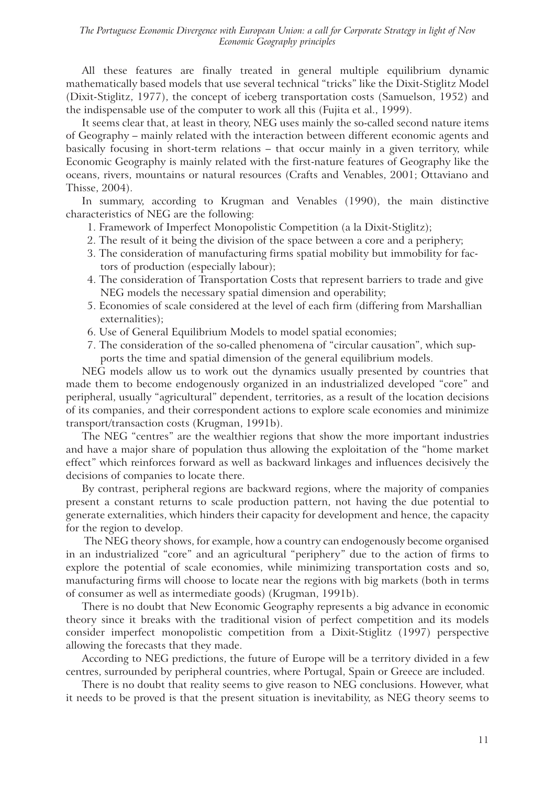All these features are finally treated in general multiple equilibrium dynamic mathematically based models that use several technical "tricks" like the Dixit-Stiglitz Model (Dixit-Stiglitz, 1977), the concept of iceberg transportation costs (Samuelson, 1952) and the indispensable use of the computer to work all this (Fujita et al., 1999).

It seems clear that, at least in theory, NEG uses mainly the so-called second nature items of Geography – mainly related with the interaction between different economic agents and basically focusing in short-term relations – that occur mainly in a given territory, while Economic Geography is mainly related with the first-nature features of Geography like the oceans, rivers, mountains or natural resources (Crafts and Venables, 2001; Ottaviano and Thisse, 2004).

In summary, according to Krugman and Venables (1990), the main distinctive characteristics of NEG are the following:

- 1. Framework of Imperfect Monopolistic Competition (a la Dixit-Stiglitz);
- 2. The result of it being the division of the space between a core and a periphery;
- 3. The consideration of manufacturing firms spatial mobility but immobility for factors of production (especially labour);
- 4. The consideration of Transportation Costs that represent barriers to trade and give NEG models the necessary spatial dimension and operability;
- 5. Economies of scale considered at the level of each firm (differing from Marshallian externalities);
- 6. Use of General Equilibrium Models to model spatial economies;
- 7. The consideration of the so-called phenomena of "circular causation", which supports the time and spatial dimension of the general equilibrium models.

NEG models allow us to work out the dynamics usually presented by countries that made them to become endogenously organized in an industrialized developed "core" and peripheral, usually "agricultural" dependent, territories, as a result of the location decisions of its companies, and their correspondent actions to explore scale economies and minimize transport/transaction costs (Krugman, 1991b).

The NEG "centres" are the wealthier regions that show the more important industries and have a major share of population thus allowing the exploitation of the "home market effect" which reinforces forward as well as backward linkages and influences decisively the decisions of companies to locate there.

By contrast, peripheral regions are backward regions, where the majority of companies present a constant returns to scale production pattern, not having the due potential to generate externalities, which hinders their capacity for development and hence, the capacity for the region to develop.

 The NEG theory shows, for example, how a country can endogenously become organised in an industrialized "core" and an agricultural "periphery" due to the action of firms to explore the potential of scale economies, while minimizing transportation costs and so, manufacturing firms will choose to locate near the regions with big markets (both in terms of consumer as well as intermediate goods) (Krugman, 1991b).

There is no doubt that New Economic Geography represents a big advance in economic theory since it breaks with the traditional vision of perfect competition and its models consider imperfect monopolistic competition from a Dixit-Stiglitz (1997) perspective allowing the forecasts that they made.

According to NEG predictions, the future of Europe will be a territory divided in a few centres, surrounded by peripheral countries, where Portugal, Spain or Greece are included.

There is no doubt that reality seems to give reason to NEG conclusions. However, what it needs to be proved is that the present situation is inevitability, as NEG theory seems to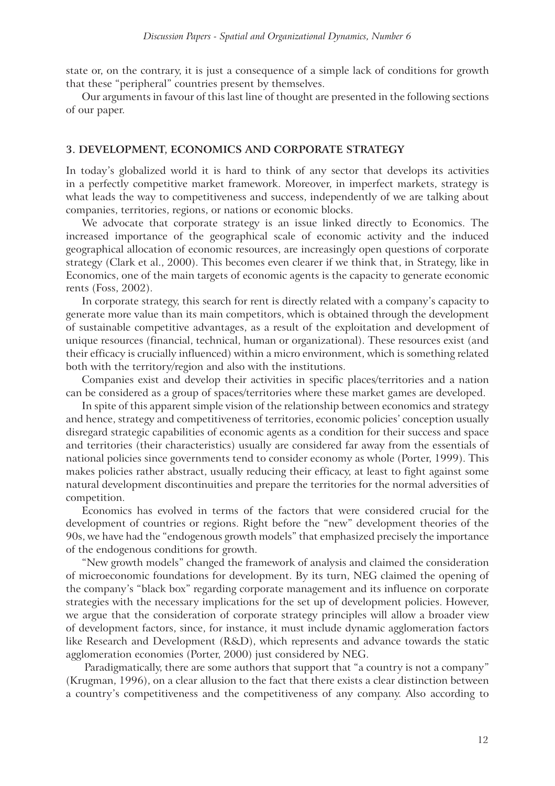state or, on the contrary, it is just a consequence of a simple lack of conditions for growth that these "peripheral" countries present by themselves.

Our arguments in favour of this last line of thought are presented in the following sections of our paper.

#### **3. DEVELOPMENT, ECONOMICS AND CORPORATE STRATEGY**

In today's globalized world it is hard to think of any sector that develops its activities in a perfectly competitive market framework. Moreover, in imperfect markets, strategy is what leads the way to competitiveness and success, independently of we are talking about companies, territories, regions, or nations or economic blocks.

We advocate that corporate strategy is an issue linked directly to Economics. The increased importance of the geographical scale of economic activity and the induced geographical allocation of economic resources, are increasingly open questions of corporate strategy (Clark et al., 2000). This becomes even clearer if we think that, in Strategy, like in Economics, one of the main targets of economic agents is the capacity to generate economic rents (Foss, 2002).

In corporate strategy, this search for rent is directly related with a company's capacity to generate more value than its main competitors, which is obtained through the development of sustainable competitive advantages, as a result of the exploitation and development of unique resources (financial, technical, human or organizational). These resources exist (and their efficacy is crucially influenced) within a micro environment, which is something related both with the territory/region and also with the institutions.

Companies exist and develop their activities in specific places/territories and a nation can be considered as a group of spaces/territories where these market games are developed.

In spite of this apparent simple vision of the relationship between economics and strategy and hence, strategy and competitiveness of territories, economic policies' conception usually disregard strategic capabilities of economic agents as a condition for their success and space and territories (their characteristics) usually are considered far away from the essentials of national policies since governments tend to consider economy as whole (Porter, 1999). This makes policies rather abstract, usually reducing their efficacy, at least to fight against some natural development discontinuities and prepare the territories for the normal adversities of competition.

Economics has evolved in terms of the factors that were considered crucial for the development of countries or regions. Right before the "new" development theories of the 90s, we have had the "endogenous growth models" that emphasized precisely the importance of the endogenous conditions for growth.

"New growth models" changed the framework of analysis and claimed the consideration of microeconomic foundations for development. By its turn, NEG claimed the opening of the company's "black box" regarding corporate management and its influence on corporate strategies with the necessary implications for the set up of development policies. However, we argue that the consideration of corporate strategy principles will allow a broader view of development factors, since, for instance, it must include dynamic agglomeration factors like Research and Development (R&D), which represents and advance towards the static agglomeration economies (Porter, 2000) just considered by NEG.

Paradigmatically, there are some authors that support that "a country is not a company" (Krugman, 1996), on a clear allusion to the fact that there exists a clear distinction between a country's competitiveness and the competitiveness of any company. Also according to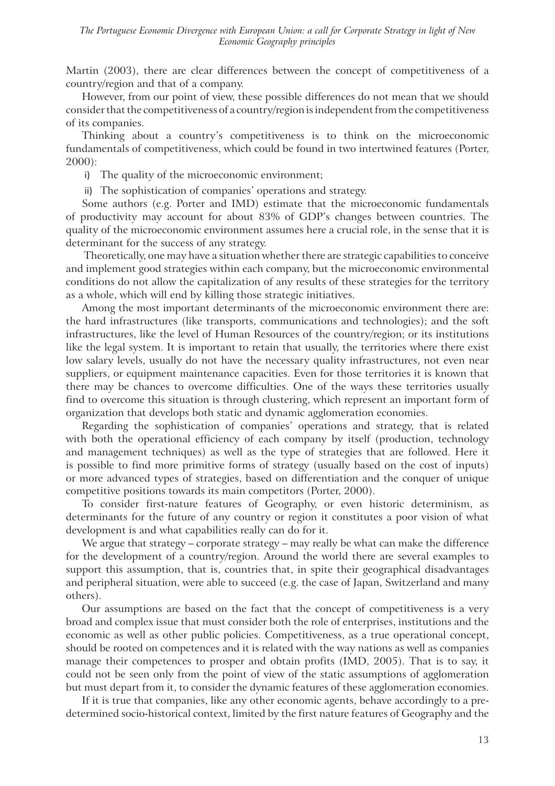Martin (2003), there are clear differences between the concept of competitiveness of a country/region and that of a company.

However, from our point of view, these possible differences do not mean that we should consider that the competitiveness of a country/region is independent from the competitiveness of its companies.

Thinking about a country's competitiveness is to think on the microeconomic fundamentals of competitiveness, which could be found in two intertwined features (Porter, 2000):

i) The quality of the microeconomic environment;

ii) The sophistication of companies' operations and strategy.

Some authors (e.g. Porter and IMD) estimate that the microeconomic fundamentals of productivity may account for about 83% of GDP's changes between countries. The quality of the microeconomic environment assumes here a crucial role, in the sense that it is determinant for the success of any strategy.

 Theoretically, one may have a situation whether there are strategic capabilities to conceive and implement good strategies within each company, but the microeconomic environmental conditions do not allow the capitalization of any results of these strategies for the territory as a whole, which will end by killing those strategic initiatives.

Among the most important determinants of the microeconomic environment there are: the hard infrastructures (like transports, communications and technologies); and the soft infrastructures, like the level of Human Resources of the country/region; or its institutions like the legal system. It is important to retain that usually, the territories where there exist low salary levels, usually do not have the necessary quality infrastructures, not even near suppliers, or equipment maintenance capacities. Even for those territories it is known that there may be chances to overcome difficulties. One of the ways these territories usually find to overcome this situation is through clustering, which represent an important form of organization that develops both static and dynamic agglomeration economies.

Regarding the sophistication of companies' operations and strategy, that is related with both the operational efficiency of each company by itself (production, technology and management techniques) as well as the type of strategies that are followed. Here it is possible to find more primitive forms of strategy (usually based on the cost of inputs) or more advanced types of strategies, based on differentiation and the conquer of unique competitive positions towards its main competitors (Porter, 2000).

To consider first-nature features of Geography, or even historic determinism, as determinants for the future of any country or region it constitutes a poor vision of what development is and what capabilities really can do for it.

We argue that strategy – corporate strategy – may really be what can make the difference for the development of a country/region. Around the world there are several examples to support this assumption, that is, countries that, in spite their geographical disadvantages and peripheral situation, were able to succeed (e.g. the case of Japan, Switzerland and many others).

Our assumptions are based on the fact that the concept of competitiveness is a very broad and complex issue that must consider both the role of enterprises, institutions and the economic as well as other public policies. Competitiveness, as a true operational concept, should be rooted on competences and it is related with the way nations as well as companies manage their competences to prosper and obtain profits (IMD, 2005). That is to say, it could not be seen only from the point of view of the static assumptions of agglomeration but must depart from it, to consider the dynamic features of these agglomeration economies.

If it is true that companies, like any other economic agents, behave accordingly to a predetermined socio-historical context, limited by the first nature features of Geography and the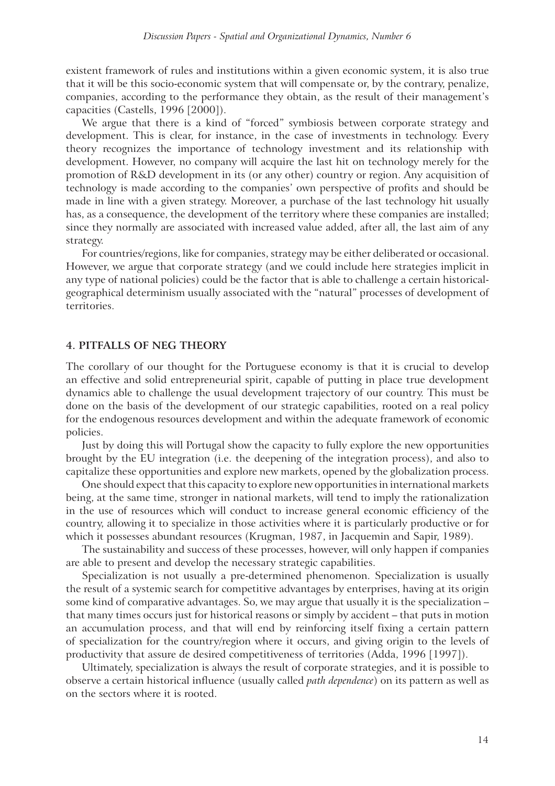existent framework of rules and institutions within a given economic system, it is also true that it will be this socio-economic system that will compensate or, by the contrary, penalize, companies, according to the performance they obtain, as the result of their management's capacities (Castells, 1996 [2000]).

We argue that there is a kind of "forced" symbiosis between corporate strategy and development. This is clear, for instance, in the case of investments in technology. Every theory recognizes the importance of technology investment and its relationship with development. However, no company will acquire the last hit on technology merely for the promotion of R&D development in its (or any other) country or region. Any acquisition of technology is made according to the companies' own perspective of profits and should be made in line with a given strategy. Moreover, a purchase of the last technology hit usually has, as a consequence, the development of the territory where these companies are installed; since they normally are associated with increased value added, after all, the last aim of any strategy.

For countries/regions, like for companies, strategy may be either deliberated or occasional. However, we argue that corporate strategy (and we could include here strategies implicit in any type of national policies) could be the factor that is able to challenge a certain historicalgeographical determinism usually associated with the "natural" processes of development of territories.

#### **4. PITFALLS OF NEG THEORY**

The corollary of our thought for the Portuguese economy is that it is crucial to develop an effective and solid entrepreneurial spirit, capable of putting in place true development dynamics able to challenge the usual development trajectory of our country. This must be done on the basis of the development of our strategic capabilities, rooted on a real policy for the endogenous resources development and within the adequate framework of economic policies.

Just by doing this will Portugal show the capacity to fully explore the new opportunities brought by the EU integration (i.e. the deepening of the integration process), and also to capitalize these opportunities and explore new markets, opened by the globalization process.

One should expect that this capacity to explore new opportunities in international markets being, at the same time, stronger in national markets, will tend to imply the rationalization in the use of resources which will conduct to increase general economic efficiency of the country, allowing it to specialize in those activities where it is particularly productive or for which it possesses abundant resources (Krugman, 1987, in Jacquemin and Sapir, 1989).

The sustainability and success of these processes, however, will only happen if companies are able to present and develop the necessary strategic capabilities.

Specialization is not usually a pre-determined phenomenon. Specialization is usually the result of a systemic search for competitive advantages by enterprises, having at its origin some kind of comparative advantages. So, we may argue that usually it is the specialization – that many times occurs just for historical reasons or simply by accident – that puts in motion an accumulation process, and that will end by reinforcing itself fixing a certain pattern of specialization for the country/region where it occurs, and giving origin to the levels of productivity that assure de desired competitiveness of territories (Adda, 1996 [1997]).

Ultimately, specialization is always the result of corporate strategies, and it is possible to observe a certain historical influence (usually called *path dependence*) on its pattern as well as on the sectors where it is rooted.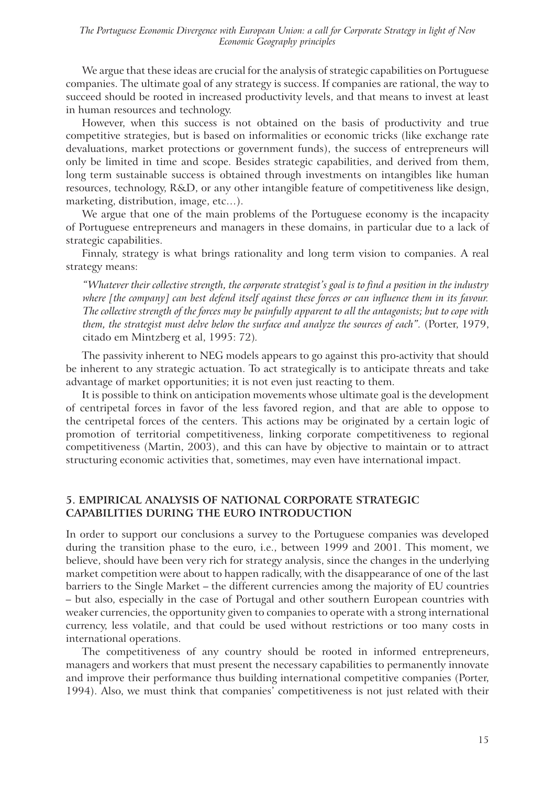We argue that these ideas are crucial for the analysis of strategic capabilities on Portuguese companies. The ultimate goal of any strategy is success. If companies are rational, the way to succeed should be rooted in increased productivity levels, and that means to invest at least in human resources and technology.

However, when this success is not obtained on the basis of productivity and true competitive strategies, but is based on informalities or economic tricks (like exchange rate devaluations, market protections or government funds), the success of entrepreneurs will only be limited in time and scope. Besides strategic capabilities, and derived from them, long term sustainable success is obtained through investments on intangibles like human resources, technology, R&D, or any other intangible feature of competitiveness like design, marketing, distribution, image, etc…).

We argue that one of the main problems of the Portuguese economy is the incapacity of Portuguese entrepreneurs and managers in these domains, in particular due to a lack of strategic capabilities.

Finnaly, strategy is what brings rationality and long term vision to companies. A real strategy means:

*"Whatever their collective strength, the corporate strategist's goal is to find a position in the industry where [the company] can best defend itself against these forces or can influence them in its favour. The collective strength of the forces may be painfully apparent to all the antagonists; but to cope with them, the strategist must delve below the surface and analyze the sources of each".* (Porter, 1979, citado em Mintzberg et al, 1995: 72)*.*

The passivity inherent to NEG models appears to go against this pro-activity that should be inherent to any strategic actuation. To act strategically is to anticipate threats and take advantage of market opportunities; it is not even just reacting to them.

It is possible to think on anticipation movements whose ultimate goal is the development of centripetal forces in favor of the less favored region, and that are able to oppose to the centripetal forces of the centers. This actions may be originated by a certain logic of promotion of territorial competitiveness, linking corporate competitiveness to regional competitiveness (Martin, 2003), and this can have by objective to maintain or to attract structuring economic activities that, sometimes, may even have international impact.

#### **5. EMPIRICAL ANALYSIS OF NATIONAL CORPORATE STRATEGIC CAPABILITIES DURING THE EURO INTRODUCTION**

In order to support our conclusions a survey to the Portuguese companies was developed during the transition phase to the euro, i.e., between 1999 and 2001. This moment, we believe, should have been very rich for strategy analysis, since the changes in the underlying market competition were about to happen radically, with the disappearance of one of the last barriers to the Single Market – the different currencies among the majority of EU countries – but also, especially in the case of Portugal and other southern European countries with weaker currencies, the opportunity given to companies to operate with a strong international currency, less volatile, and that could be used without restrictions or too many costs in international operations.

The competitiveness of any country should be rooted in informed entrepreneurs, managers and workers that must present the necessary capabilities to permanently innovate and improve their performance thus building international competitive companies (Porter, 1994). Also, we must think that companies' competitiveness is not just related with their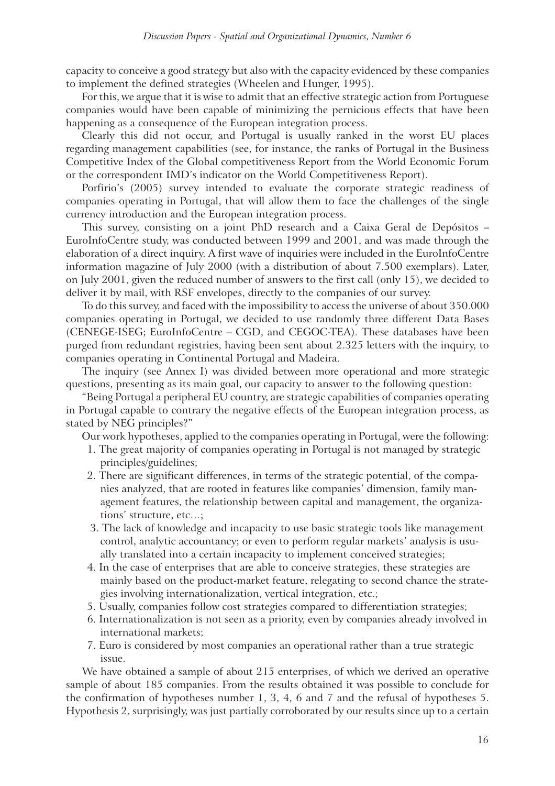capacity to conceive a good strategy but also with the capacity evidenced by these companies to implement the defined strategies (Wheelen and Hunger, 1995).

For this, we argue that it is wise to admit that an effective strategic action from Portuguese companies would have been capable of minimizing the pernicious effects that have been happening as a consequence of the European integration process.

Clearly this did not occur, and Portugal is usually ranked in the worst EU places regarding management capabilities (see, for instance, the ranks of Portugal in the Business Competitive Index of the Global competitiveness Report from the World Economic Forum or the correspondent IMD's indicator on the World Competitiveness Report).

Porfirio's (2005) survey intended to evaluate the corporate strategic readiness of companies operating in Portugal, that will allow them to face the challenges of the single currency introduction and the European integration process.

This survey, consisting on a joint PhD research and a Caixa Geral de Depósitos – EuroInfoCentre study, was conducted between 1999 and 2001, and was made through the elaboration of a direct inquiry. A first wave of inquiries were included in the EuroInfoCentre information magazine of July 2000 (with a distribution of about 7.500 exemplars). Later, on July 2001, given the reduced number of answers to the first call (only 15), we decided to deliver it by mail, with RSF envelopes, directly to the companies of our survey.

To do this survey, and faced with the impossibility to access the universe of about 350.000 companies operating in Portugal, we decided to use randomly three different Data Bases (CENEGE-ISEG; EuroInfoCentre – CGD, and CEGOC-TEA). These databases have been purged from redundant registries, having been sent about 2.325 letters with the inquiry, to companies operating in Continental Portugal and Madeira.

The inquiry (see Annex I) was divided between more operational and more strategic questions, presenting as its main goal, our capacity to answer to the following question:

"Being Portugal a peripheral EU country, are strategic capabilities of companies operating in Portugal capable to contrary the negative effects of the European integration process, as stated by NEG principles?"

Our work hypotheses, applied to the companies operating in Portugal, were the following:

- 1. The great majority of companies operating in Portugal is not managed by strategic principles/guidelines;
- 2. There are significant differences, in terms of the strategic potential, of the companies analyzed, that are rooted in features like companies' dimension, family management features, the relationship between capital and management, the organizations' structure, etc…;
- 3. The lack of knowledge and incapacity to use basic strategic tools like management control, analytic accountancy; or even to perform regular markets' analysis is usually translated into a certain incapacity to implement conceived strategies;
- 4. In the case of enterprises that are able to conceive strategies, these strategies are mainly based on the product-market feature, relegating to second chance the strategies involving internationalization, vertical integration, etc.;
- 5. Usually, companies follow cost strategies compared to differentiation strategies;
- 6. Internationalization is not seen as a priority, even by companies already involved in international markets;
- 7. Euro is considered by most companies an operational rather than a true strategic issue.

We have obtained a sample of about 215 enterprises, of which we derived an operative sample of about 185 companies. From the results obtained it was possible to conclude for the confirmation of hypotheses number 1, 3, 4, 6 and 7 and the refusal of hypotheses 5. Hypothesis 2, surprisingly, was just partially corroborated by our results since up to a certain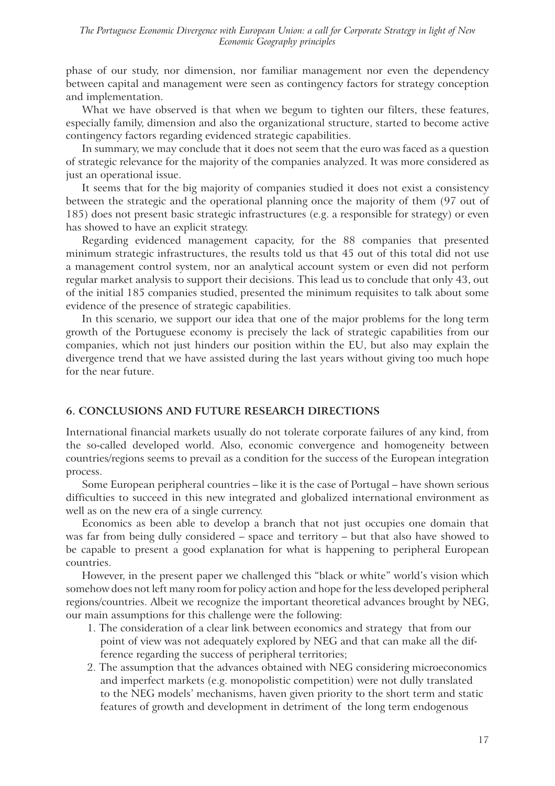phase of our study, nor dimension, nor familiar management nor even the dependency between capital and management were seen as contingency factors for strategy conception and implementation.

What we have observed is that when we begum to tighten our filters, these features, especially family, dimension and also the organizational structure, started to become active contingency factors regarding evidenced strategic capabilities.

In summary, we may conclude that it does not seem that the euro was faced as a question of strategic relevance for the majority of the companies analyzed. It was more considered as just an operational issue.

It seems that for the big majority of companies studied it does not exist a consistency between the strategic and the operational planning once the majority of them (97 out of 185) does not present basic strategic infrastructures (e.g. a responsible for strategy) or even has showed to have an explicit strategy.

Regarding evidenced management capacity, for the 88 companies that presented minimum strategic infrastructures, the results told us that 45 out of this total did not use a management control system, nor an analytical account system or even did not perform regular market analysis to support their decisions. This lead us to conclude that only 43, out of the initial 185 companies studied, presented the minimum requisites to talk about some evidence of the presence of strategic capabilities.

In this scenario, we support our idea that one of the major problems for the long term growth of the Portuguese economy is precisely the lack of strategic capabilities from our companies, which not just hinders our position within the EU, but also may explain the divergence trend that we have assisted during the last years without giving too much hope for the near future.

#### **6. CONCLUSIONS AND FUTURE RESEARCH DIRECTIONS**

International financial markets usually do not tolerate corporate failures of any kind, from the so-called developed world. Also, economic convergence and homogeneity between countries/regions seems to prevail as a condition for the success of the European integration process.

Some European peripheral countries – like it is the case of Portugal – have shown serious difficulties to succeed in this new integrated and globalized international environment as well as on the new era of a single currency.

Economics as been able to develop a branch that not just occupies one domain that was far from being dully considered – space and territory – but that also have showed to be capable to present a good explanation for what is happening to peripheral European countries.

However, in the present paper we challenged this "black or white" world's vision which somehow does not left many room for policy action and hope for the less developed peripheral regions/countries. Albeit we recognize the important theoretical advances brought by NEG, our main assumptions for this challenge were the following:

- 1. The consideration of a clear link between economics and strategy that from our point of view was not adequately explored by NEG and that can make all the difference regarding the success of peripheral territories;
- 2. The assumption that the advances obtained with NEG considering microeconomics and imperfect markets (e.g. monopolistic competition) were not dully translated to the NEG models' mechanisms, haven given priority to the short term and static features of growth and development in detriment of the long term endogenous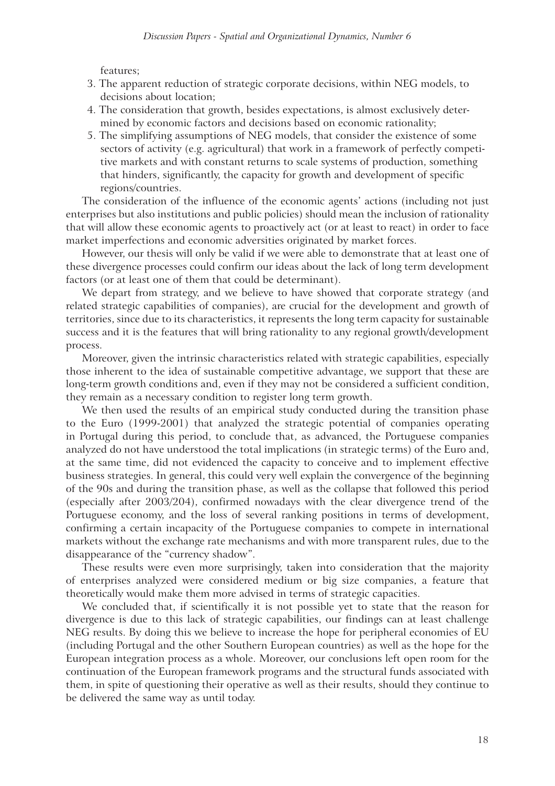features;

- 3. The apparent reduction of strategic corporate decisions, within NEG models, to decisions about location;
- 4. The consideration that growth, besides expectations, is almost exclusively determined by economic factors and decisions based on economic rationality;
- 5. The simplifying assumptions of NEG models, that consider the existence of some sectors of activity (e.g. agricultural) that work in a framework of perfectly competitive markets and with constant returns to scale systems of production, something that hinders, significantly, the capacity for growth and development of specific regions/countries.

The consideration of the influence of the economic agents' actions (including not just enterprises but also institutions and public policies) should mean the inclusion of rationality that will allow these economic agents to proactively act (or at least to react) in order to face market imperfections and economic adversities originated by market forces.

However, our thesis will only be valid if we were able to demonstrate that at least one of these divergence processes could confirm our ideas about the lack of long term development factors (or at least one of them that could be determinant).

We depart from strategy, and we believe to have showed that corporate strategy (and related strategic capabilities of companies), are crucial for the development and growth of territories, since due to its characteristics, it represents the long term capacity for sustainable success and it is the features that will bring rationality to any regional growth/development process.

Moreover, given the intrinsic characteristics related with strategic capabilities, especially those inherent to the idea of sustainable competitive advantage, we support that these are long-term growth conditions and, even if they may not be considered a sufficient condition, they remain as a necessary condition to register long term growth.

We then used the results of an empirical study conducted during the transition phase to the Euro (1999-2001) that analyzed the strategic potential of companies operating in Portugal during this period, to conclude that, as advanced, the Portuguese companies analyzed do not have understood the total implications (in strategic terms) of the Euro and, at the same time, did not evidenced the capacity to conceive and to implement effective business strategies. In general, this could very well explain the convergence of the beginning of the 90s and during the transition phase, as well as the collapse that followed this period (especially after 2003/204), confirmed nowadays with the clear divergence trend of the Portuguese economy, and the loss of several ranking positions in terms of development, confirming a certain incapacity of the Portuguese companies to compete in international markets without the exchange rate mechanisms and with more transparent rules, due to the disappearance of the "currency shadow".

These results were even more surprisingly, taken into consideration that the majority of enterprises analyzed were considered medium or big size companies, a feature that theoretically would make them more advised in terms of strategic capacities.

We concluded that, if scientifically it is not possible yet to state that the reason for divergence is due to this lack of strategic capabilities, our findings can at least challenge NEG results. By doing this we believe to increase the hope for peripheral economies of EU (including Portugal and the other Southern European countries) as well as the hope for the European integration process as a whole. Moreover, our conclusions left open room for the continuation of the European framework programs and the structural funds associated with them, in spite of questioning their operative as well as their results, should they continue to be delivered the same way as until today.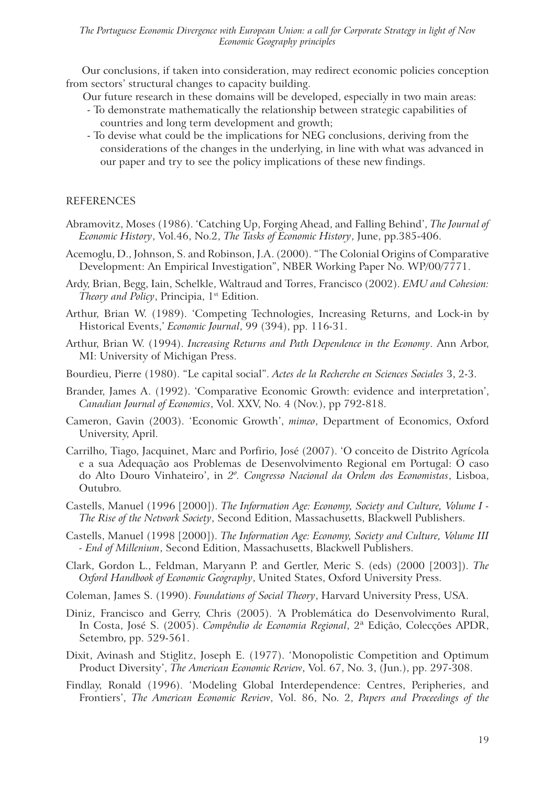Our conclusions, if taken into consideration, may redirect economic policies conception from sectors' structural changes to capacity building.

Our future research in these domains will be developed, especially in two main areas:

- To demonstrate mathematically the relationship between strategic capabilities of countries and long term development and growth;
- To devise what could be the implications for NEG conclusions, deriving from the considerations of the changes in the underlying, in line with what was advanced in our paper and try to see the policy implications of these new findings.

#### REFERENCES

- Abramovitz, Moses (1986). 'Catching Up, Forging Ahead, and Falling Behind', *The Journal of Economic History*, Vol.46, No.2, *The Tasks of Economic History*, June, pp.385-406.
- Acemoglu, D., Johnson, S. and Robinson, J.A. (2000). "The Colonial Origins of Comparative Development: An Empirical Investigation", NBER Working Paper No. WP/00/7771.
- Ardy, Brian, Begg, Iain, Schelkle, Waltraud and Torres, Francisco (2002). *EMU and Cohesion: Theory and Policy*, Principia, 1<sup>st</sup> Edition.
- Arthur, Brian W. (1989). 'Competing Technologies, Increasing Returns, and Lock-in by Historical Events,' *Economic Journal*, 99 (394), pp. 116-31.
- Arthur, Brian W. (1994). *Increasing Returns and Path Dependence in the Economy*. Ann Arbor, MI: University of Michigan Press.
- Bourdieu, Pierre (1980). "Le capital social". *Actes de la Recherche en Sciences Sociales* 3, 2-3.
- Brander, James A. (1992). 'Comparative Economic Growth: evidence and interpretation', *Canadian Journal of Economics*, Vol. XXV, No. 4 (Nov.), pp 792-818.
- Cameron, Gavin (2003). 'Economic Growth', *mimeo*, Department of Economics, Oxford University, April.
- Carrilho, Tiago, Jacquinet, Marc and Porfirio, José (2007). 'O conceito de Distrito Agrícola e a sua Adequação aos Problemas de Desenvolvimento Regional em Portugal: O caso do Alto Douro Vinhateiro', in *2º. Congresso Nacional da Ordem dos Economistas*, Lisboa, Outubro.
- Castells, Manuel (1996 [2000]). *The Information Age: Economy, Society and Culture, Volume I The Rise of the Network Society*, Second Edition, Massachusetts, Blackwell Publishers.
- Castells, Manuel (1998 [2000]). *The Information Age: Economy, Society and Culture, Volume III - End of Millenium*, Second Edition, Massachusetts, Blackwell Publishers.
- Clark, Gordon L., Feldman, Maryann P. and Gertler, Meric S. (eds) (2000 [2003]). *The Oxford Handbook of Economic Geography*, United States, Oxford University Press.
- Coleman, James S. (1990). *Foundations of Social Theory*, Harvard University Press, USA.
- Diniz, Francisco and Gerry, Chris (2005). 'A Problemática do Desenvolvimento Rural, In Costa, José S. (2005). *Compêndio de Economia Regional*, 2ª Edição, Colecções APDR, Setembro, pp. 529-561.
- Dixit, Avinash and Stiglitz, Joseph E. (1977). 'Monopolistic Competition and Optimum Product Diversity', *The American Economic Review*, Vol. 67, No. 3, (Jun.), pp. 297-308.
- Findlay, Ronald (1996). 'Modeling Global Interdependence: Centres, Peripheries, and Frontiers', *The American Economic Review*, Vol. 86, No. 2, *Papers and Proceedings of the*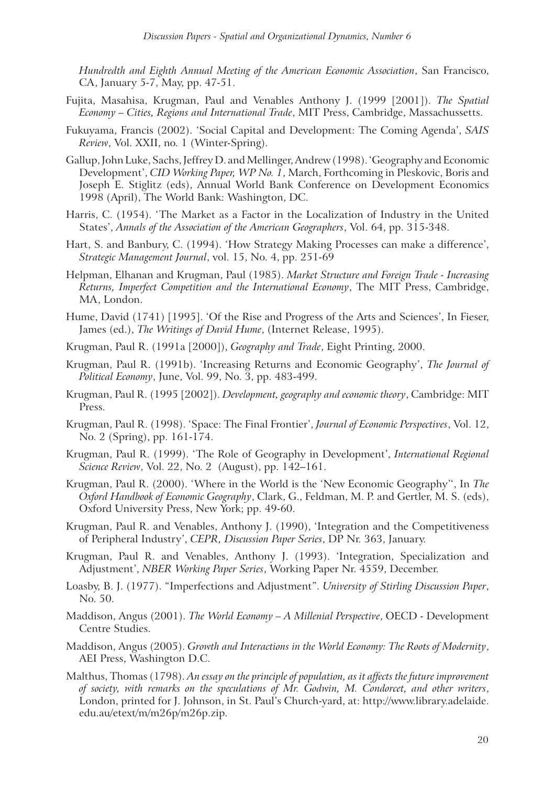*Hundredth and Eighth Annual Meeting of the American Economic Association*, San Francisco, CA, January 5-7, May, pp. 47-51.

- Fujita, Masahisa, Krugman, Paul and Venables Anthony J. (1999 [2001]). *The Spatial Economy – Cities, Regions and International Trade*, MIT Press, Cambridge, Massachussetts.
- Fukuyama, Francis (2002). 'Social Capital and Development: The Coming Agenda', *SAIS Review*, Vol. XXII, no. 1 (Winter-Spring).
- Gallup, John Luke, Sachs, Jeffrey D. and Mellinger, Andrew (1998). 'Geography and Economic Development', *CID Working Paper, WP No. 1*, March, Forthcoming in Pleskovic, Boris and Joseph E. Stiglitz (eds), Annual World Bank Conference on Development Economics 1998 (April), The World Bank: Washington, DC.
- Harris, C. (1954). 'The Market as a Factor in the Localization of Industry in the United States', *Annals of the Association of the American Geographers*, Vol. 64, pp. 315-348.
- Hart, S. and Banbury, C. (1994). 'How Strategy Making Processes can make a difference', *Strategic Management Journal*, vol. 15, No. 4, pp. 251-69
- Helpman, Elhanan and Krugman, Paul (1985). *Market Structure and Foreign Trade Increasing Returns, Imperfect Competition and the International Economy*, The MIT Press, Cambridge, MA, London.
- Hume, David (1741) [1995]. 'Of the Rise and Progress of the Arts and Sciences', In Fieser, James (ed.), *The Writings of David Hume*, (Internet Release, 1995).
- Krugman, Paul R. (1991a [2000]), *Geography and Trade*, Eight Printing, 2000.
- Krugman, Paul R. (1991b). 'Increasing Returns and Economic Geography', *The Journal of Political Economy*, June, Vol. 99, No. 3, pp. 483-499.
- Krugman, Paul R. (1995 [2002]). *Development, geography and economic theory*, Cambridge: MIT Press.
- Krugman, Paul R. (1998). 'Space: The Final Frontier', *Journal of Economic Perspectives*, Vol. 12, No. 2 (Spring), pp. 161-174.
- Krugman, Paul R. (1999). 'The Role of Geography in Development', *International Regional Science Review*, Vol. 22, No. 2 (August), pp. 142–161.
- Krugman, Paul R. (2000). 'Where in the World is the 'New Economic Geography'', In *The Oxford Handbook of Economic Geography*, Clark, G., Feldman, M. P. and Gertler, M. S. (eds), Oxford University Press, New York; pp. 49-60.
- Krugman, Paul R. and Venables, Anthony J. (1990), 'Integration and the Competitiveness of Peripheral Industry', *CEPR, Discussion Paper Series*, DP Nr. 363, January.
- Krugman, Paul R. and Venables, Anthony J. (1993). 'Integration, Specialization and Adjustment', *NBER Working Paper Series*, Working Paper Nr. 4559, December.
- Loasby, B. J. (1977). "Imperfections and Adjustment". *University of Stirling Discussion Paper*, No. 50.
- Maddison, Angus (2001). *The World Economy A Millenial Perspective*, OECD Development Centre Studies.
- Maddison, Angus (2005). *Growth and Interactions in the World Economy: The Roots of Modernity*, AEI Press, Washington D.C.
- Malthus, Thomas (1798). *An essay on the principle of population, as it affects the future improvement of society, with remarks on the speculations of Mr. Godwin, M. Condorcet, and other writers*, London, printed for J. Johnson, in St. Paul's Church-yard, at: http://www.library.adelaide. edu.au/etext/m/m26p/m26p.zip.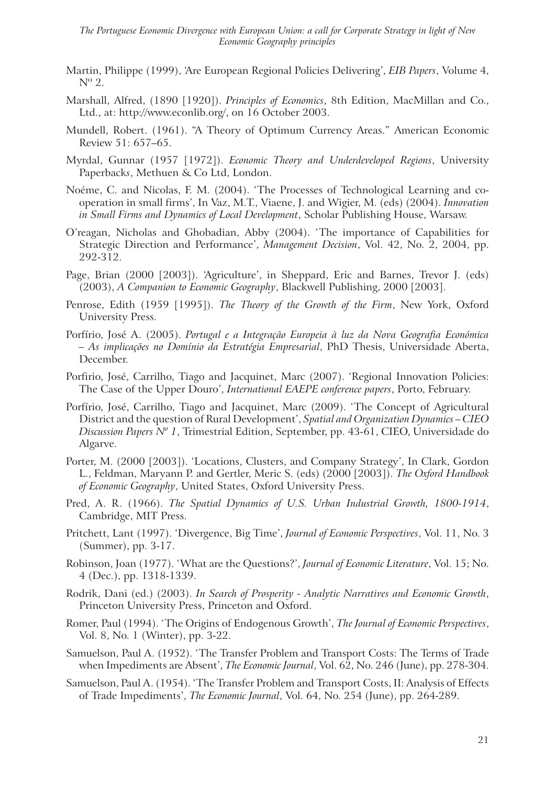- Martin, Philippe (1999), 'Are European Regional Policies Delivering', *EIB Papers*, Volume 4,  $N^{\circ}$  2.
- Marshall, Alfred, (1890 [1920]). *Principles of Economics*, 8th Edition, MacMillan and Co., Ltd., at: http://www.econlib.org/, on 16 October 2003.
- Mundell, Robert. (1961). "A Theory of Optimum Currency Areas." American Economic Review 51: 657–65.
- Myrdal, Gunnar (1957 [1972]). *Economic Theory and Underdeveloped Regions*, University Paperback*s*, Methuen & Co Ltd, London.
- Noéme, C. and Nicolas, F. M. (2004). 'The Processes of Technological Learning and cooperation in small firms', In Vaz, M.T., Viaene, J. and Wigier, M. (eds) (2004). *Innovation in Small Firms and Dynamics of Local Development*, Scholar Publishing House, Warsaw.
- O'reagan, Nicholas and Ghobadian, Abby (2004). 'The importance of Capabilities for Strategic Direction and Performance', *Management Decision*, Vol. 42, No. 2, 2004, pp. 292-312.
- Page, Brian (2000 [2003]). 'Agriculture', in Sheppard, Eric and Barnes, Trevor J. (eds) (2003), *A Companion to Economic Geography*, Blackwell Publishing, 2000 [2003].
- Penrose, Edith (1959 [1995]). *The Theory of the Growth of the Firm*, New York, Oxford University Press.
- Porfírio, José A. (2005). *Portugal e a Integração Europeia à luz da Nova Geografia Económica – As implicações no Domínio da Estratégia Empresarial*, PhD Thesis, Universidade Aberta, December.
- Porfirio, José, Carrilho, Tiago and Jacquinet, Marc (2007). 'Regional Innovation Policies: The Case of the Upper Douro', *International EAEPE conference papers*, Porto, February.
- Porfírio, José, Carrilho, Tiago and Jacquinet, Marc (2009). 'The Concept of Agricultural District and the question of Rural Development', *Spatial and Organization Dynamics – CIEO Discussion Papers Nº 1*, Trimestrial Edition, September, pp. 43-61, CIEO, Universidade do Algarve.
- Porter, M. (2000 [2003]). 'Locations, Clusters, and Company Strategy', In Clark, Gordon L., Feldman, Maryann P. and Gertler, Meric S. (eds) (2000 [2003]). *The Oxford Handbook of Economic Geography*, United States, Oxford University Press.
- Pred, A. R. (1966). *The Spatial Dynamics of U.S. Urban Industrial Growth, 1800-1914*, Cambridge, MIT Press.
- Pritchett, Lant (1997). 'Divergence, Big Time', *Journal of Economic Perspectives*, Vol. 11, No. 3 (Summer), pp. 3-17.
- Robinson, Joan (1977). 'What are the Questions?', *Journal of Economic Literature*, Vol. 15; No. 4 (Dec.), pp. 1318-1339.
- Rodrik, Dani (ed.) (2003). *In Search of Prosperity Analytic Narratives and Economic Growth*, Princeton University Press, Princeton and Oxford.
- Romer, Paul (1994). 'The Origins of Endogenous Growth', *The Journal of Economic Perspectives*, Vol. 8, No. 1 (Winter), pp. 3-22.
- Samuelson, Paul A. (1952). 'The Transfer Problem and Transport Costs: The Terms of Trade when Impediments are Absent', *The Economic Journal*, Vol. 62, No. 246 (June), pp. 278-304.
- Samuelson, Paul A. (1954). 'The Transfer Problem and Transport Costs, II: Analysis of Effects of Trade Impediments', *The Economic Journal*, Vol. 64, No. 254 (June), pp. 264-289.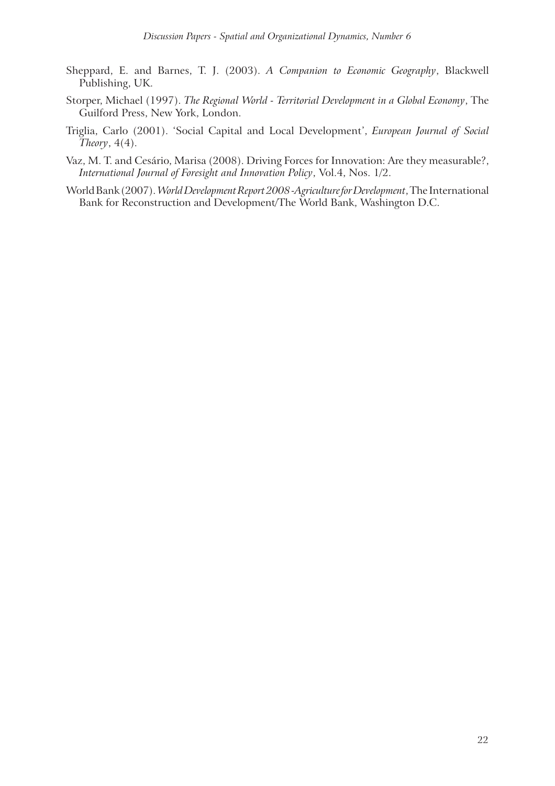- Sheppard, E. and Barnes, T. J. (2003). *A Companion to Economic Geography*, Blackwell Publishing, UK.
- Storper, Michael (1997). *The Regional World Territorial Development in a Global Economy*, The Guilford Press, New York, London.
- Triglia, Carlo (2001). 'Social Capital and Local Development', *European Journal of Social Theory*, 4(4).
- Vaz, M. T. and Cesário, Marisa (2008). Driving Forces for Innovation: Are they measurable?, *International Journal of Foresight and Innovation Policy*, Vol.4, Nos. 1/2.
- World Bank (2007). *World Development Report 2008 -Agriculture for Development*, The International Bank for Reconstruction and Development/The World Bank, Washington D.C.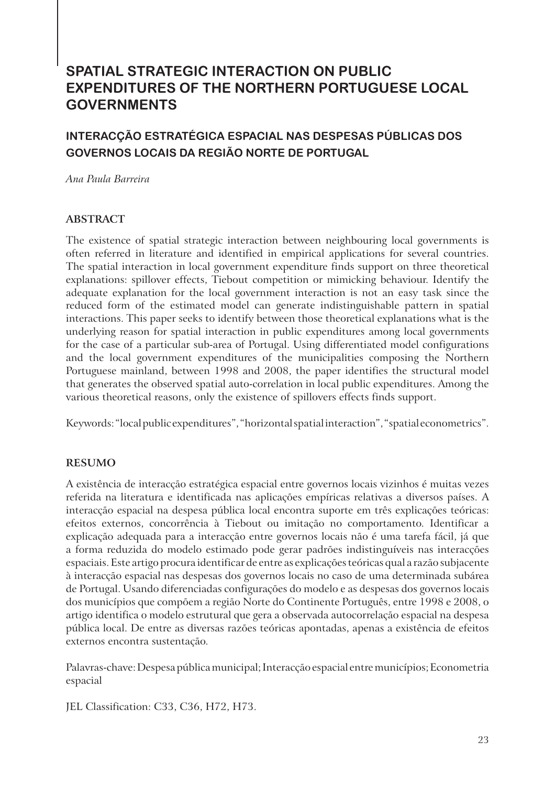# **SPATIAL STRATEGIC INTERACTION ON PUBLIC EXPENDITURES OF THE NORTHERN PORTUGUESE LOCAL GOVERNMENTS**

## **INTERACÇÃO ESTRATÉGICA ESPACIAL NAS DESPESAS PÚBLICAS DOS GOVERNOS LOCAIS DA REGIÃO NORTE DE PORTUGAL**

*Ana Paula Barreira*

#### **ABSTRACT**

The existence of spatial strategic interaction between neighbouring local governments is often referred in literature and identified in empirical applications for several countries. The spatial interaction in local government expenditure finds support on three theoretical explanations: spillover effects, Tiebout competition or mimicking behaviour. Identify the adequate explanation for the local government interaction is not an easy task since the reduced form of the estimated model can generate indistinguishable pattern in spatial interactions. This paper seeks to identify between those theoretical explanations what is the underlying reason for spatial interaction in public expenditures among local governments for the case of a particular sub-area of Portugal. Using differentiated model configurations and the local government expenditures of the municipalities composing the Northern Portuguese mainland, between 1998 and 2008, the paper identifies the structural model that generates the observed spatial auto-correlation in local public expenditures. Among the various theoretical reasons, only the existence of spillovers effects finds support.

Keywords: "local public expenditures", "horizontal spatial interaction", "spatial econometrics".

#### **RESUMO**

A existência de interacção estratégica espacial entre governos locais vizinhos é muitas vezes referida na literatura e identificada nas aplicações empíricas relativas a diversos países. A interacção espacial na despesa pública local encontra suporte em três explicações teóricas: efeitos externos, concorrência à Tiebout ou imitação no comportamento. Identificar a explicação adequada para a interacção entre governos locais não é uma tarefa fácil, já que a forma reduzida do modelo estimado pode gerar padrões indistinguíveis nas interacções espaciais. Este artigo procura identificar de entre as explicações teóricas qual a razão subjacente à interacção espacial nas despesas dos governos locais no caso de uma determinada subárea de Portugal. Usando diferenciadas configurações do modelo e as despesas dos governos locais dos municípios que compõem a região Norte do Continente Português, entre 1998 e 2008, o artigo identifica o modelo estrutural que gera a observada autocorrelação espacial na despesa pública local. De entre as diversas razões teóricas apontadas, apenas a existência de efeitos externos encontra sustentação.

Palavras-chave: Despesa pública municipal; Interacção espacial entre municípios; Econometria espacial

JEL Classification: C33, C36, H72, H73.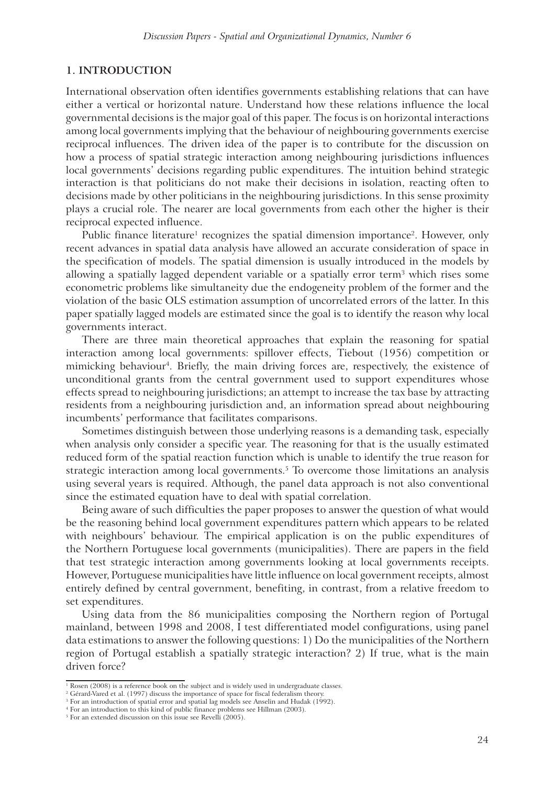#### **1. INTRODUCTION**

International observation often identifies governments establishing relations that can have either a vertical or horizontal nature. Understand how these relations influence the local governmental decisions is the major goal of this paper. The focus is on horizontal interactions among local governments implying that the behaviour of neighbouring governments exercise reciprocal influences. The driven idea of the paper is to contribute for the discussion on how a process of spatial strategic interaction among neighbouring jurisdictions influences local governments' decisions regarding public expenditures. The intuition behind strategic interaction is that politicians do not make their decisions in isolation, reacting often to decisions made by other politicians in the neighbouring jurisdictions. In this sense proximity plays a crucial role. The nearer are local governments from each other the higher is their reciprocal expected influence.

Public finance literature<sup>1</sup> recognizes the spatial dimension importance<sup>2</sup>. However, only recent advances in spatial data analysis have allowed an accurate consideration of space in the specification of models. The spatial dimension is usually introduced in the models by allowing a spatially lagged dependent variable or a spatially error term<sup>3</sup> which rises some econometric problems like simultaneity due the endogeneity problem of the former and the violation of the basic OLS estimation assumption of uncorrelated errors of the latter. In this paper spatially lagged models are estimated since the goal is to identify the reason why local governments interact.

There are three main theoretical approaches that explain the reasoning for spatial interaction among local governments: spillover effects, Tiebout (1956) competition or mimicking behaviour<sup>4</sup>. Briefly, the main driving forces are, respectively, the existence of unconditional grants from the central government used to support expenditures whose effects spread to neighbouring jurisdictions; an attempt to increase the tax base by attracting residents from a neighbouring jurisdiction and, an information spread about neighbouring incumbents' performance that facilitates comparisons.

Sometimes distinguish between those underlying reasons is a demanding task, especially when analysis only consider a specific year. The reasoning for that is the usually estimated reduced form of the spatial reaction function which is unable to identify the true reason for strategic interaction among local governments.<sup>5</sup> To overcome those limitations an analysis using several years is required. Although, the panel data approach is not also conventional since the estimated equation have to deal with spatial correlation.

Being aware of such difficulties the paper proposes to answer the question of what would be the reasoning behind local government expenditures pattern which appears to be related with neighbours' behaviour. The empirical application is on the public expenditures of the Northern Portuguese local governments (municipalities). There are papers in the field that test strategic interaction among governments looking at local governments receipts. However, Portuguese municipalities have little influence on local government receipts, almost entirely defined by central government, benefiting, in contrast, from a relative freedom to set expenditures.

Using data from the 86 municipalities composing the Northern region of Portugal mainland, between 1998 and 2008, I test differentiated model configurations, using panel data estimations to answer the following questions: 1) Do the municipalities of the Northern region of Portugal establish a spatially strategic interaction? 2) If true, what is the main driven force?

<sup>&</sup>lt;sup>1</sup> Rosen (2008) is a reference book on the subject and is widely used in undergraduate classes.

<sup>2</sup> Gérard-Vared et al. (1997) discuss the importance of space for fiscal federalism theory.

<sup>3</sup> For an introduction of spatial error and spatial lag models see Anselin and Hudak (1992). 4 For an introduction to this kind of public finance problems see Hillman (2003).

<sup>5</sup> For an extended discussion on this issue see Revelli (2005).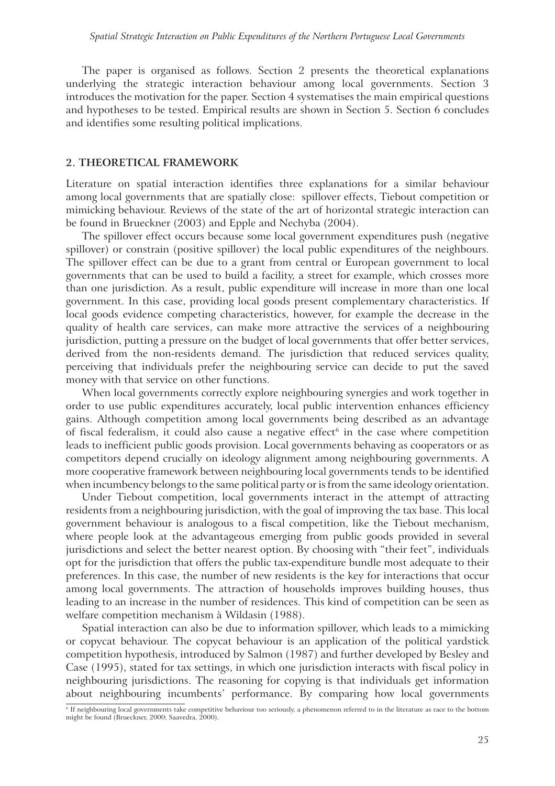The paper is organised as follows. Section 2 presents the theoretical explanations underlying the strategic interaction behaviour among local governments. Section 3 introduces the motivation for the paper. Section 4 systematises the main empirical questions and hypotheses to be tested. Empirical results are shown in Section 5. Section 6 concludes and identifies some resulting political implications.

#### **2. THEORETICAL FRAMEWORK**

Literature on spatial interaction identifies three explanations for a similar behaviour among local governments that are spatially close: spillover effects, Tiebout competition or mimicking behaviour. Reviews of the state of the art of horizontal strategic interaction can be found in Brueckner (2003) and Epple and Nechyba (2004).

The spillover effect occurs because some local government expenditures push (negative spillover) or constrain (positive spillover) the local public expenditures of the neighbours. The spillover effect can be due to a grant from central or European government to local governments that can be used to build a facility, a street for example, which crosses more than one jurisdiction. As a result, public expenditure will increase in more than one local government. In this case, providing local goods present complementary characteristics. If local goods evidence competing characteristics, however, for example the decrease in the quality of health care services, can make more attractive the services of a neighbouring jurisdiction, putting a pressure on the budget of local governments that offer better services, derived from the non-residents demand. The jurisdiction that reduced services quality, perceiving that individuals prefer the neighbouring service can decide to put the saved money with that service on other functions.

When local governments correctly explore neighbouring synergies and work together in order to use public expenditures accurately, local public intervention enhances efficiency gains. Although competition among local governments being described as an advantage of fiscal federalism, it could also cause a negative effect<sup>6</sup> in the case where competition leads to inefficient public goods provision. Local governments behaving as cooperators or as competitors depend crucially on ideology alignment among neighbouring governments. A more cooperative framework between neighbouring local governments tends to be identified when incumbency belongs to the same political party or is from the same ideology orientation.

Under Tiebout competition, local governments interact in the attempt of attracting residents from a neighbouring jurisdiction, with the goal of improving the tax base. This local government behaviour is analogous to a fiscal competition, like the Tiebout mechanism, where people look at the advantageous emerging from public goods provided in several jurisdictions and select the better nearest option. By choosing with "their feet", individuals opt for the jurisdiction that offers the public tax-expenditure bundle most adequate to their preferences. In this case, the number of new residents is the key for interactions that occur among local governments. The attraction of households improves building houses, thus leading to an increase in the number of residences. This kind of competition can be seen as welfare competition mechanism à Wildasin (1988).

Spatial interaction can also be due to information spillover, which leads to a mimicking or copycat behaviour. The copycat behaviour is an application of the political yardstick competition hypothesis, introduced by Salmon (1987) and further developed by Besley and Case (1995), stated for tax settings, in which one jurisdiction interacts with fiscal policy in neighbouring jurisdictions. The reasoning for copying is that individuals get information about neighbouring incumbents' performance. By comparing how local governments

<sup>6</sup> If neighbouring local governments take competitive behaviour too seriously, a phenomenon referred to in the literature as race to the bottom might be found (Brueckner, 2000; Saavedra, 2000).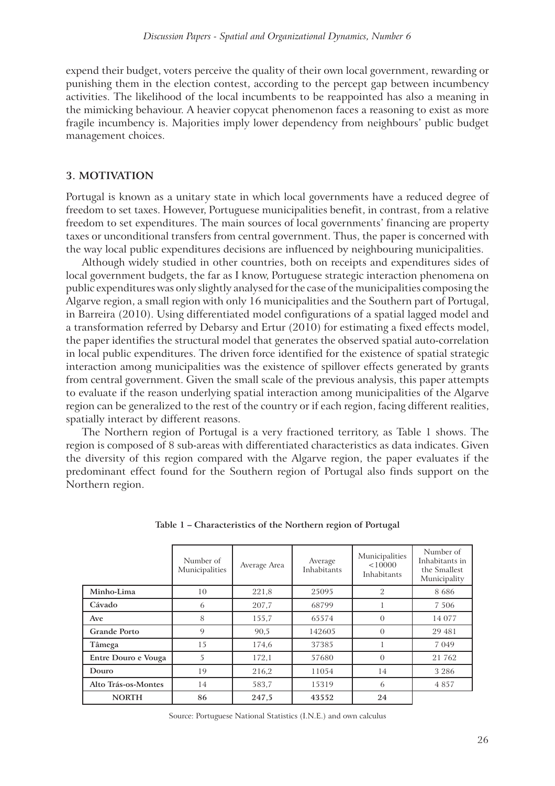expend their budget, voters perceive the quality of their own local government, rewarding or punishing them in the election contest, according to the percept gap between incumbency activities. The likelihood of the local incumbents to be reappointed has also a meaning in the mimicking behaviour. A heavier copycat phenomenon faces a reasoning to exist as more fragile incumbency is. Majorities imply lower dependency from neighbours' public budget management choices.

#### **3. MOTIVATION**

Portugal is known as a unitary state in which local governments have a reduced degree of freedom to set taxes. However, Portuguese municipalities benefit, in contrast, from a relative freedom to set expenditures. The main sources of local governments' financing are property taxes or unconditional transfers from central government. Thus, the paper is concerned with the way local public expenditures decisions are influenced by neighbouring municipalities.

Although widely studied in other countries, both on receipts and expenditures sides of local government budgets, the far as I know, Portuguese strategic interaction phenomena on public expenditures was only slightly analysed for the case of the municipalities composing the Algarve region, a small region with only 16 municipalities and the Southern part of Portugal, in Barreira (2010). Using differentiated model configurations of a spatial lagged model and a transformation referred by Debarsy and Ertur (2010) for estimating a fixed effects model, the paper identifies the structural model that generates the observed spatial auto-correlation in local public expenditures. The driven force identified for the existence of spatial strategic interaction among municipalities was the existence of spillover effects generated by grants from central government. Given the small scale of the previous analysis, this paper attempts to evaluate if the reason underlying spatial interaction among municipalities of the Algarve region can be generalized to the rest of the country or if each region, facing different realities, spatially interact by different reasons.

The Northern region of Portugal is a very fractioned territory, as Table 1 shows. The region is composed of 8 sub-areas with differentiated characteristics as data indicates. Given the diversity of this region compared with the Algarve region, the paper evaluates if the predominant effect found for the Southern region of Portugal also finds support on the Northern region.

|                     | Number of<br>Municipalities | Average Area | Average<br>Inhabitants | Municipalities<br>< 10000<br>Inhabitants | Number of<br>Inhabitants in<br>the Smallest<br>Municipality |
|---------------------|-----------------------------|--------------|------------------------|------------------------------------------|-------------------------------------------------------------|
| Minho-Lima          | 10                          | 221,8        | 25095                  | 2                                        | 8686                                                        |
| Cávado              | 6                           | 207,7        | 68799                  |                                          | 7 5 0 6                                                     |
| Ave                 | 8                           | 155,7        | 65574                  | $\Omega$                                 | 14 077                                                      |
| <b>Grande Porto</b> | 9                           | 90,5         | 142605                 | $\Omega$                                 | 29 481                                                      |
| Tâmega              | 15                          | 174,6        | 37385                  |                                          | 7 0 4 9                                                     |
| Entre Douro e Vouga | 5                           | 172,1        | 57680                  | $\Omega$                                 | 21 762                                                      |
| Douro               | 19                          | 216,2        | 11054                  | 14                                       | 3 2 8 6                                                     |
| Alto Trás-os-Montes | 14                          | 583,7        | 15319                  | 6                                        | 4857                                                        |
| <b>NORTH</b>        | 86                          | 247,5        | 43552                  | 24                                       |                                                             |

**Table 1 – Characteristics of the Northern region of Portugal**

Source: Portuguese National Statistics (I.N.E.) and own calculus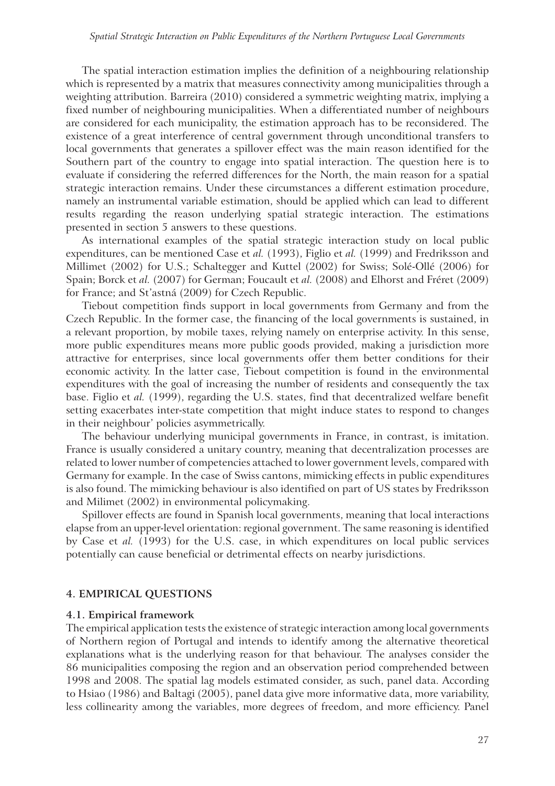The spatial interaction estimation implies the definition of a neighbouring relationship which is represented by a matrix that measures connectivity among municipalities through a weighting attribution. Barreira (2010) considered a symmetric weighting matrix, implying a fixed number of neighbouring municipalities. When a differentiated number of neighbours are considered for each municipality, the estimation approach has to be reconsidered. The existence of a great interference of central government through unconditional transfers to local governments that generates a spillover effect was the main reason identified for the Southern part of the country to engage into spatial interaction. The question here is to evaluate if considering the referred differences for the North, the main reason for a spatial strategic interaction remains. Under these circumstances a different estimation procedure, namely an instrumental variable estimation, should be applied which can lead to different results regarding the reason underlying spatial strategic interaction. The estimations presented in section 5 answers to these questions.

As international examples of the spatial strategic interaction study on local public expenditures, can be mentioned Case et *al.* (1993), Figlio et *al.* (1999) and Fredriksson and Millimet (2002) for U.S.; Schaltegger and Kuttel (2002) for Swiss; Solé-Ollé (2006) for Spain; Borck et *al.* (2007) for German; Foucault et *al.* (2008) and Elhorst and Fréret (2009) for France; and St'astná (2009) for Czech Republic.

Tiebout competition finds support in local governments from Germany and from the Czech Republic. In the former case, the financing of the local governments is sustained, in a relevant proportion, by mobile taxes, relying namely on enterprise activity. In this sense, more public expenditures means more public goods provided, making a jurisdiction more attractive for enterprises, since local governments offer them better conditions for their economic activity. In the latter case, Tiebout competition is found in the environmental expenditures with the goal of increasing the number of residents and consequently the tax base. Figlio et *al.* (1999), regarding the U.S. states, find that decentralized welfare benefit setting exacerbates inter-state competition that might induce states to respond to changes in their neighbour' policies asymmetrically.

The behaviour underlying municipal governments in France, in contrast, is imitation. France is usually considered a unitary country, meaning that decentralization processes are related to lower number of competencies attached to lower government levels, compared with Germany for example. In the case of Swiss cantons, mimicking effects in public expenditures is also found. The mimicking behaviour is also identified on part of US states by Fredriksson and Milimet (2002) in environmental policymaking.

Spillover effects are found in Spanish local governments, meaning that local interactions elapse from an upper-level orientation: regional government. The same reasoning is identified by Case et *al.* (1993) for the U.S. case, in which expenditures on local public services potentially can cause beneficial or detrimental effects on nearby jurisdictions.

#### **4. EMPIRICAL QUESTIONS**

#### **4.1. Empirical framework**

The empirical application tests the existence of strategic interaction among local governments of Northern region of Portugal and intends to identify among the alternative theoretical explanations what is the underlying reason for that behaviour. The analyses consider the 86 municipalities composing the region and an observation period comprehended between 1998 and 2008. The spatial lag models estimated consider, as such, panel data. According to Hsiao (1986) and Baltagi (2005), panel data give more informative data, more variability, less collinearity among the variables, more degrees of freedom, and more efficiency. Panel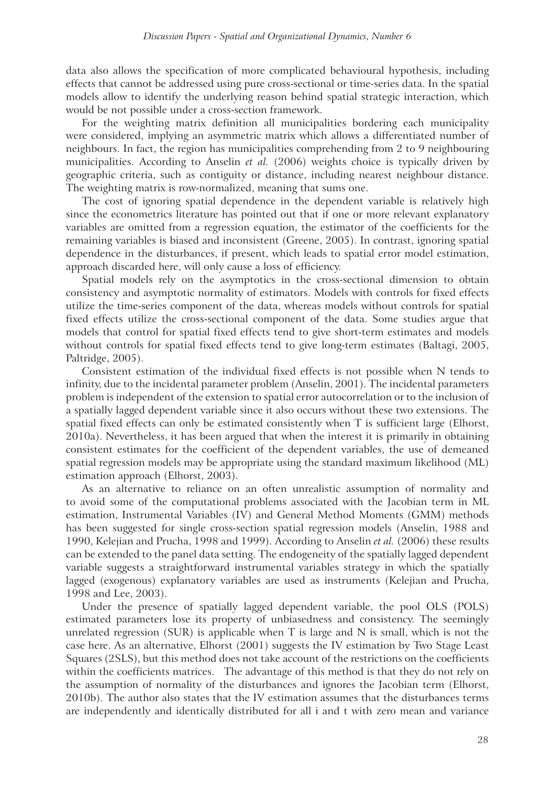data also allows the specification of more complicated behavioural hypothesis, including effects that cannot be addressed using pure cross-sectional or time-series data. In the spatial models allow to identify the underlying reason behind spatial strategic interaction, which would be not possible under a cross-section framework.

For the weighting matrix definition all municipalities bordering each municipality were considered, implying an asymmetric matrix which allows a differentiated number of neighbours. In fact, the region has municipalities comprehending from 2 to 9 neighbouring municipalities. According to Anselin *et al.* (2006) weights choice is typically driven by geographic criteria, such as contiguity or distance, including nearest neighbour distance. The weighting matrix is row-normalized, meaning that sums one.

The cost of ignoring spatial dependence in the dependent variable is relatively high since the econometrics literature has pointed out that if one or more relevant explanatory variables are omitted from a regression equation, the estimator of the coefficients for the remaining variables is biased and inconsistent (Greene, 2005). In contrast, ignoring spatial dependence in the disturbances, if present, which leads to spatial error model estimation, approach discarded here, will only cause a loss of efficiency.

Spatial models rely on the asymptotics in the cross-sectional dimension to obtain consistency and asymptotic normality of estimators. Models with controls for fixed effects utilize the time-series component of the data, whereas models without controls for spatial fixed effects utilize the cross-sectional component of the data. Some studies argue that models that control for spatial fixed effects tend to give short-term estimates and models without controls for spatial fixed effects tend to give long-term estimates (Baltagi, 2005, Paltridge, 2005).

Consistent estimation of the individual fixed effects is not possible when N tends to infinity, due to the incidental parameter problem (Anselin, 2001). The incidental parameters problem is independent of the extension to spatial error autocorrelation or to the inclusion of a spatially lagged dependent variable since it also occurs without these two extensions. The spatial fixed effects can only be estimated consistently when T is sufficient large (Elhorst, 2010a). Nevertheless, it has been argued that when the interest it is primarily in obtaining consistent estimates for the coefficient of the dependent variables, the use of demeaned spatial regression models may be appropriate using the standard maximum likelihood (ML) estimation approach (Elhorst, 2003).

As an alternative to reliance on an often unrealistic assumption of normality and to avoid some of the computational problems associated with the Jacobian term in ML estimation, Instrumental Variables (IV) and General Method Moments (GMM) methods has been suggested for single cross-section spatial regression models (Anselin, 1988 and 1990, Kelejian and Prucha, 1998 and 1999). According to Anselin *et al.* (2006) these results can be extended to the panel data setting. The endogeneity of the spatially lagged dependent variable suggests a straightforward instrumental variables strategy in which the spatially lagged (exogenous) explanatory variables are used as instruments (Kelejian and Prucha, 1998 and Lee, 2003).

Under the presence of spatially lagged dependent variable, the pool OLS (POLS) estimated parameters lose its property of unbiasedness and consistency. The seemingly unrelated regression (SUR) is applicable when T is large and N is small, which is not the case here. As an alternative, Elhorst (2001) suggests the IV estimation by Two Stage Least Squares (2SLS), but this method does not take account of the restrictions on the coefficients within the coefficients matrices. The advantage of this method is that they do not rely on the assumption of normality of the disturbances and ignores the Jacobian term (Elhorst, 2010b). The author also states that the IV estimation assumes that the disturbances terms are independently and identically distributed for all i and t with zero mean and variance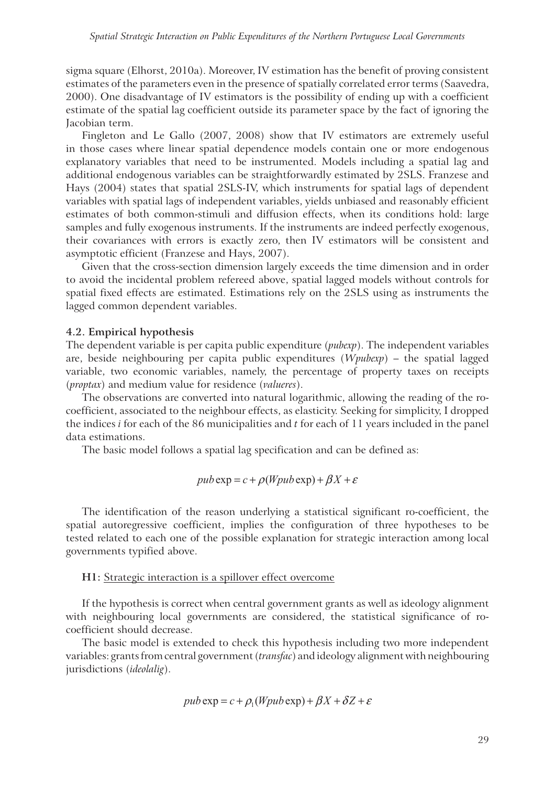sigma square (Elhorst, 2010a). Moreover, IV estimation has the benefit of proving consistent estimates of the parameters even in the presence of spatially correlated error terms (Saavedra, 2000). One disadvantage of IV estimators is the possibility of ending up with a coefficient estimate of the spatial lag coefficient outside its parameter space by the fact of ignoring the Jacobian term.

Fingleton and Le Gallo (2007, 2008) show that IV estimators are extremely useful in those cases where linear spatial dependence models contain one or more endogenous explanatory variables that need to be instrumented. Models including a spatial lag and additional endogenous variables can be straightforwardly estimated by 2SLS. Franzese and Hays (2004) states that spatial 2SLS-IV, which instruments for spatial lags of dependent variables with spatial lags of independent variables, yields unbiased and reasonably efficient estimates of both common-stimuli and diffusion effects, when its conditions hold: large samples and fully exogenous instruments. If the instruments are indeed perfectly exogenous, their covariances with errors is exactly zero, then IV estimators will be consistent and asymptotic efficient (Franzese and Hays, 2007).

Given that the cross-section dimension largely exceeds the time dimension and in order to avoid the incidental problem refereed above, spatial lagged models without controls for spatial fixed effects are estimated. Estimations rely on the 2SLS using as instruments the lagged common dependent variables.

#### **4.2. Empirical hypothesis**

The dependent variable is per capita public expenditure (*pubexp*). The independent variables are, beside neighbouring per capita public expenditures (*Wpubexp*) – the spatial lagged variable, two economic variables, namely, the percentage of property taxes on receipts (*proptax*) and medium value for residence (*valueres*).

The observations are converted into natural logarithmic, allowing the reading of the rocoefficient, associated to the neighbour effects, as elasticity. Seeking for simplicity, I dropped the indices *i* for each of the 86 municipalities and *t* for each of 11 years included in the panel data estimations.

The basic model follows a spatial lag specification and can be defined as:

$$
pub \exp = c + \rho (Wpub \exp) + \beta X + \varepsilon
$$

The identification of the reason underlying a statistical significant ro-coefficient, the spatial autoregressive coefficient, implies the configuration of three hypotheses to be tested related to each one of the possible explanation for strategic interaction among local governments typified above.

#### **H1:** Strategic interaction is a spillover effect overcome

If the hypothesis is correct when central government grants as well as ideology alignment with neighbouring local governments are considered, the statistical significance of rocoefficient should decrease.

The basic model is extended to check this hypothesis including two more independent variables: grants from central government (*transfac*) and ideology alignment with neighbouring jurisdictions (*ideolalig*).

$$
pub \exp = c + \rho_1 (Wpub \exp) + \beta X + \delta Z + \varepsilon
$$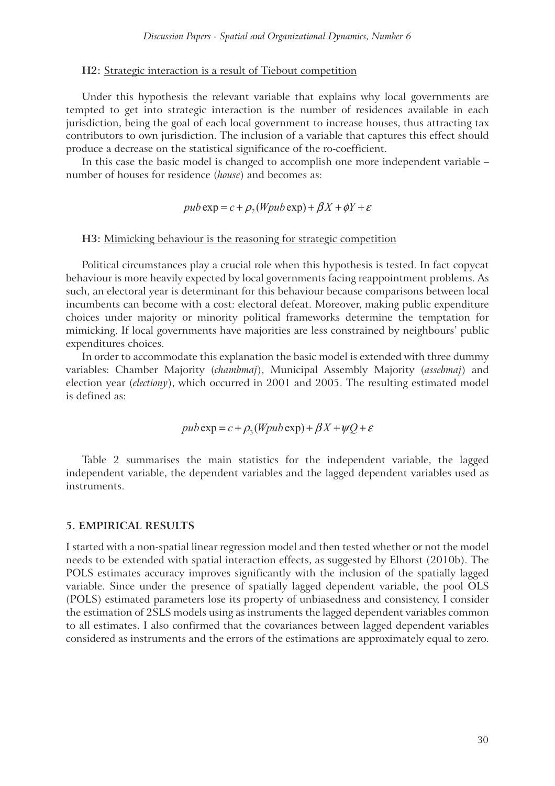#### **H2:** Strategic interaction is a result of Tiebout competition

Under this hypothesis the relevant variable that explains why local governments are tempted to get into strategic interaction is the number of residences available in each jurisdiction, being the goal of each local government to increase houses, thus attracting tax contributors to own jurisdiction. The inclusion of a variable that captures this effect should produce a decrease on the statistical significance of the ro-coefficient.

In this case the basic model is changed to accomplish one more independent variable – number of houses for residence (*house*) and becomes as:

$$
pub \exp = c + \rho_2 (Wpub \exp) + \beta X + \phi Y + \varepsilon
$$

#### **H3:** Mimicking behaviour is the reasoning for strategic competition

Political circumstances play a crucial role when this hypothesis is tested. In fact copycat behaviour is more heavily expected by local governments facing reappointment problems. As such, an electoral year is determinant for this behaviour because comparisons between local incumbents can become with a cost: electoral defeat. Moreover, making public expenditure choices under majority or minority political frameworks determine the temptation for mimicking. If local governments have majorities are less constrained by neighbours' public expenditures choices.

In order to accommodate this explanation the basic model is extended with three dummy variables: Chamber Majority (*chambmaj*), Municipal Assembly Majority (*assebmaj*) and election year (*electiony*), which occurred in 2001 and 2005. The resulting estimated model is defined as:

$$
pub \exp = c + \rho_3(Wpub \exp) + \beta X + \psi Q + \varepsilon
$$

Table 2 summarises the main statistics for the independent variable, the lagged independent variable, the dependent variables and the lagged dependent variables used as instruments.

#### **5. EMPIRICAL RESULTS**

I started with a non-spatial linear regression model and then tested whether or not the model needs to be extended with spatial interaction effects, as suggested by Elhorst (2010b). The POLS estimates accuracy improves significantly with the inclusion of the spatially lagged variable. Since under the presence of spatially lagged dependent variable, the pool OLS (POLS) estimated parameters lose its property of unbiasedness and consistency, I consider the estimation of 2SLS models using as instruments the lagged dependent variables common to all estimates. I also confirmed that the covariances between lagged dependent variables considered as instruments and the errors of the estimations are approximately equal to zero.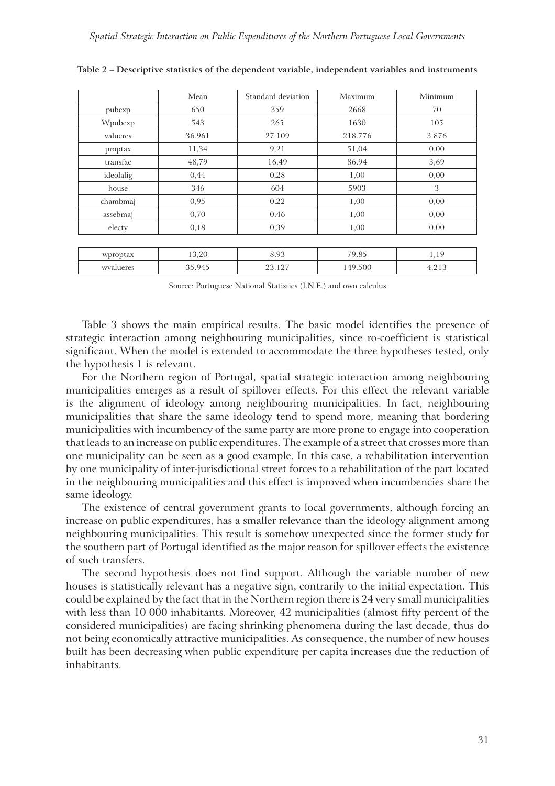|           | Mean   | Standard deviation | Maximum | Minimum |
|-----------|--------|--------------------|---------|---------|
| pubexp    | 650    | 359                | 2668    | 70      |
| Wpubexp   | 543    | 265                | 1630    | 105     |
| valueres  | 36.961 | 27.109             | 218.776 | 3.876   |
| proptax   | 11,34  | 9,21               | 51,04   | 0,00    |
| transfac  | 48,79  | 16,49              | 86,94   | 3,69    |
| ideolalig | 0,44   | 0,28               | 1,00    | 0,00    |
| house     | 346    | 604                | 5903    | 3       |
| chambmaj  | 0,95   | 0,22               | 1,00    | 0,00    |
| assebmaj  | 0,70   | 0,46               | 1,00    | 0,00    |
| electy    | 0,18   | 0,39               | 1,00    | 0,00    |
|           |        |                    |         |         |
| wproptax  | 13,20  | 8,93               | 79,85   | 1,19    |
| wyalueres | 35.945 | 23.127             | 149.500 | 4.213   |

**Table 2 – Descriptive statistics of the dependent variable, independent variables and instruments**

Source: Portuguese National Statistics (I.N.E.) and own calculus

Table 3 shows the main empirical results. The basic model identifies the presence of strategic interaction among neighbouring municipalities, since ro-coefficient is statistical significant. When the model is extended to accommodate the three hypotheses tested, only the hypothesis 1 is relevant.

For the Northern region of Portugal, spatial strategic interaction among neighbouring municipalities emerges as a result of spillover effects. For this effect the relevant variable is the alignment of ideology among neighbouring municipalities. In fact, neighbouring municipalities that share the same ideology tend to spend more, meaning that bordering municipalities with incumbency of the same party are more prone to engage into cooperation that leads to an increase on public expenditures. The example of a street that crosses more than one municipality can be seen as a good example. In this case, a rehabilitation intervention by one municipality of inter-jurisdictional street forces to a rehabilitation of the part located in the neighbouring municipalities and this effect is improved when incumbencies share the same ideology.

The existence of central government grants to local governments, although forcing an increase on public expenditures, has a smaller relevance than the ideology alignment among neighbouring municipalities. This result is somehow unexpected since the former study for the southern part of Portugal identified as the major reason for spillover effects the existence of such transfers.

The second hypothesis does not find support. Although the variable number of new houses is statistically relevant has a negative sign, contrarily to the initial expectation. This could be explained by the fact that in the Northern region there is 24 very small municipalities with less than 10 000 inhabitants. Moreover, 42 municipalities (almost fifty percent of the considered municipalities) are facing shrinking phenomena during the last decade, thus do not being economically attractive municipalities. As consequence, the number of new houses built has been decreasing when public expenditure per capita increases due the reduction of inhabitants.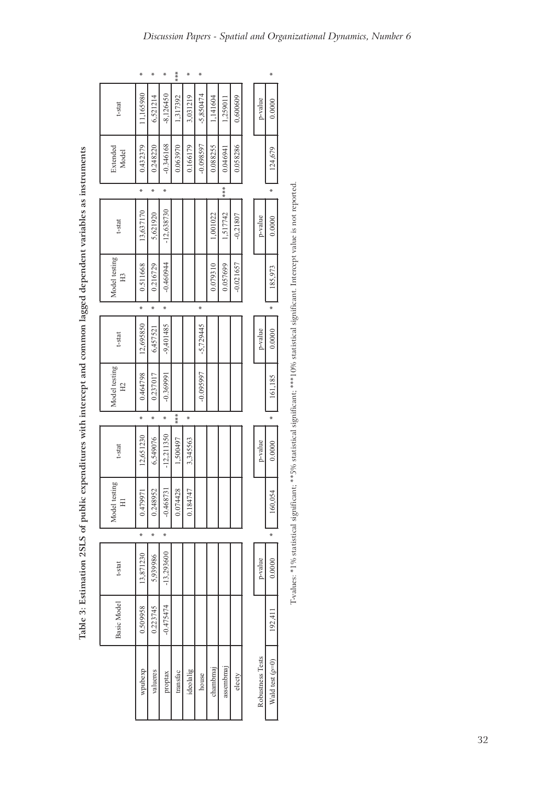|                             | ∗         | ⋇        | ⋇            | ****     | ⋇         | ⋇           |          |           |             |                  | ⋇                   |
|-----------------------------|-----------|----------|--------------|----------|-----------|-------------|----------|-----------|-------------|------------------|---------------------|
| t-stat                      | 11,165980 | 6,521214 | $-8,126450$  | 1,317392 | 3,031219  | $-5,850474$ | 1,141604 | 1,259011  | 0,600609    | p-value          | 0.0000              |
| Extended<br>Model           | 0.432379  | 0.248220 | $-0.346168$  | 0.063970 | 0.166179  | $-0.098597$ | 0.088255 | 0.046941  | 0.058286    |                  | 124,679             |
|                             | ∗         | *        | *            |          |           |             |          | ***       |             |                  | ∗                   |
| t-stat                      | 13,637170 | 5,621920 | $-12,638730$ |          |           |             | 1,001022 | 1,517742  | $-0.21807$  | p-value          | 0.0000              |
| Model testing<br>H3         | 0.511668  | 0.216729 | $-0.460944$  |          |           |             | 0.079310 | 0.057699  | $-0.021657$ |                  | 185,973             |
|                             | ∗         | *        | ∗            |          |           | ×           |          |           |             |                  | ∗                   |
| t-stat                      | 12,695850 | 6,457521 | $-9,401485$  |          |           | $-5,729445$ |          |           |             | p-value          | 0.0000              |
| Model testing<br>$\Xi$      | 0.464798  | 0.237017 | $-0.369991$  |          |           | $-0.095997$ |          |           |             |                  | 161,185             |
|                             | ∗         | ⋇        | ⋇            | ***      | ₩         |             |          |           |             |                  | ∗                   |
| t-stat                      | 12,651230 | 6,549076 | $-12,211350$ | 1,500497 | 3,345563  |             |          |           |             | p-value          | 0.0000              |
| þЙ<br>Model testin<br>$\Xi$ | 0.479971  | 0.248952 | $-0.468731$  | 0.074428 | 0.184747  |             |          |           |             |                  | 160,054             |
|                             | ∗         | ×        | ×            |          |           |             |          |           |             |                  | ∗                   |
| t-stat                      | 13,871230 | 5,939986 | $-13,293600$ |          |           |             |          |           |             | p-value          | 0.0000              |
| Basic Model                 | 0.509958  | 0.223745 | $-0.475474$  |          |           |             |          |           |             |                  | 192,411             |
|                             | wpubexp   | valueres | proptax      | transfac | ideolalig | house       | chambmaj | assembmaj | electy      | Robustness Tests | Wald test ( $p=0$ ) |

Table 3: Estimation 2SLS of public expenditures with intercept and common lagged dependent variables as instruments **Table 3: Estimation 2SLS of public expenditures with intercept and common lagged dependent variables as instruments**

T-values: \*1% statistical significant; \*\*5% statistical significant; \*\*\*10% statistical significant. Intercept value is not reported. T-values: \*1% statistical significant; \*\*5% statistical significant; \*\*\*10% statistical significant. Intercept value is not reported.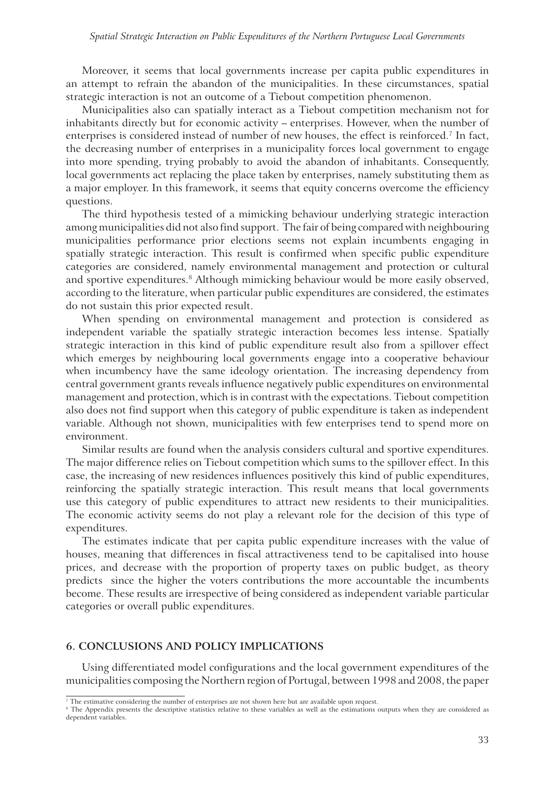Moreover, it seems that local governments increase per capita public expenditures in an attempt to refrain the abandon of the municipalities. In these circumstances, spatial strategic interaction is not an outcome of a Tiebout competition phenomenon.

Municipalities also can spatially interact as a Tiebout competition mechanism not for inhabitants directly but for economic activity – enterprises. However, when the number of enterprises is considered instead of number of new houses, the effect is reinforced.<sup>7</sup> In fact, the decreasing number of enterprises in a municipality forces local government to engage into more spending, trying probably to avoid the abandon of inhabitants. Consequently, local governments act replacing the place taken by enterprises, namely substituting them as a major employer. In this framework, it seems that equity concerns overcome the efficiency questions.

The third hypothesis tested of a mimicking behaviour underlying strategic interaction among municipalities did not also find support. The fair of being compared with neighbouring municipalities performance prior elections seems not explain incumbents engaging in spatially strategic interaction. This result is confirmed when specific public expenditure categories are considered, namely environmental management and protection or cultural and sportive expenditures.<sup>8</sup> Although mimicking behaviour would be more easily observed, according to the literature, when particular public expenditures are considered, the estimates do not sustain this prior expected result.

When spending on environmental management and protection is considered as independent variable the spatially strategic interaction becomes less intense. Spatially strategic interaction in this kind of public expenditure result also from a spillover effect which emerges by neighbouring local governments engage into a cooperative behaviour when incumbency have the same ideology orientation. The increasing dependency from central government grants reveals influence negatively public expenditures on environmental management and protection, which is in contrast with the expectations. Tiebout competition also does not find support when this category of public expenditure is taken as independent variable. Although not shown, municipalities with few enterprises tend to spend more on environment.

Similar results are found when the analysis considers cultural and sportive expenditures. The major difference relies on Tiebout competition which sums to the spillover effect. In this case, the increasing of new residences influences positively this kind of public expenditures, reinforcing the spatially strategic interaction. This result means that local governments use this category of public expenditures to attract new residents to their municipalities. The economic activity seems do not play a relevant role for the decision of this type of expenditures.

The estimates indicate that per capita public expenditure increases with the value of houses, meaning that differences in fiscal attractiveness tend to be capitalised into house prices, and decrease with the proportion of property taxes on public budget, as theory predicts since the higher the voters contributions the more accountable the incumbents become. These results are irrespective of being considered as independent variable particular categories or overall public expenditures.

#### **6. CONCLUSIONS AND POLICY IMPLICATIONS**

Using differentiated model configurations and the local government expenditures of the municipalities composing the Northern region of Portugal, between 1998 and 2008, the paper

<sup>7</sup> The estimative considering the number of enterprises are not shown here but are available upon request.

<sup>&</sup>lt;sup>8</sup> The Appendix presents the descriptive statistics relative to these variables as well as the estimations outputs when they are considered as dependent variables.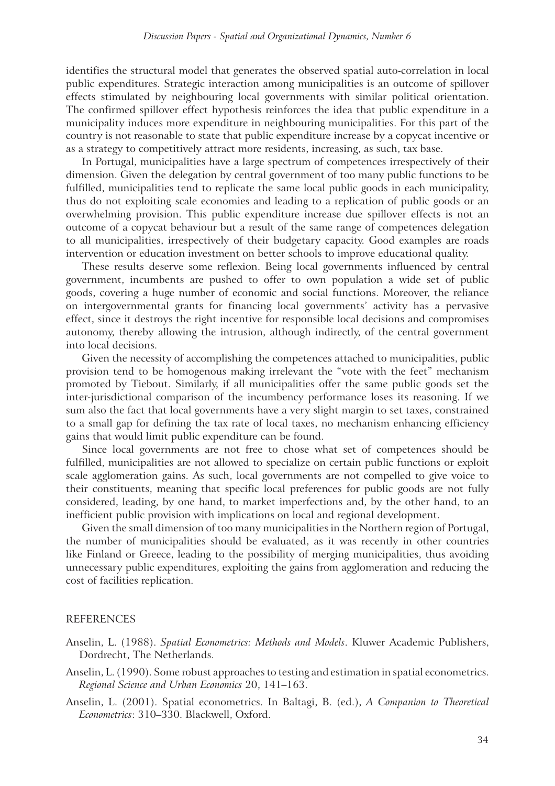identifies the structural model that generates the observed spatial auto-correlation in local public expenditures. Strategic interaction among municipalities is an outcome of spillover effects stimulated by neighbouring local governments with similar political orientation. The confirmed spillover effect hypothesis reinforces the idea that public expenditure in a municipality induces more expenditure in neighbouring municipalities. For this part of the country is not reasonable to state that public expenditure increase by a copycat incentive or as a strategy to competitively attract more residents, increasing, as such, tax base.

In Portugal, municipalities have a large spectrum of competences irrespectively of their dimension. Given the delegation by central government of too many public functions to be fulfilled, municipalities tend to replicate the same local public goods in each municipality, thus do not exploiting scale economies and leading to a replication of public goods or an overwhelming provision. This public expenditure increase due spillover effects is not an outcome of a copycat behaviour but a result of the same range of competences delegation to all municipalities, irrespectively of their budgetary capacity. Good examples are roads intervention or education investment on better schools to improve educational quality.

These results deserve some reflexion. Being local governments influenced by central government, incumbents are pushed to offer to own population a wide set of public goods, covering a huge number of economic and social functions. Moreover, the reliance on intergovernmental grants for financing local governments' activity has a pervasive effect, since it destroys the right incentive for responsible local decisions and compromises autonomy, thereby allowing the intrusion, although indirectly, of the central government into local decisions.

Given the necessity of accomplishing the competences attached to municipalities, public provision tend to be homogenous making irrelevant the "vote with the feet" mechanism promoted by Tiebout. Similarly, if all municipalities offer the same public goods set the inter-jurisdictional comparison of the incumbency performance loses its reasoning. If we sum also the fact that local governments have a very slight margin to set taxes, constrained to a small gap for defining the tax rate of local taxes, no mechanism enhancing efficiency gains that would limit public expenditure can be found.

Since local governments are not free to chose what set of competences should be fulfilled, municipalities are not allowed to specialize on certain public functions or exploit scale agglomeration gains. As such, local governments are not compelled to give voice to their constituents, meaning that specific local preferences for public goods are not fully considered, leading, by one hand, to market imperfections and, by the other hand, to an inefficient public provision with implications on local and regional development.

Given the small dimension of too many municipalities in the Northern region of Portugal, the number of municipalities should be evaluated, as it was recently in other countries like Finland or Greece, leading to the possibility of merging municipalities, thus avoiding unnecessary public expenditures, exploiting the gains from agglomeration and reducing the cost of facilities replication.

#### REFERENCES

- Anselin, L. (1988). *Spatial Econometrics: Methods and Models*. Kluwer Academic Publishers, Dordrecht, The Netherlands.
- Anselin, L. (1990). Some robust approaches to testing and estimation in spatial econometrics. *Regional Science and Urban Economics* 20, 141–163.
- Anselin, L. (2001). Spatial econometrics. In Baltagi, B. (ed.), *A Companion to Theoretical Econometrics*: 310–330. Blackwell, Oxford.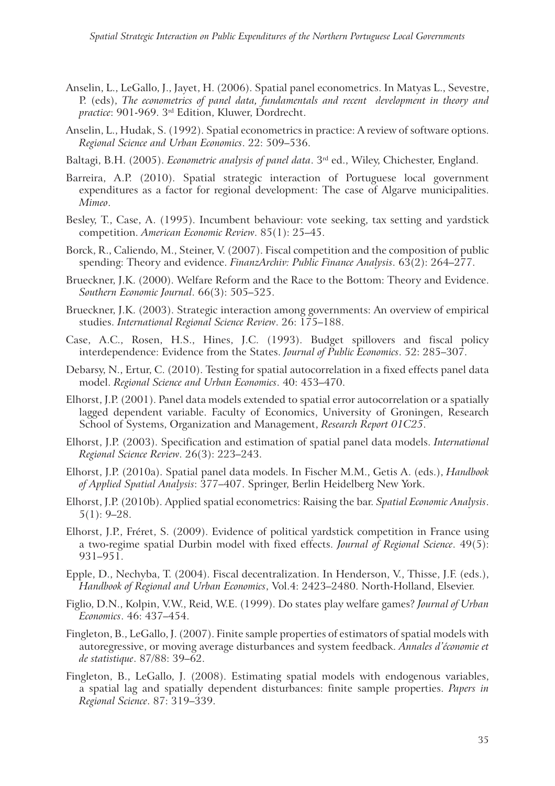- Anselin, L., LeGallo, J., Jayet, H. (2006). Spatial panel econometrics. In Matyas L., Sevestre, P. (eds), *The econometrics of panel data, fundamentals and recent development in theory and practice*: 901-969. 3rd Edition, Kluwer, Dordrecht.
- Anselin, L., Hudak, S. (1992). Spatial econometrics in practice: A review of software options. *Regional Science and Urban Economics*. 22: 509–536.
- Baltagi, B.H. (2005). *Econometric analysis of panel data*. 3rd ed., Wiley, Chichester, England.
- Barreira, A.P. (2010). Spatial strategic interaction of Portuguese local government expenditures as a factor for regional development: The case of Algarve municipalities. *Mimeo*.
- Besley, T., Case, A. (1995). Incumbent behaviour: vote seeking, tax setting and yardstick competition. *American Economic Review*. 85(1): 25–45.
- Borck, R., Caliendo, M., Steiner, V. (2007). Fiscal competition and the composition of public spending: Theory and evidence. *FinanzArchiv: Public Finance Analysis*. 63(2): 264–277.
- Brueckner, J.K. (2000). Welfare Reform and the Race to the Bottom: Theory and Evidence. *Southern Economic Journal*. 66(3): 505–525.
- Brueckner, J.K. (2003). Strategic interaction among governments: An overview of empirical studies. *International Regional Science Review*. 26: 175–188.
- Case, A.C., Rosen, H.S., Hines, J.C. (1993). Budget spillovers and fiscal policy interdependence: Evidence from the States. *Journal of Public Economics*. 52: 285–307.
- Debarsy, N., Ertur, C. (2010). Testing for spatial autocorrelation in a fixed effects panel data model. *Regional Science and Urban Economics*. 40: 453–470.
- Elhorst, J.P. (2001). Panel data models extended to spatial error autocorrelation or a spatially lagged dependent variable. Faculty of Economics, University of Groningen, Research School of Systems, Organization and Management, *Research Report 01C25*.
- Elhorst, J.P. (2003). Specification and estimation of spatial panel data models. *International Regional Science Review*. 26(3): 223–243.
- Elhorst, J.P. (2010a). Spatial panel data models. In Fischer M.M., Getis A. (eds.), *Handbook of Applied Spatial Analysis*: 377–407. Springer, Berlin Heidelberg New York.
- Elhorst, J.P. (2010b). Applied spatial econometrics: Raising the bar. *Spatial Economic Analysis*. 5(1): 9–28.
- Elhorst, J.P., Fréret, S. (2009). Evidence of political yardstick competition in France using a two-regime spatial Durbin model with fixed effects. *Journal of Regional Science*. 49(5): 931–951.
- Epple, D., Nechyba, T. (2004). Fiscal decentralization. In Henderson, V., Thisse, J.F. (eds.), *Handbook of Regional and Urban Economics*, Vol.4: 2423–2480. North-Holland, Elsevier.
- Figlio, D.N., Kolpin, V.W., Reid, W.E. (1999). Do states play welfare games? *Journal of Urban Economics*. 46: 437–454.
- Fingleton, B., LeGallo, J. (2007). Finite sample properties of estimators of spatial models with autoregressive, or moving average disturbances and system feedback. *Annales d'économie et de statistique*. 87/88: 39–62.
- Fingleton, B., LeGallo, J. (2008). Estimating spatial models with endogenous variables, a spatial lag and spatially dependent disturbances: finite sample properties. *Papers in Regional Science*. 87: 319–339.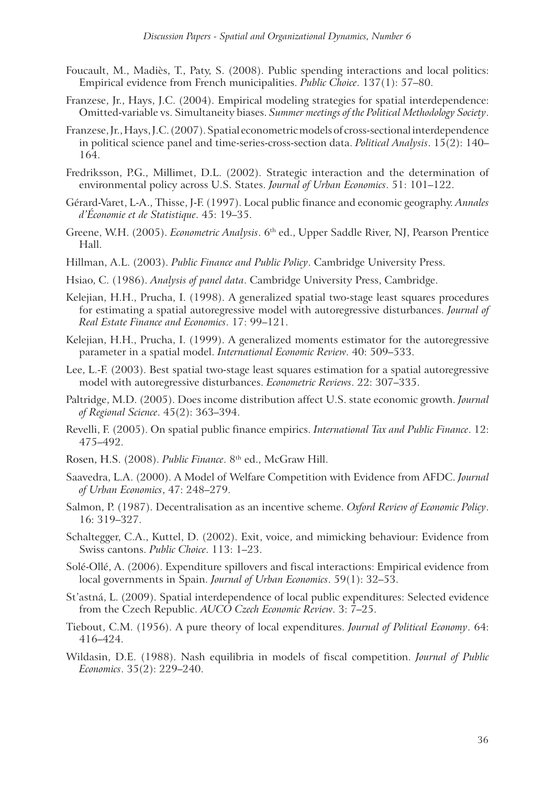- Foucault, M., Madiès, T., Paty, S. (2008). Public spending interactions and local politics: Empirical evidence from French municipalities. *Public Choice*. 137(1): 57–80.
- Franzese, Jr., Hays, J.C. (2004). Empirical modeling strategies for spatial interdependence: Omitted-variable vs. Simultaneity biases. *Summer meetings of the Political Methodology Society*.
- Franzese, Jr., Hays, J.C. (2007). Spatial econometric models of cross-sectional interdependence in political science panel and time-series-cross-section data. *Political Analysis*. 15(2): 140– 164.
- Fredriksson, P.G., Millimet, D.L. (2002). Strategic interaction and the determination of environmental policy across U.S. States. *Journal of Urban Economics*. 51: 101–122.
- Gérard-Varet, L-A., Thisse, J-F. (1997). Local public finance and economic geography. *Annales d'Économie et de Statistique*. 45: 19–35.
- Greene, W.H. (2005). *Econometric Analysis*. 6th ed., Upper Saddle River, NJ, Pearson Prentice Hall.
- Hillman, A.L. (2003). *Public Finance and Public Policy*. Cambridge University Press.
- Hsiao, C. (1986). *Analysis of panel data*. Cambridge University Press, Cambridge.
- Kelejian, H.H., Prucha, I. (1998). A generalized spatial two-stage least squares procedures for estimating a spatial autoregressive model with autoregressive disturbances. *Journal of Real Estate Finance and Economics*. 17: 99–121.
- Kelejian, H.H., Prucha, I. (1999). A generalized moments estimator for the autoregressive parameter in a spatial model. *International Economic Review*. 40: 509–533.
- Lee, L.-F. (2003). Best spatial two-stage least squares estimation for a spatial autoregressive model with autoregressive disturbances. *Econometric Reviews*. 22: 307–335.
- Paltridge, M.D. (2005). Does income distribution affect U.S. state economic growth. *Journal of Regional Science*. 45(2): 363–394.
- Revelli, F. (2005). On spatial public finance empirics. *International Tax and Public Finance*. 12: 475–492.
- Rosen, H.S. (2008). *Public Finance*. 8th ed., McGraw Hill.
- Saavedra, L.A. (2000). A Model of Welfare Competition with Evidence from AFDC. *Journal of Urban Economics*, 47: 248–279.
- Salmon, P. (1987). Decentralisation as an incentive scheme. *Oxford Review of Economic Policy*. 16: 319–327.
- Schaltegger, C.A., Kuttel, D. (2002). Exit, voice, and mimicking behaviour: Evidence from Swiss cantons. *Public Choice*. 113: 1–23.
- Solé-Ollé, A. (2006). Expenditure spillovers and fiscal interactions: Empirical evidence from local governments in Spain. *Journal of Urban Economics*. 59(1): 32–53.
- St'astná, L. (2009). Spatial interdependence of local public expenditures: Selected evidence from the Czech Republic. *AUCO Czech Economic Review*. 3: 7–25.
- Tiebout, C.M. (1956). A pure theory of local expenditures. *Journal of Political Economy*. 64: 416–424.
- Wildasin, D.E. (1988). Nash equilibria in models of fiscal competition. *Journal of Public Economics*. 35(2): 229–240.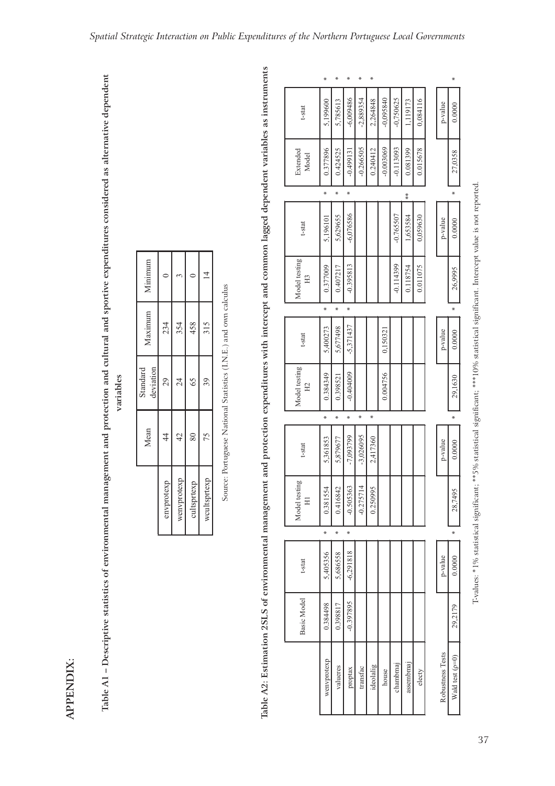Table A1 - Descriptive statistics of environmental management and protection and cultural and sportive expenditures considered as alternative dependent **Table A1 – Descriptive statistics of environmental management and protection and cultural and sportive expenditures considered as alternative dependent variables**

| Minimum               |               |                |                | $\overline{4}$ |
|-----------------------|---------------|----------------|----------------|----------------|
| Maximum               | 234           | 354            | 458            | 315            |
| deviation<br>Standard | 29            | $\frac{24}{3}$ | 65             | 39             |
| Mean                  | $\frac{4}{3}$ | $\frac{1}{4}$  | $\frac{80}{2}$ | 75             |
|                       | envprotexp    | wenvprotexp    | cultsprtexp    | wcultsprtexp   |

Source: Portuguese National Statistics (I.N.E.) and own calculus Source: Portuguese National Statistics (I.N.E.) and own calculus Table A2: Estimation 2SLS of environmental management and protection expenditures with intercept and common lagged dependent variables as instruments **Table A2: Estimation 2SLS of environmental management and protection expenditures with intercept and common lagged dependent variables as instruments**

|                                 | ×           | ×        | ∗           | ₩           | ∗         |             |             |           |          |                  | ∗                 |
|---------------------------------|-------------|----------|-------------|-------------|-----------|-------------|-------------|-----------|----------|------------------|-------------------|
| t-stat                          | 5,199600    | 5,785613 | $-6,009486$ | $-2,889354$ | 2,264848  | $-0,095840$ | $-0,750625$ | 1,119173  | 0,084116 | p-value          | 0.0000            |
| Extended<br>Model               | 0.377896    | 0.424525 | $-0.499131$ | $-0.266505$ | 0.240412  | $-0.003069$ | $-0.113093$ | 0.081399  | 0.015678 |                  | 27,0358           |
|                                 | ₩           | ¥        | ₩           |             |           |             |             | $* *$     |          |                  | ∗                 |
| t-stat                          | 5,196101    | 5,629655 | $-6,076586$ |             |           |             | $-0.765507$ | 1,653584  | 0,059630 | p-value          | 0.0000            |
| Model testing<br>H3             | 0.377009    | 0.407217 | $-0.395813$ |             |           |             | $-0.114399$ | 0.118754  | 0.011075 |                  | 26,9995           |
|                                 | ¥           | ¥        | ∗           |             |           |             |             |           |          |                  | ∗                 |
| t-stat                          | 5,400273    | 5,677498 | $-5,371437$ |             |           | 0,150321    |             |           |          | p-value          | 0.0000            |
| Model testing<br>H <sub>2</sub> | 0.384349    | 0.398521 | $-0.404009$ |             |           | 0.004756    |             |           |          |                  | 29,1630           |
|                                 | ¥           | ∗        | ∗           | ×           | ×         |             |             |           |          |                  | ∗                 |
| t-stat                          | 5,361853    | 5,879677 | $-7,093799$ | $-3,026095$ | 2,417360  |             |             |           |          | p-value          | 0.0000            |
| Model testing<br>$\Xi$          | 0.381554    | 0.416842 | $-0.505363$ | $-0.275714$ | 0.250995  |             |             |           |          |                  | 95<br>28,749      |
|                                 | ×           | ∗        | ∗           |             |           |             |             |           |          |                  | ∗                 |
| t-stat                          | 5,405356    | 5,686558 | $-6,291818$ |             |           |             |             |           |          | p-value          | 0.0000            |
| Basic Model                     | 0.384498    | 0.398817 | -0.397895   |             |           |             |             |           |          |                  | 29,2179           |
|                                 | wenvprotexp | valueres | proptax     | transfac    | ideolalig | house       | chambmaj    | assembmaj | electy   | Robustness Tests | Wald test $(p=0)$ |

T-values: \*1% statistical significant; \*\*5% statistical significant; \*\*\*10% statistical significant. Intercept value is not reported.

T-values: \*1% statistical significant; \*\*5% statistical significant; \*\*\*\*10% statistical significant. Intercept value is not reported.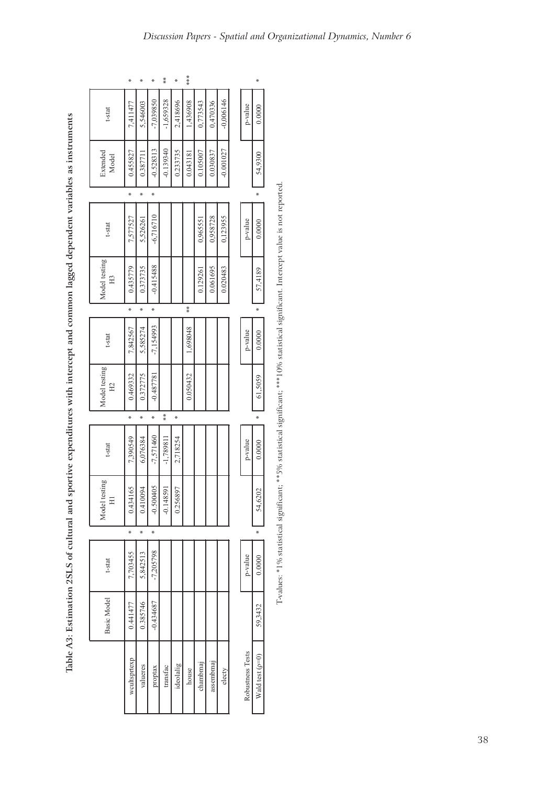| t-stat      |   | Model testing<br>$\Xi$ | t-stat      |       | Model testing<br>H <sub>2</sub> | t-stat      |     | Model testing<br>H <sub>3</sub> | t-stat      |   | Extended<br>Model | t-stat      |     |
|-------------|---|------------------------|-------------|-------|---------------------------------|-------------|-----|---------------------------------|-------------|---|-------------------|-------------|-----|
| 7,703455    | × | 65<br>0.4341           | 7,390549    | ×     | 0.469332                        | 7,842567    | ×   | 0.435779                        | 7,577527    | × | 0.455827          | 7,411477    | ∗   |
| 5,842513    | ¥ | 0.410094               | 6,076384    | ∗     | 0.372775                        | 5,585274    | ¥   | 0.373735                        | 5,526261    | × | 0.387711          | 5,546003    | ∗   |
| $-7,205798$ | ∗ | $-0.500405$            | $-7,571460$ | ∗     | $-0.487781$                     | $-7,154993$ | ×   | $-0.415488$                     | $-6,716710$ | ₩ | $-0.528313$       | $-7,039850$ | ∗   |
|             |   | $-0.148591$            | $-1,789811$ | $* *$ |                                 |             |     |                                 |             |   | $-0.139340$       | $-1,659328$ | **  |
|             |   | 0.256897               | 2,718254    | ×     |                                 |             |     |                                 |             |   | 0.233735          | 2,418696    | ₩   |
|             |   |                        |             |       | 0.050432                        | 860869      | $*$ |                                 |             |   | 0.043181          | 1,436908    | *** |
|             |   |                        |             |       |                                 |             |     | 0.129261                        | 0,96551     |   | 0.105007          | 0,773543    |     |
|             |   |                        |             |       |                                 |             |     | 0.061695                        | 0,958728    |   | 0.030837          | 0,470336    |     |
|             |   |                        |             |       |                                 |             |     | 0.020483                        | 0,123955    |   | $-0.001027$       | $-0,006146$ |     |
|             |   |                        |             |       |                                 |             |     |                                 |             |   |                   |             |     |
| p-value     |   |                        | p-value     |       |                                 | p-value     |     |                                 | p-value     |   |                   | p-value     |     |
| 0.0000      | ¥ | $\approx$<br>54,62     | 0.0000      | ×     | 61,5059                         | 0.0000      | ∗   | 57,4189                         | 0.0000      | × | 54,9300           | 0.0000      | ⋇   |

Table A3: Estimation 2SLS of cultural and sportive expenditures with intercept and common lagged dependent variables as instruments **Table A3: Estimation 2SLS of cultural and sportive expenditures with intercept and common lagged dependent variables as instruments**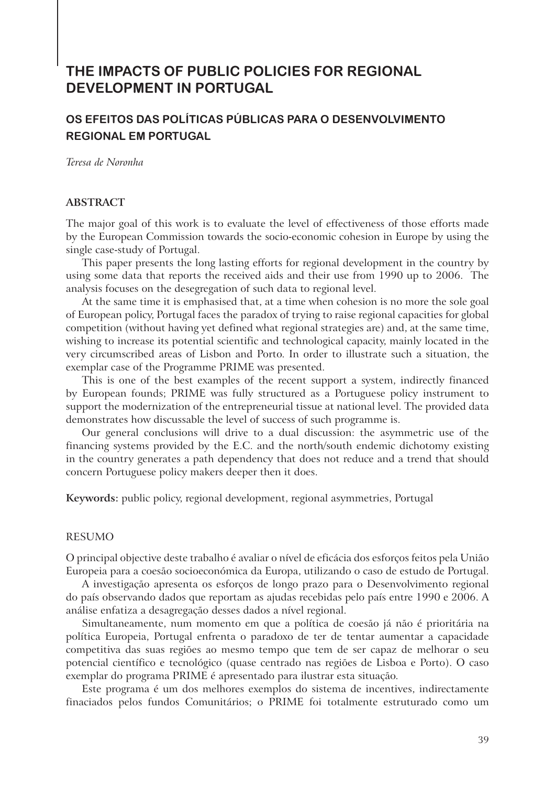# **THE IMPACTS OF PUBLIC POLICIES FOR REGIONAL DEVELOPMENT IN PORTUGAL**

# **OS EFEITOS DAS POLÍTICAS PÚBLICAS PARA O DESENVOLVIMENTO REGIONAL EM PORTUGAL**

*Teresa de Noronha*

### **ABSTRACT**

The major goal of this work is to evaluate the level of effectiveness of those efforts made by the European Commission towards the socio-economic cohesion in Europe by using the single case-study of Portugal.

This paper presents the long lasting efforts for regional development in the country by using some data that reports the received aids and their use from 1990 up to 2006. The analysis focuses on the desegregation of such data to regional level.

At the same time it is emphasised that, at a time when cohesion is no more the sole goal of European policy, Portugal faces the paradox of trying to raise regional capacities for global competition (without having yet defined what regional strategies are) and, at the same time, wishing to increase its potential scientific and technological capacity, mainly located in the very circumscribed areas of Lisbon and Porto. In order to illustrate such a situation, the exemplar case of the Programme PRIME was presented.

This is one of the best examples of the recent support a system, indirectly financed by European founds; PRIME was fully structured as a Portuguese policy instrument to support the modernization of the entrepreneurial tissue at national level. The provided data demonstrates how discussable the level of success of such programme is.

Our general conclusions will drive to a dual discussion: the asymmetric use of the financing systems provided by the E.C. and the north/south endemic dichotomy existing in the country generates a path dependency that does not reduce and a trend that should concern Portuguese policy makers deeper then it does.

**Keywords:** public policy, regional development, regional asymmetries, Portugal

### RESUMO

O principal objective deste trabalho é avaliar o nível de eficácia dos esforços feitos pela União Europeia para a coesão socioeconómica da Europa, utilizando o caso de estudo de Portugal.

A investigação apresenta os esforços de longo prazo para o Desenvolvimento regional do país observando dados que reportam as ajudas recebidas pelo país entre 1990 e 2006. A análise enfatiza a desagregação desses dados a nível regional.

Simultaneamente, num momento em que a política de coesão já não é prioritária na política Europeia, Portugal enfrenta o paradoxo de ter de tentar aumentar a capacidade competitiva das suas regiões ao mesmo tempo que tem de ser capaz de melhorar o seu potencial científico e tecnológico (quase centrado nas regiões de Lisboa e Porto). O caso exemplar do programa PRIME é apresentado para ilustrar esta situação.

Este programa é um dos melhores exemplos do sistema de incentives, indirectamente finaciados pelos fundos Comunitários; o PRIME foi totalmente estruturado como um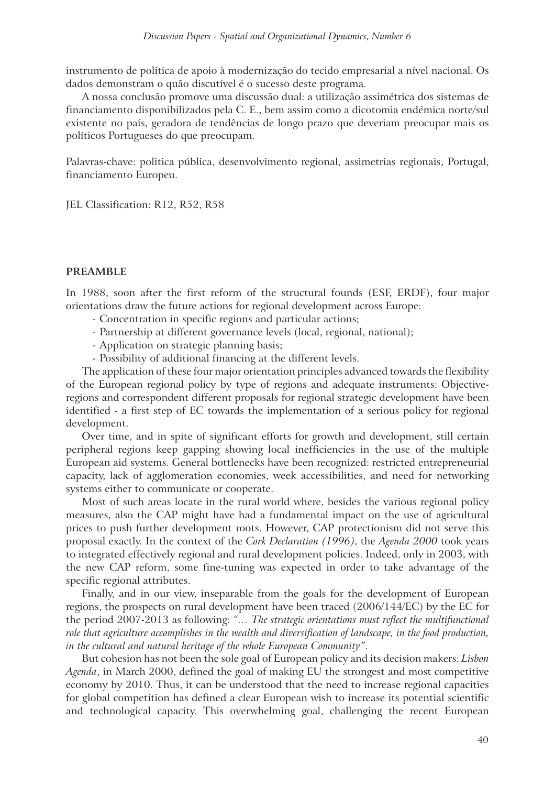instrumento de política de apoio à modernização do tecido empresarial a nível nacional. Os dados demonstram o quão discutível é o sucesso deste programa.

A nossa conclusão promove uma discussão dual: a utilização assimétrica dos sistemas de financiamento disponibilizados pela C. E., bem assim como a dicotomia endémica norte/sul existente no país, geradora de tendências de longo prazo que deveriam preocupar mais os políticos Portugueses do que preocupam.

Palavras-chave: politica pública, desenvolvimento regional, assimetrias regionais, Portugal, financiamento Europeu.

JEL Classification: R12, R52, R58

#### **PREAMBLE**

In 1988, soon after the first reform of the structural founds (ESF, ERDF), four major orientations draw the future actions for regional development across Europe:

- Concentration in specific regions and particular actions;
- Partnership at different governance levels (local, regional, national);
- Application on strategic planning basis;
- Possibility of additional financing at the different levels.

The application of these four major orientation principles advanced towards the flexibility of the European regional policy by type of regions and adequate instruments: Objectiveregions and correspondent different proposals for regional strategic development have been identified - a first step of EC towards the implementation of a serious policy for regional development.

Over time, and in spite of significant efforts for growth and development, still certain peripheral regions keep gapping showing local inefficiencies in the use of the multiple European aid systems. General bottlenecks have been recognized: restricted entrepreneurial capacity, lack of agglomeration economies, week accessibilities, and need for networking systems either to communicate or cooperate.

Most of such areas locate in the rural world where, besides the various regional policy measures, also the CAP might have had a fundamental impact on the use of agricultural prices to push further development roots. However, CAP protectionism did not serve this proposal exactly. In the context of the *Cork Declaration (1996)*, the *Agenda 2000* took years to integrated effectively regional and rural development policies. Indeed, only in 2003, with the new CAP reform, some fine-tuning was expected in order to take advantage of the specific regional attributes.

Finally, and in our view, inseparable from the goals for the development of European regions, the prospects on rural development have been traced (2006/144/EC) by the EC for the period 2007-2013 as following: *"… The strategic orientations must reflect the multifunctional role that agriculture accomplishes in the wealth and diversification of landscape, in the food production, in the cultural and natural heritage of the whole European Community"*.

But cohesion has not been the sole goal of European policy and its decision makers: *Lisbon Agenda*, in March 2000, defined the goal of making EU the strongest and most competitive economy by 2010. Thus, it can be understood that the need to increase regional capacities for global competition has defined a clear European wish to increase its potential scientific and technological capacity. This overwhelming goal, challenging the recent European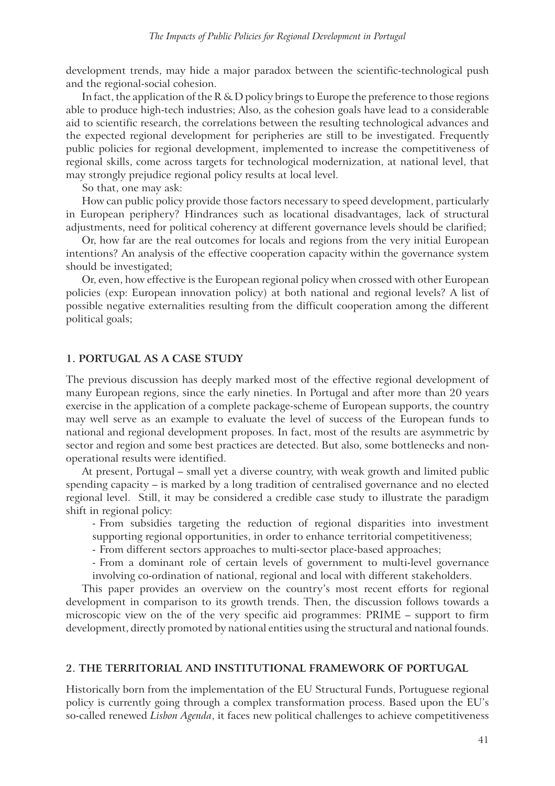development trends, may hide a major paradox between the scientific-technological push and the regional-social cohesion.

In fact, the application of the  $R \& D$  policy brings to Europe the preference to those regions able to produce high-tech industries; Also, as the cohesion goals have lead to a considerable aid to scientific research, the correlations between the resulting technological advances and the expected regional development for peripheries are still to be investigated. Frequently public policies for regional development, implemented to increase the competitiveness of regional skills, come across targets for technological modernization, at national level, that may strongly prejudice regional policy results at local level.

So that, one may ask:

How can public policy provide those factors necessary to speed development, particularly in European periphery? Hindrances such as locational disadvantages, lack of structural adjustments, need for political coherency at different governance levels should be clarified;

Or, how far are the real outcomes for locals and regions from the very initial European intentions? An analysis of the effective cooperation capacity within the governance system should be investigated;

Or, even, how effective is the European regional policy when crossed with other European policies (exp: European innovation policy) at both national and regional levels? A list of possible negative externalities resulting from the difficult cooperation among the different political goals;

#### **1. PORTUGAL AS A CASE STUDY**

The previous discussion has deeply marked most of the effective regional development of many European regions, since the early nineties. In Portugal and after more than 20 years exercise in the application of a complete package-scheme of European supports, the country may well serve as an example to evaluate the level of success of the European funds to national and regional development proposes. In fact, most of the results are asymmetric by sector and region and some best practices are detected. But also, some bottlenecks and nonoperational results were identified.

At present, Portugal – small yet a diverse country, with weak growth and limited public spending capacity – is marked by a long tradition of centralised governance and no elected regional level. Still, it may be considered a credible case study to illustrate the paradigm shift in regional policy:

- From subsidies targeting the reduction of regional disparities into investment

- supporting regional opportunities, in order to enhance territorial competitiveness;
- From different sectors approaches to multi-sector place-based approaches;

 - From a dominant role of certain levels of government to multi-level governance involving co-ordination of national, regional and local with different stakeholders.

This paper provides an overview on the country's most recent efforts for regional development in comparison to its growth trends. Then, the discussion follows towards a microscopic view on the of the very specific aid programmes: PRIME – support to firm development, directly promoted by national entities using the structural and national founds.

#### **2. THE TERRITORIAL AND INSTITUTIONAL FRAMEWORK OF PORTUGAL**

Historically born from the implementation of the EU Structural Funds, Portuguese regional policy is currently going through a complex transformation process. Based upon the EU's so-called renewed *Lisbon Agenda*, it faces new political challenges to achieve competitiveness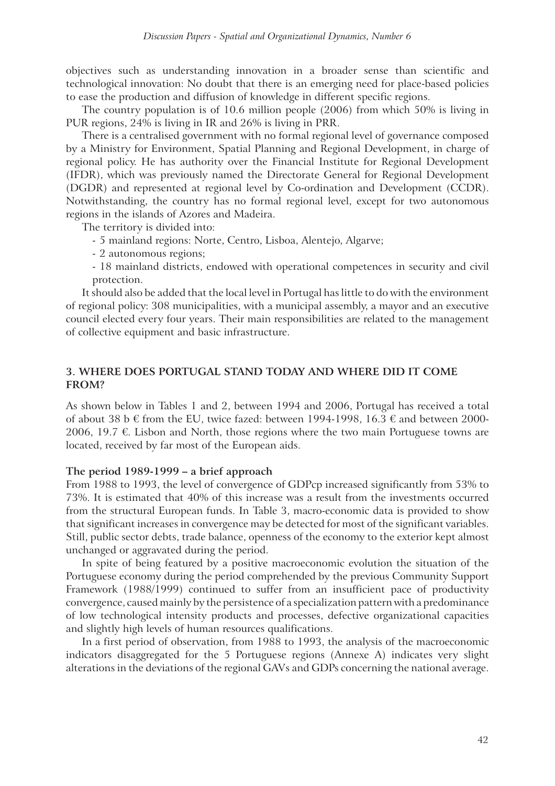objectives such as understanding innovation in a broader sense than scientific and technological innovation: No doubt that there is an emerging need for place-based policies to ease the production and diffusion of knowledge in different specific regions.

The country population is of 10.6 million people (2006) from which 50% is living in PUR regions, 24% is living in IR and 26% is living in PRR.

There is a centralised government with no formal regional level of governance composed by a Ministry for Environment, Spatial Planning and Regional Development, in charge of regional policy. He has authority over the Financial Institute for Regional Development (IFDR), which was previously named the Directorate General for Regional Development (DGDR) and represented at regional level by Co-ordination and Development (CCDR). Notwithstanding, the country has no formal regional level, except for two autonomous regions in the islands of Azores and Madeira.

The territory is divided into:

- 5 mainland regions: Norte, Centro, Lisboa, Alentejo, Algarve;
- 2 autonomous regions;
- 18 mainland districts, endowed with operational competences in security and civil protection.

It should also be added that the local level in Portugal has little to do with the environment of regional policy: 308 municipalities, with a municipal assembly, a mayor and an executive council elected every four years. Their main responsibilities are related to the management of collective equipment and basic infrastructure.

# **3. WHERE DOES PORTUGAL STAND TODAY AND WHERE DID IT COME FROM?**

As shown below in Tables 1 and 2, between 1994 and 2006, Portugal has received a total of about 38 b  $\epsilon$  from the EU, twice fazed: between 1994-1998, 16.3  $\epsilon$  and between 2000-2006, 19.7  $\epsilon$ . Lisbon and North, those regions where the two main Portuguese towns are located, received by far most of the European aids.

#### **The period 1989-1999 – a brief approach**

From 1988 to 1993, the level of convergence of GDPcp increased significantly from 53% to 73%. It is estimated that 40% of this increase was a result from the investments occurred from the structural European funds. In Table 3, macro-economic data is provided to show that significant increases in convergence may be detected for most of the significant variables. Still, public sector debts, trade balance, openness of the economy to the exterior kept almost unchanged or aggravated during the period.

In spite of being featured by a positive macroeconomic evolution the situation of the Portuguese economy during the period comprehended by the previous Community Support Framework (1988/1999) continued to suffer from an insufficient pace of productivity convergence, caused mainly by the persistence of a specialization pattern with a predominance of low technological intensity products and processes, defective organizational capacities and slightly high levels of human resources qualifications.

In a first period of observation, from 1988 to 1993, the analysis of the macroeconomic indicators disaggregated for the 5 Portuguese regions (Annexe A) indicates very slight alterations in the deviations of the regional GAVs and GDPs concerning the national average.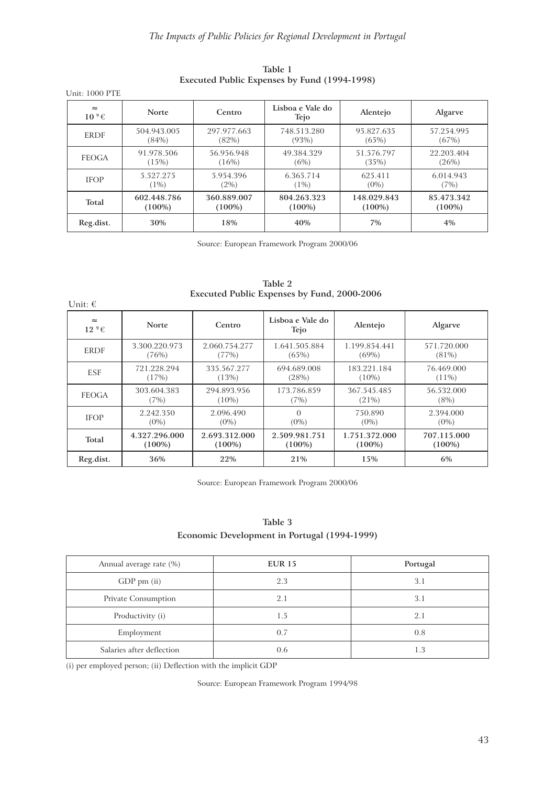| Unit: 1000 PTE                 |              |             |                          |             |                |
|--------------------------------|--------------|-------------|--------------------------|-------------|----------------|
| $\approx$<br>10 <sup>⁶</sup> € | <b>Norte</b> | Centro      | Lisboa e Vale do<br>Tejo | Alentejo    | <b>Algarve</b> |
| <b>ERDF</b>                    | 504.943.005  | 297.977.663 | 748.513.280              | 95.827.635  | 57.254.995     |
|                                | (84%)        | (82%)       | (93%)                    | (65%)       | (67%)          |
| <b>FEOGA</b>                   | 91.978.506   | 56.956.948  | 49.384.329               | 51.576.797  | 22.203.404     |
|                                | (15%)        | (16%)       | (6%)                     | (35%)       | (26%)          |
| <b>IFOP</b>                    | 5.527.275    | 5.954.396   | 6.365.714                | 625.411     | 6.014.943      |
|                                | $1\%)$       | $(2\%)$     | $(1\%)$                  | $(0\%)$     | (7%)           |
| Total                          | 602.448.786  | 360.889.007 | 804.263.323              | 148.029.843 | 85.473.342     |
|                                | $(100\%)$    | $(100\%)$   | $(100\%)$                | $(100\%)$   | $(100\%)$      |
| Reg.dist.                      | 30%          | 18%         | 40%                      | 7%          | 4%             |

**Table 1 Executed Public Expenses by Fund (1994-1998)**

Source: European Framework Program 2000/06

| Unit: $\in$            |               |               | <b>EXCUTCU I GUIL EXPLISES DY FUILG, 2000-2000</b> |               |                |
|------------------------|---------------|---------------|----------------------------------------------------|---------------|----------------|
| $\approx$<br>$129 \in$ | <b>Norte</b>  | Centro        | Lisboa e Vale do<br>Tejo                           | Alentejo      | <b>Algarve</b> |
| <b>ERDF</b>            | 3.300.220.973 | 2.060.754.277 | 1.641.505.884                                      | 1.199.854.441 | 571.720.000    |
|                        | (76%)         | (77%)         | (65%)                                              | (69%)         | $(81\%)$       |
| <b>ESF</b>             | 721.228.294   | 335.567.277   | 694.689.008                                        | 183.221.184   | 76.469.000     |
|                        | (17%)         | (13%)         | (28%)                                              | $(10\%)$      | $(11\%)$       |
| <b>FEOGA</b>           | 303.604.383   | 294.893.956   | 173.786.859                                        | 367.545.485   | 56.532.000     |
|                        | (7%)          | $(10\%)$      | (7%)                                               | $(21\%)$      | $(8\%)$        |
| <b>IFOP</b>            | 2.242.350     | 2.096.490     | $\Omega$                                           | 750.890       | 2.394.000      |
|                        | $(0\%)$       | $(0\%)$       | $(0\%)$                                            | $(0\%)$       | $(0\%)$        |
| Total                  | 4.327.296.000 | 2.693.312.000 | 2.509.981.751                                      | 1.751.372.000 | 707.115.000    |
|                        | $(100\%)$     | $(100\%)$     | $(100\%)$                                          | $(100\%)$     | $(100\%)$      |
| Reg.dist.              | 36%           | 22%           | 21%                                                | 15%           | 6%             |

**Table 2 Executed Public Expenses by Fund, 2000-2006**

Source: European Framework Program 2000/06

| Table 3                                      |
|----------------------------------------------|
| Economic Development in Portugal (1994-1999) |

| Annual average rate (%)   | <b>EUR 15</b> | Portugal |
|---------------------------|---------------|----------|
| GDP pm (ii)               | 2.3           | 3.1      |
| Private Consumption       | 2.1           | 3.1      |
| Productivity (i)          | 1.5           | 2.1      |
| Employment                | 0.7           | 0.8      |
| Salaries after deflection | 0.6           | 1.3      |

(i) per employed person; (ii) Deflection with the implicit GDP

Source: European Framework Program 1994/98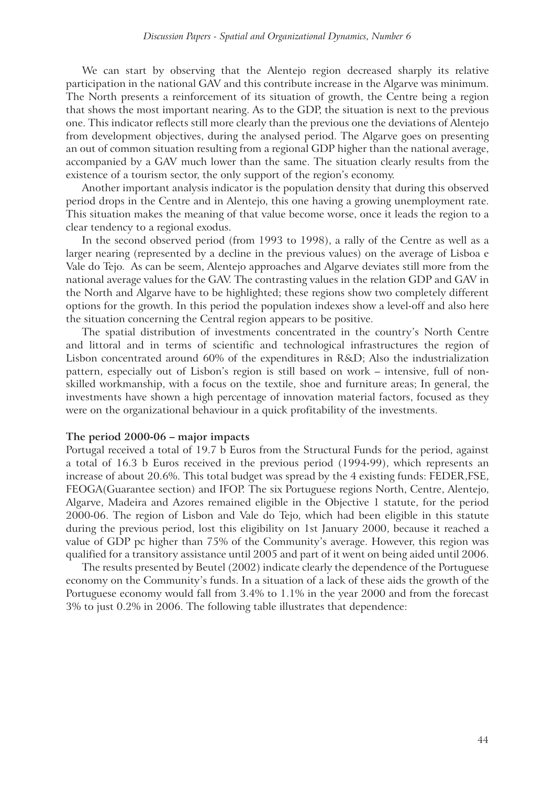We can start by observing that the Alentejo region decreased sharply its relative participation in the national GAV and this contribute increase in the Algarve was minimum. The North presents a reinforcement of its situation of growth, the Centre being a region that shows the most important nearing. As to the GDP, the situation is next to the previous one. This indicator reflects still more clearly than the previous one the deviations of Alentejo from development objectives, during the analysed period. The Algarve goes on presenting an out of common situation resulting from a regional GDP higher than the national average, accompanied by a GAV much lower than the same. The situation clearly results from the existence of a tourism sector, the only support of the region's economy.

Another important analysis indicator is the population density that during this observed period drops in the Centre and in Alentejo, this one having a growing unemployment rate. This situation makes the meaning of that value become worse, once it leads the region to a clear tendency to a regional exodus.

In the second observed period (from 1993 to 1998), a rally of the Centre as well as a larger nearing (represented by a decline in the previous values) on the average of Lisboa e Vale do Tejo. As can be seem, Alentejo approaches and Algarve deviates still more from the national average values for the GAV. The contrasting values in the relation GDP and GAV in the North and Algarve have to be highlighted; these regions show two completely different options for the growth. In this period the population indexes show a level-off and also here the situation concerning the Central region appears to be positive.

The spatial distribution of investments concentrated in the country's North Centre and littoral and in terms of scientific and technological infrastructures the region of Lisbon concentrated around 60% of the expenditures in R&D; Also the industrialization pattern, especially out of Lisbon's region is still based on work – intensive, full of nonskilled workmanship, with a focus on the textile, shoe and furniture areas; In general, the investments have shown a high percentage of innovation material factors, focused as they were on the organizational behaviour in a quick profitability of the investments.

#### **The period 2000-06 – major impacts**

Portugal received a total of 19.7 b Euros from the Structural Funds for the period, against a total of 16.3 b Euros received in the previous period (1994-99), which represents an increase of about 20.6%. This total budget was spread by the 4 existing funds: FEDER,FSE, FEOGA(Guarantee section) and IFOP. The six Portuguese regions North, Centre, Alentejo, Algarve, Madeira and Azores remained eligible in the Objective 1 statute, for the period 2000-06. The region of Lisbon and Vale do Tejo, which had been eligible in this statute during the previous period, lost this eligibility on 1st January 2000, because it reached a value of GDP pc higher than 75% of the Community's average. However, this region was qualified for a transitory assistance until 2005 and part of it went on being aided until 2006.

The results presented by Beutel (2002) indicate clearly the dependence of the Portuguese economy on the Community's funds. In a situation of a lack of these aids the growth of the Portuguese economy would fall from 3.4% to 1.1% in the year 2000 and from the forecast 3% to just 0.2% in 2006. The following table illustrates that dependence: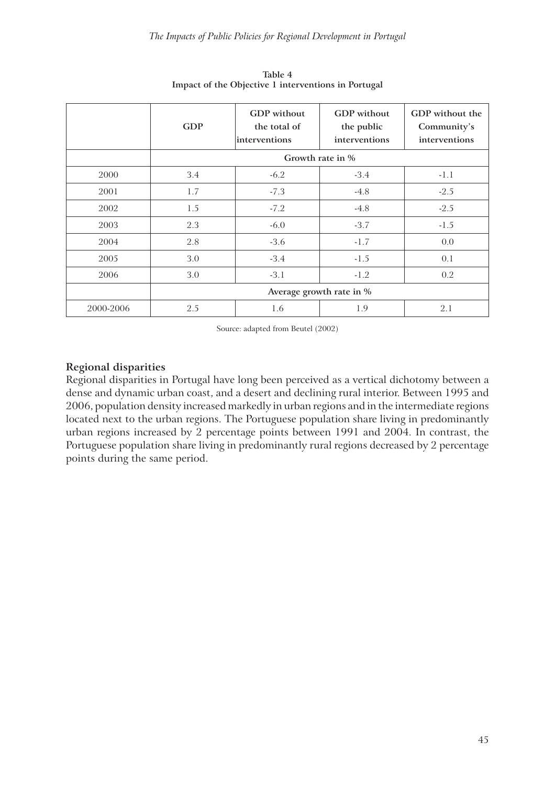|           | <b>GDP</b> | <b>GDP</b> without<br>the total of<br>interventions | <b>GDP</b> without<br>the public<br>interventions | GDP without the<br>Community's<br>interventions |
|-----------|------------|-----------------------------------------------------|---------------------------------------------------|-------------------------------------------------|
|           |            |                                                     | Growth rate in %                                  |                                                 |
| 2000      | 3.4        | $-6.2$                                              | $-3.4$                                            | $-1.1$                                          |
| 2001      | 1.7        | $-7.3$                                              | $-4.8$                                            | $-2.5$                                          |
| 2002      | 1.5        | $-7.2$                                              | $-4.8$                                            | $-2.5$                                          |
| 2003      | 2.3        | $-6.0$                                              | $-3.7$                                            | $-1.5$                                          |
| 2004      | 2.8        | $-3.6$                                              | $-1.7$                                            | 0.0                                             |
| 2005      | 3.0        | $-3.4$                                              | $-1.5$                                            | 0.1                                             |
| 2006      | 3.0        | $-3.1$                                              | $-1.2$                                            | 0.2                                             |
|           |            | Average growth rate in %                            |                                                   |                                                 |
| 2000-2006 | 2.5        | 1.6                                                 | 1.9                                               | 2.1                                             |

**Table 4 Impact of the Objective 1 interventions in Portugal**

Source: adapted from Beutel (2002)

# **Regional disparities**

Regional disparities in Portugal have long been perceived as a vertical dichotomy between a dense and dynamic urban coast, and a desert and declining rural interior. Between 1995 and 2006, population density increased markedly in urban regions and in the intermediate regions located next to the urban regions. The Portuguese population share living in predominantly urban regions increased by 2 percentage points between 1991 and 2004. In contrast, the Portuguese population share living in predominantly rural regions decreased by 2 percentage points during the same period.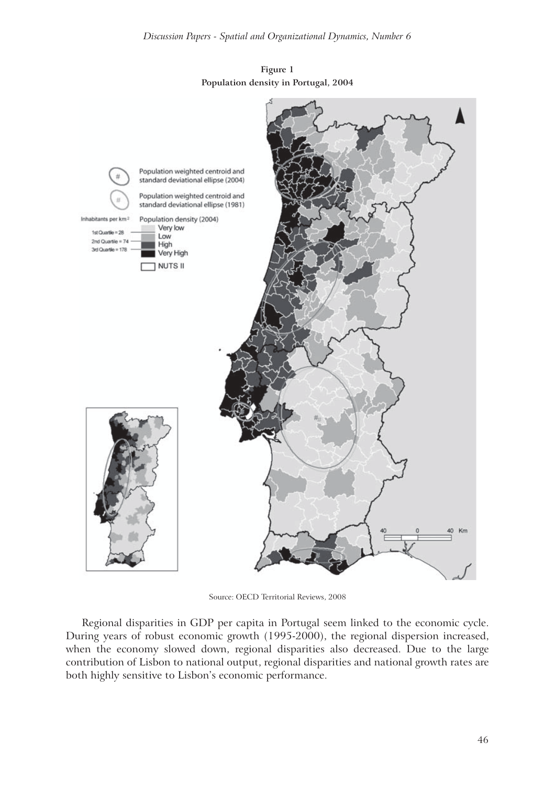

**Figure 1 Population density in Portugal, 2004**

Source: OECD Territorial Reviews, 2008

Regional disparities in GDP per capita in Portugal seem linked to the economic cycle. During years of robust economic growth (1995-2000), the regional dispersion increased, when the economy slowed down, regional disparities also decreased. Due to the large contribution of Lisbon to national output, regional disparities and national growth rates are both highly sensitive to Lisbon's economic performance.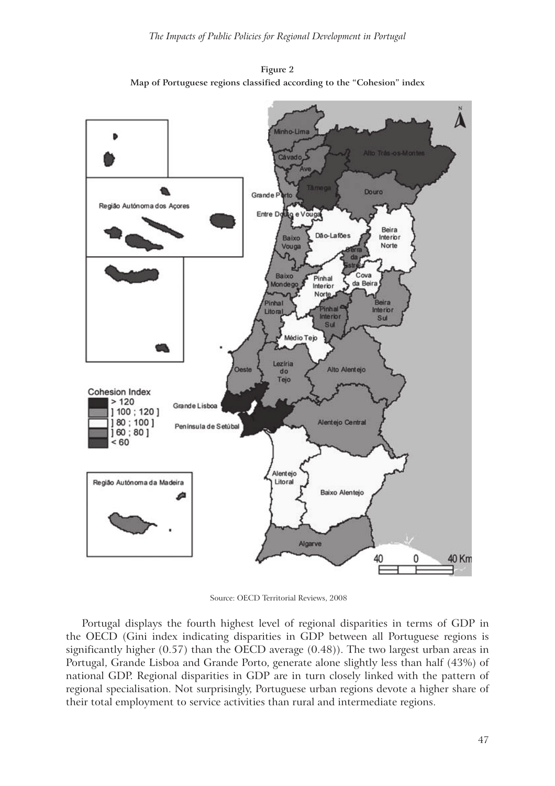



Source: OECD Territorial Reviews, 2008

Portugal displays the fourth highest level of regional disparities in terms of GDP in the OECD (Gini index indicating disparities in GDP between all Portuguese regions is significantly higher (0.57) than the OECD average (0.48)). The two largest urban areas in Portugal, Grande Lisboa and Grande Porto, generate alone slightly less than half (43%) of national GDP. Regional disparities in GDP are in turn closely linked with the pattern of regional specialisation. Not surprisingly, Portuguese urban regions devote a higher share of their total employment to service activities than rural and intermediate regions.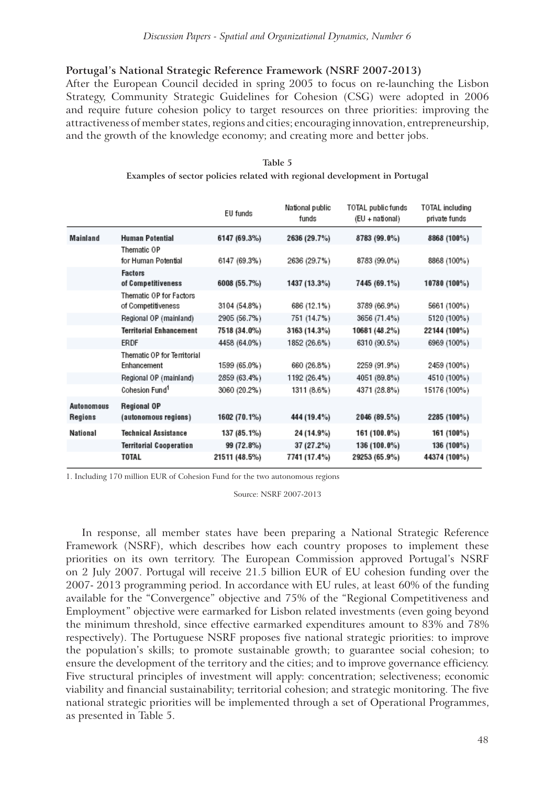# **Portugal's National Strategic Reference Framework (NSRF 2007-2013)**

After the European Council decided in spring 2005 to focus on re-launching the Lisbon Strategy, Community Strategic Guidelines for Cohesion (CSG) were adopted in 2006 and require future cohesion policy to target resources on three priorities: improving the attractiveness of member states, regions and cities; encouraging innovation, entrepreneurship, and the growth of the knowledge economy; and creating more and better jobs.

|                       |                                                   | EU funds      | National public<br>funds | TOTAL public funds<br>(EU + national) | TOTAL including<br>private funds |  |
|-----------------------|---------------------------------------------------|---------------|--------------------------|---------------------------------------|----------------------------------|--|
| Mainland              | <b>Human Potential</b>                            | 6147 (69.3%)  | 2636 (29.7%)             | 8783 (99.0%)                          | 8868 (100%)                      |  |
|                       | Thematic OP<br>for Human Potential                | 6147 (69.3%)  | 2636 (29.7%)             | 8783 (99.0%)                          | 8868 (100%)                      |  |
|                       | <b>Factors</b><br>of Competitiveness              | 6008 (55.7%)  | 1437 (13.3%)             | 7445 (69.1%)                          | 10780 (100%)                     |  |
|                       | Thematic OP for Factors<br>of Competitiveness     | 3104 (54.8%)  | 686 (12.1%)              | 3789 (66.9%)                          | 5661 (100%)                      |  |
|                       | Regional OP (mainland)                            | 2905 (56.7%)  | 751 (14.7%)              | 3656 (71.4%)                          | 5120 (100%)                      |  |
|                       | <b>Territorial Enhancement</b>                    | 7518 (34.0%)  | 3163 (14.3%)             | 10681 (48.2%)                         | 22144 (100%)                     |  |
|                       | ERDF                                              | 4458 (64.0%)  | 1852 (26.6%)             | 6310 (90.5%)                          | 6969 (100%)                      |  |
|                       | <b>Thematic OP for Territorial</b><br>Enhancement | 1599 (65.0%)  | 660 (26.8%)              | 2259 (91.9%)                          | 2459 (100%)                      |  |
|                       | Regional OP (mainland)                            | 2859 (63.4%)  | 1192 (26.4%)             | 4051 (89.8%)                          | 4510 (100%)                      |  |
|                       | Cohesion Fund <sup>1</sup>                        | 3060 (20.2%)  | 1311 (8.6%)              | 4371 (28.8%)                          | 15176 (100%)                     |  |
| Autonomous<br>Regions | Regional OP<br>(autonomous regions)               | 1602 (70.1%)  | 444 (19.4%)              | 2046 (89.5%)                          | 2285 (100%)                      |  |
| National              | Technical Assistance                              | 137 (85.1%)   | 24 (14.9%)               | 161 (100.0%)                          | 161 (100%)                       |  |
|                       | Territorial Cooperation                           | 99 (72.8%)    | 37 (27.2%)               | 136 (100.0%)                          | 136 (100%)                       |  |
|                       | TOTAL                                             | 21511 (48.5%) | 7741 (17.4%)             | 29253 (65.9%)                         | 44374 (100%)                     |  |
|                       |                                                   |               |                          |                                       |                                  |  |

**Table 5 Examples of sector policies related with regional development in Portugal**

1. Including 170 million EUR of Cohesion Fund for the two autonomous regions

ı

Source: NSRF 2007-2013

In response, all member states have been preparing a National Strategic Reference Framework (NSRF), which describes how each country proposes to implement these priorities on its own territory. The European Commission approved Portugal's NSRF on 2 July 2007. Portugal will receive 21.5 billion EUR of EU cohesion funding over the 2007- 2013 programming period. In accordance with EU rules, at least 60% of the funding available for the "Convergence" objective and 75% of the "Regional Competitiveness and Employment" objective were earmarked for Lisbon related investments (even going beyond the minimum threshold, since effective earmarked expenditures amount to 83% and 78% respectively). The Portuguese NSRF proposes five national strategic priorities: to improve the population's skills; to promote sustainable growth; to guarantee social cohesion; to ensure the development of the territory and the cities; and to improve governance efficiency. Five structural principles of investment will apply: concentration; selectiveness; economic viability and financial sustainability; territorial cohesion; and strategic monitoring. The five national strategic priorities will be implemented through a set of Operational Programmes, as presented in Table 5.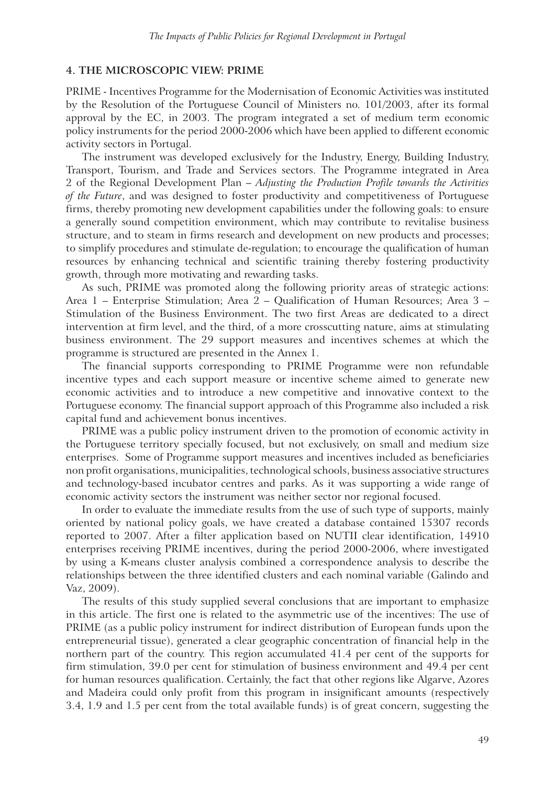#### **4. THE MICROSCOPIC VIEW: PRIME**

PRIME - Incentives Programme for the Modernisation of Economic Activities was instituted by the Resolution of the Portuguese Council of Ministers no. 101/2003, after its formal approval by the EC, in 2003. The program integrated a set of medium term economic policy instruments for the period 2000-2006 which have been applied to different economic activity sectors in Portugal.

The instrument was developed exclusively for the Industry, Energy, Building Industry, Transport, Tourism, and Trade and Services sectors. The Programme integrated in Area 2 of the Regional Development Plan – *Adjusting the Production Profile towards the Activities of the Future*, and was designed to foster productivity and competitiveness of Portuguese firms, thereby promoting new development capabilities under the following goals: to ensure a generally sound competition environment, which may contribute to revitalise business structure, and to steam in firms research and development on new products and processes; to simplify procedures and stimulate de-regulation; to encourage the qualification of human resources by enhancing technical and scientific training thereby fostering productivity growth, through more motivating and rewarding tasks.

As such, PRIME was promoted along the following priority areas of strategic actions: Area 1 – Enterprise Stimulation; Area 2 – Qualification of Human Resources; Area 3 – Stimulation of the Business Environment. The two first Areas are dedicated to a direct intervention at firm level, and the third, of a more crosscutting nature, aims at stimulating business environment. The 29 support measures and incentives schemes at which the programme is structured are presented in the Annex 1.

The financial supports corresponding to PRIME Programme were non refundable incentive types and each support measure or incentive scheme aimed to generate new economic activities and to introduce a new competitive and innovative context to the Portuguese economy. The financial support approach of this Programme also included a risk capital fund and achievement bonus incentives.

PRIME was a public policy instrument driven to the promotion of economic activity in the Portuguese territory specially focused, but not exclusively, on small and medium size enterprises. Some of Programme support measures and incentives included as beneficiaries non profit organisations, municipalities, technological schools, business associative structures and technology-based incubator centres and parks. As it was supporting a wide range of economic activity sectors the instrument was neither sector nor regional focused.

In order to evaluate the immediate results from the use of such type of supports, mainly oriented by national policy goals, we have created a database contained 15307 records reported to 2007. After a filter application based on NUTII clear identification, 14910 enterprises receiving PRIME incentives, during the period 2000-2006, where investigated by using a K-means cluster analysis combined a correspondence analysis to describe the relationships between the three identified clusters and each nominal variable (Galindo and Vaz, 2009).

The results of this study supplied several conclusions that are important to emphasize in this article. The first one is related to the asymmetric use of the incentives: The use of PRIME (as a public policy instrument for indirect distribution of European funds upon the entrepreneurial tissue), generated a clear geographic concentration of financial help in the northern part of the country. This region accumulated 41.4 per cent of the supports for firm stimulation, 39.0 per cent for stimulation of business environment and 49.4 per cent for human resources qualification. Certainly, the fact that other regions like Algarve, Azores and Madeira could only profit from this program in insignificant amounts (respectively 3.4, 1.9 and 1.5 per cent from the total available funds) is of great concern, suggesting the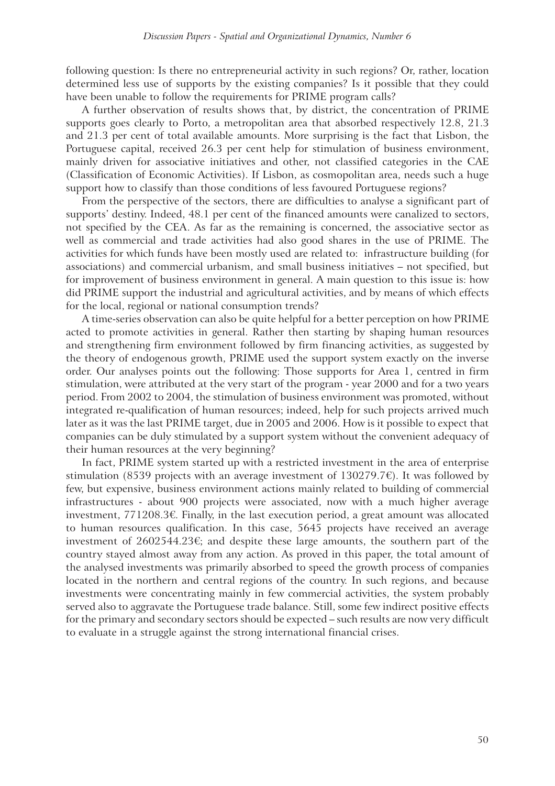following question: Is there no entrepreneurial activity in such regions? Or, rather, location determined less use of supports by the existing companies? Is it possible that they could have been unable to follow the requirements for PRIME program calls?

A further observation of results shows that, by district, the concentration of PRIME supports goes clearly to Porto, a metropolitan area that absorbed respectively 12.8, 21.3 and 21.3 per cent of total available amounts. More surprising is the fact that Lisbon, the Portuguese capital, received 26.3 per cent help for stimulation of business environment, mainly driven for associative initiatives and other, not classified categories in the CAE (Classification of Economic Activities). If Lisbon, as cosmopolitan area, needs such a huge support how to classify than those conditions of less favoured Portuguese regions?

From the perspective of the sectors, there are difficulties to analyse a significant part of supports' destiny. Indeed, 48.1 per cent of the financed amounts were canalized to sectors, not specified by the CEA. As far as the remaining is concerned, the associative sector as well as commercial and trade activities had also good shares in the use of PRIME. The activities for which funds have been mostly used are related to: infrastructure building (for associations) and commercial urbanism, and small business initiatives – not specified, but for improvement of business environment in general. A main question to this issue is: how did PRIME support the industrial and agricultural activities, and by means of which effects for the local, regional or national consumption trends?

A time-series observation can also be quite helpful for a better perception on how PRIME acted to promote activities in general. Rather then starting by shaping human resources and strengthening firm environment followed by firm financing activities, as suggested by the theory of endogenous growth, PRIME used the support system exactly on the inverse order. Our analyses points out the following: Those supports for Area 1, centred in firm stimulation, were attributed at the very start of the program - year 2000 and for a two years period. From 2002 to 2004, the stimulation of business environment was promoted, without integrated re-qualification of human resources; indeed, help for such projects arrived much later as it was the last PRIME target, due in 2005 and 2006. How is it possible to expect that companies can be duly stimulated by a support system without the convenient adequacy of their human resources at the very beginning?

In fact, PRIME system started up with a restricted investment in the area of enterprise stimulation (8539 projects with an average investment of 130279.7 $\epsilon$ ). It was followed by few, but expensive, business environment actions mainly related to building of commercial infrastructures - about 900 projects were associated, now with a much higher average investment, 771208.3€. Finally, in the last execution period, a great amount was allocated to human resources qualification. In this case, 5645 projects have received an average investment of 2602544.23€; and despite these large amounts, the southern part of the country stayed almost away from any action. As proved in this paper, the total amount of the analysed investments was primarily absorbed to speed the growth process of companies located in the northern and central regions of the country. In such regions, and because investments were concentrating mainly in few commercial activities, the system probably served also to aggravate the Portuguese trade balance. Still, some few indirect positive effects for the primary and secondary sectors should be expected – such results are now very difficult to evaluate in a struggle against the strong international financial crises.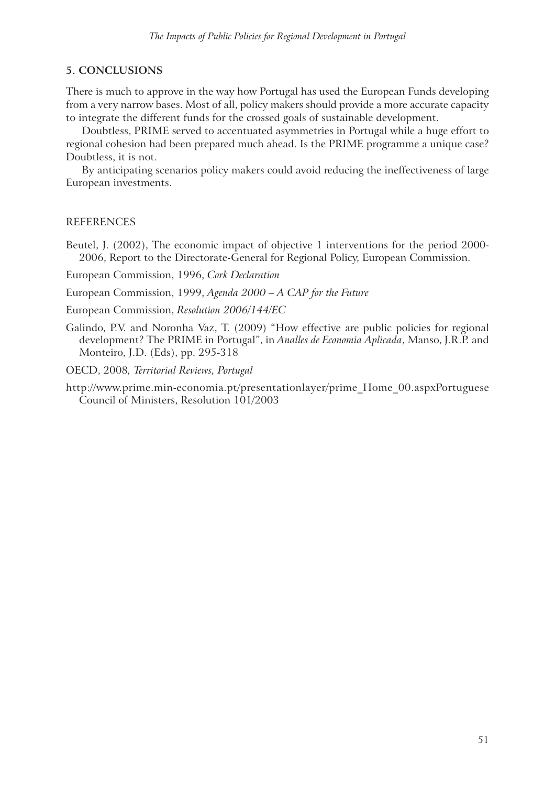# **5. CONCLUSIONS**

There is much to approve in the way how Portugal has used the European Funds developing from a very narrow bases. Most of all, policy makers should provide a more accurate capacity to integrate the different funds for the crossed goals of sustainable development.

Doubtless, PRIME served to accentuated asymmetries in Portugal while a huge effort to regional cohesion had been prepared much ahead. Is the PRIME programme a unique case? Doubtless, it is not.

By anticipating scenarios policy makers could avoid reducing the ineffectiveness of large European investments.

### REFERENCES

Beutel, J. (2002), The economic impact of objective 1 interventions for the period 2000- 2006, Report to the Directorate-General for Regional Policy, European Commission.

European Commission, 1996, *Cork Declaration*

- European Commission, 1999, *Agenda 2000 A CAP for the Future*
- European Commission, *Resolution 2006/144/EC*
- Galindo, P.V. and Noronha Vaz, T. (2009) "How effective are public policies for regional development? The PRIME in Portugal", in *Analles de Economia Aplicada*, Manso, J.R.P. and Monteiro, J.D. (Eds), pp. 295-318
- OECD, 2008*, Territorial Reviews, Portugal*
- http://www.prime.min-economia.pt/presentationlayer/prime\_Home\_00.aspxPortuguese Council of Ministers, Resolution 101/2003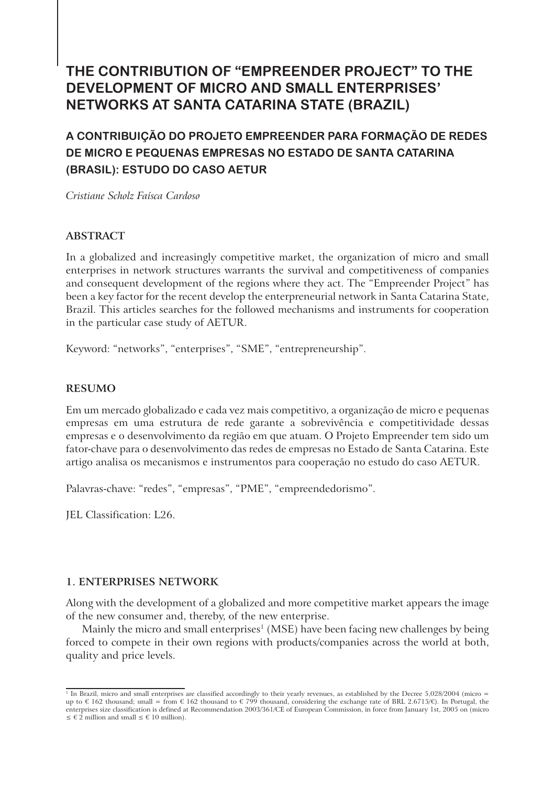# **THE CONTRIBUTION OF "EMPREENDER PROJECT" TO THE DEVELOPMENT OF MICRO AND SMALL ENTERPRISES' NETWORKS AT SANTA CATARINA STATE (BRAZIL)**

# **A CONTRIBUIÇÃO DO PROJETO EMPREENDER PARA FORMAÇÃO DE REDES DE MICRO E PEQUENAS EMPRESAS NO ESTADO DE SANTA CATARINA (BRASIL): ESTUDO DO CASO AETUR**

*Cristiane Scholz Faísca Cardoso*

# **ABSTRACT**

In a globalized and increasingly competitive market, the organization of micro and small enterprises in network structures warrants the survival and competitiveness of companies and consequent development of the regions where they act. The "Empreender Project" has been a key factor for the recent develop the enterpreneurial network in Santa Catarina State, Brazil. This articles searches for the followed mechanisms and instruments for cooperation in the particular case study of AETUR.

Keyword: "networks", "enterprises", "SME", "entrepreneurship".

# **RESUMO**

Em um mercado globalizado e cada vez mais competitivo, a organização de micro e pequenas empresas em uma estrutura de rede garante a sobrevivência e competitividade dessas empresas e o desenvolvimento da região em que atuam. O Projeto Empreender tem sido um fator-chave para o desenvolvimento das redes de empresas no Estado de Santa Catarina. Este artigo analisa os mecanismos e instrumentos para cooperação no estudo do caso AETUR.

Palavras-chave: "redes", "empresas", "PME", "empreendedorismo".

JEL Classification: L26.

## **1. ENTERPRISES NETWORK**

Along with the development of a globalized and more competitive market appears the image of the new consumer and, thereby, of the new enterprise.

Mainly the micro and small enterprises<sup>1</sup> (MSE) have been facing new challenges by being forced to compete in their own regions with products/companies across the world at both, quality and price levels.

 $^1$  In Brazil, micro and small enterprises are classified accordingly to their yearly revenues, as established by the Decree 5,028/2004 (micro = up to € 162 thousand; small = from € 162 thousand to € 799 thousand, considering the exchange rate of BRL 2.6715/€). In Portugal, the enterprises size classification is defined at Recommendation 2003/361/CE of European Commission, in force from January 1st, 2005 on (micro  $\leq \epsilon \hat{2}$  million and small  $\leq \epsilon$  10 million).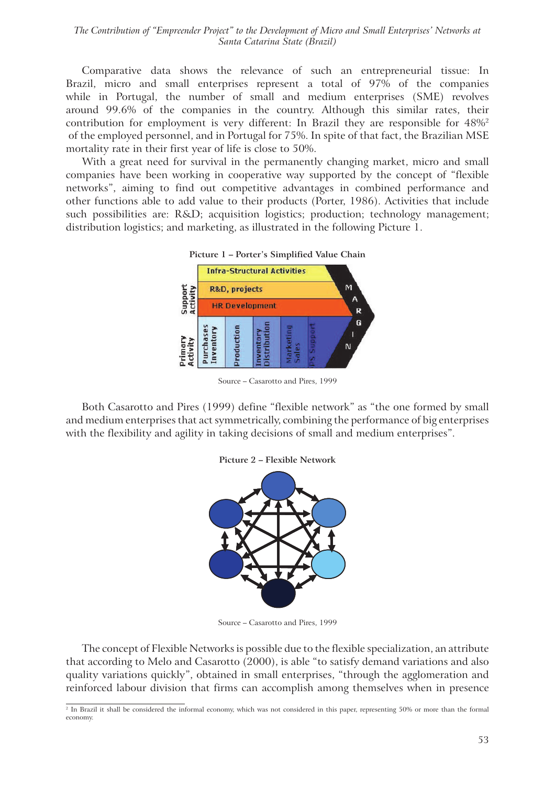*The Contribution of "Empreender Project" to the Development of Micro and Small Enterprises' Networks at Santa Catarina State (Brazil)*

Comparative data shows the relevance of such an entrepreneurial tissue: In Brazil, micro and small enterprises represent a total of 97% of the companies while in Portugal, the number of small and medium enterprises (SME) revolves around 99.6% of the companies in the country. Although this similar rates, their contribution for employment is very different: In Brazil they are responsible for  $48\%$ <sup>2</sup> of the employed personnel, and in Portugal for 75%. In spite of that fact, the Brazilian MSE mortality rate in their first year of life is close to 50%.

With a great need for survival in the permanently changing market, micro and small companies have been working in cooperative way supported by the concept of "flexible networks", aiming to find out competitive advantages in combined performance and other functions able to add value to their products (Porter, 1986). Activities that include such possibilities are: R&D; acquisition logistics; production; technology management; distribution logistics; and marketing, as illustrated in the following Picture 1.



**Picture 1 – Porter's Simplified Value Chain**

Both Casarotto and Pires (1999) define "flexible network" as "the one formed by small and medium enterprises that act symmetrically, combining the performance of big enterprises with the flexibility and agility in taking decisions of small and medium enterprises".





Source – Casarotto and Pires, 1999

The concept of Flexible Networks is possible due to the flexible specialization, an attribute that according to Melo and Casarotto (2000), is able "to satisfy demand variations and also quality variations quickly", obtained in small enterprises, "through the agglomeration and reinforced labour division that firms can accomplish among themselves when in presence

Source – Casarotto and Pires, 1999

<sup>2</sup> In Brazil it shall be considered the informal economy, which was not considered in this paper, representing 50% or more than the formal economy.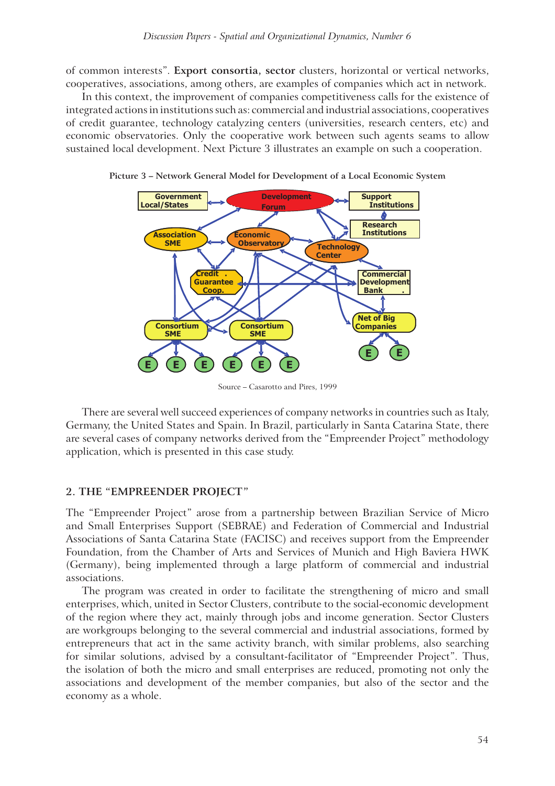of common interests". **Export consortia, sector** clusters, horizontal or vertical networks, cooperatives, associations, among others, are examples of companies which act in network.

In this context, the improvement of companies competitiveness calls for the existence of integrated actions in institutions such as: commercial and industrial associations, cooperatives of credit guarantee, technology catalyzing centers (universities, research centers, etc) and economic observatories. Only the cooperative work between such agents seams to allow sustained local development. Next Picture 3 illustrates an example on such a cooperation.



**Picture 3 – Network General Model for Development of a Local Economic System**

Source – Casarotto and Pires, 1999

There are several well succeed experiences of company networks in countries such as Italy, Germany, the United States and Spain. In Brazil, particularly in Santa Catarina State, there are several cases of company networks derived from the "Empreender Project" methodology application, which is presented in this case study.

#### **2. THE "EMPREENDER PROJECT"**

The "Empreender Project" arose from a partnership between Brazilian Service of Micro and Small Enterprises Support (SEBRAE) and Federation of Commercial and Industrial Associations of Santa Catarina State (FACISC) and receives support from the Empreender Foundation, from the Chamber of Arts and Services of Munich and High Baviera HWK (Germany), being implemented through a large platform of commercial and industrial associations.

The program was created in order to facilitate the strengthening of micro and small enterprises, which, united in Sector Clusters, contribute to the social-economic development of the region where they act, mainly through jobs and income generation. Sector Clusters are workgroups belonging to the several commercial and industrial associations, formed by entrepreneurs that act in the same activity branch, with similar problems, also searching for similar solutions, advised by a consultant-facilitator of "Empreender Project". Thus, the isolation of both the micro and small enterprises are reduced, promoting not only the associations and development of the member companies, but also of the sector and the economy as a whole.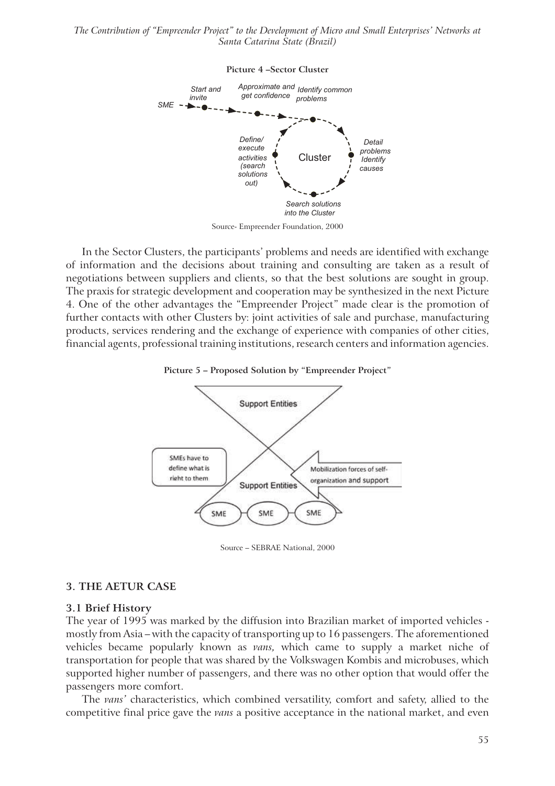*The Contribution of "Empreender Project" to the Development of Micro and Small Enterprises' Networks at Santa Catarina State (Brazil)*



**Picture 4 –Sector Cluster**

Source- Empreender Foundation, 2000

In the Sector Clusters, the participants' problems and needs are identified with exchange of information and the decisions about training and consulting are taken as a result of negotiations between suppliers and clients, so that the best solutions are sought in group. The praxis for strategic development and cooperation may be synthesized in the next Picture 4. One of the other advantages the "Empreender Project" made clear is the promotion of further contacts with other Clusters by: joint activities of sale and purchase, manufacturing products, services rendering and the exchange of experience with companies of other cities, financial agents, professional training institutions, research centers and information agencies.





Source – SEBRAE National, 2000

#### **3. THE AETUR CASE**

#### **3.1 Brief History**

The year of 1995 was marked by the diffusion into Brazilian market of imported vehicles mostly from Asia – with the capacity of transporting up to 16 passengers. The aforementioned vehicles became popularly known as *vans,* which came to supply a market niche of transportation for people that was shared by the Volkswagen Kombis and microbuses, which supported higher number of passengers, and there was no other option that would offer the passengers more comfort.

The *vans'* characteristics, which combined versatility, comfort and safety, allied to the competitive final price gave the *vans* a positive acceptance in the national market, and even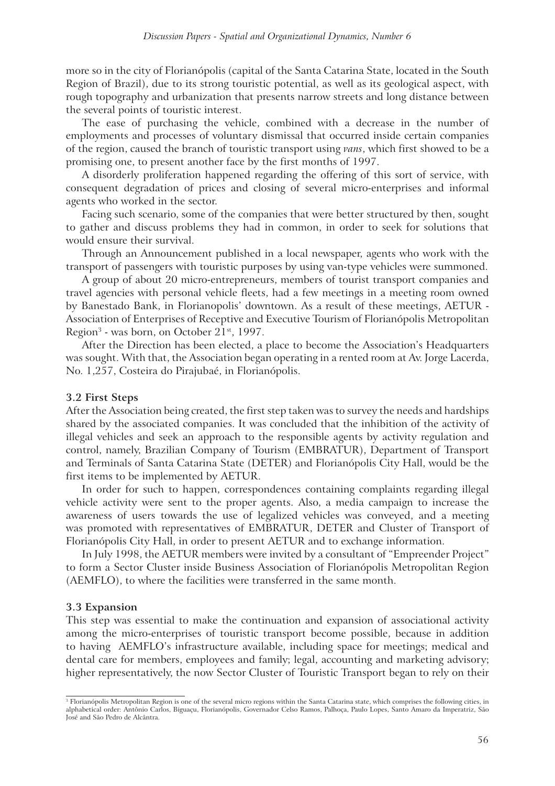more so in the city of Florianópolis (capital of the Santa Catarina State, located in the South Region of Brazil), due to its strong touristic potential, as well as its geological aspect, with rough topography and urbanization that presents narrow streets and long distance between the several points of touristic interest.

The ease of purchasing the vehicle, combined with a decrease in the number of employments and processes of voluntary dismissal that occurred inside certain companies of the region, caused the branch of touristic transport using *vans*, which first showed to be a promising one, to present another face by the first months of 1997.

A disorderly proliferation happened regarding the offering of this sort of service, with consequent degradation of prices and closing of several micro-enterprises and informal agents who worked in the sector.

Facing such scenario, some of the companies that were better structured by then, sought to gather and discuss problems they had in common, in order to seek for solutions that would ensure their survival.

Through an Announcement published in a local newspaper, agents who work with the transport of passengers with touristic purposes by using van-type vehicles were summoned.

A group of about 20 micro-entrepreneurs, members of tourist transport companies and travel agencies with personal vehicle fleets, had a few meetings in a meeting room owned by Banestado Bank, in Florianopolis' downtown. As a result of these meetings, AETUR - Association of Enterprises of Receptive and Executive Tourism of Florianópolis Metropolitan Region<sup>3</sup> - was born, on October 21<sup>st</sup>, 1997.

After the Direction has been elected, a place to become the Association's Headquarters was sought. With that, the Association began operating in a rented room at Av. Jorge Lacerda, No. 1,257, Costeira do Pirajubaé, in Florianópolis.

#### **3.2 First Steps**

After the Association being created, the first step taken was to survey the needs and hardships shared by the associated companies. It was concluded that the inhibition of the activity of illegal vehicles and seek an approach to the responsible agents by activity regulation and control, namely, Brazilian Company of Tourism (EMBRATUR), Department of Transport and Terminals of Santa Catarina State (DETER) and Florianópolis City Hall, would be the first items to be implemented by AETUR.

In order for such to happen, correspondences containing complaints regarding illegal vehicle activity were sent to the proper agents. Also, a media campaign to increase the awareness of users towards the use of legalized vehicles was conveyed, and a meeting was promoted with representatives of EMBRATUR, DETER and Cluster of Transport of Florianópolis City Hall, in order to present AETUR and to exchange information.

In July 1998, the AETUR members were invited by a consultant of "Empreender Project" to form a Sector Cluster inside Business Association of Florianópolis Metropolitan Region (AEMFLO), to where the facilities were transferred in the same month.

#### **3.3 Expansion**

This step was essential to make the continuation and expansion of associational activity among the micro-enterprises of touristic transport become possible, because in addition to having AEMFLO's infrastructure available, including space for meetings; medical and dental care for members, employees and family; legal, accounting and marketing advisory; higher representatively, the now Sector Cluster of Touristic Transport began to rely on their

<sup>3</sup> Florianópolis Metropolitan Region is one of the several micro regions within the Santa Catarina state, which comprises the following cities, in alphabetical order: Antônio Carlos, Biguaçu, Florianópolis, Governador Celso Ramos, Palhoça, Paulo Lopes, Santo Amaro da Imperatriz, São José and São Pedro de Alcântra.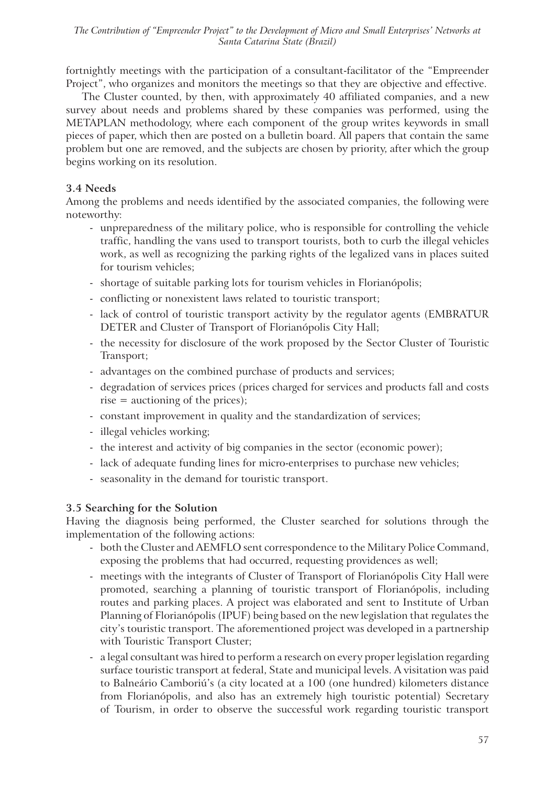fortnightly meetings with the participation of a consultant-facilitator of the "Empreender Project", who organizes and monitors the meetings so that they are objective and effective.

The Cluster counted, by then, with approximately 40 affiliated companies, and a new survey about needs and problems shared by these companies was performed, using the METAPLAN methodology, where each component of the group writes keywords in small pieces of paper, which then are posted on a bulletin board. All papers that contain the same problem but one are removed, and the subjects are chosen by priority, after which the group begins working on its resolution.

# **3.4 Needs**

Among the problems and needs identified by the associated companies, the following were noteworthy:

- unpreparedness of the military police, who is responsible for controlling the vehicle traffic, handling the vans used to transport tourists, both to curb the illegal vehicles work, as well as recognizing the parking rights of the legalized vans in places suited for tourism vehicles;
- shortage of suitable parking lots for tourism vehicles in Florianópolis;
- conflicting or nonexistent laws related to touristic transport;
- lack of control of touristic transport activity by the regulator agents (EMBRATUR DETER and Cluster of Transport of Florianópolis City Hall;
- the necessity for disclosure of the work proposed by the Sector Cluster of Touristic Transport;
- advantages on the combined purchase of products and services;
- degradation of services prices (prices charged for services and products fall and costs rise = auctioning of the prices);
- constant improvement in quality and the standardization of services;
- illegal vehicles working;
- the interest and activity of big companies in the sector (economic power);
- lack of adequate funding lines for micro-enterprises to purchase new vehicles;
- seasonality in the demand for touristic transport.

# **3.5 Searching for the Solution**

Having the diagnosis being performed, the Cluster searched for solutions through the implementation of the following actions:

- both the Cluster and AEMFLO sent correspondence to the Military Police Command, exposing the problems that had occurred, requesting providences as well;
- meetings with the integrants of Cluster of Transport of Florianópolis City Hall were promoted, searching a planning of touristic transport of Florianópolis, including routes and parking places. A project was elaborated and sent to Institute of Urban Planning of Florianópolis (IPUF) being based on the new legislation that regulates the city's touristic transport. The aforementioned project was developed in a partnership with Touristic Transport Cluster;
- a legal consultant was hired to perform a research on every proper legislation regarding surface touristic transport at federal, State and municipal levels. A visitation was paid to Balneário Camboriú's (a city located at a 100 (one hundred) kilometers distance from Florianópolis, and also has an extremely high touristic potential) Secretary of Tourism, in order to observe the successful work regarding touristic transport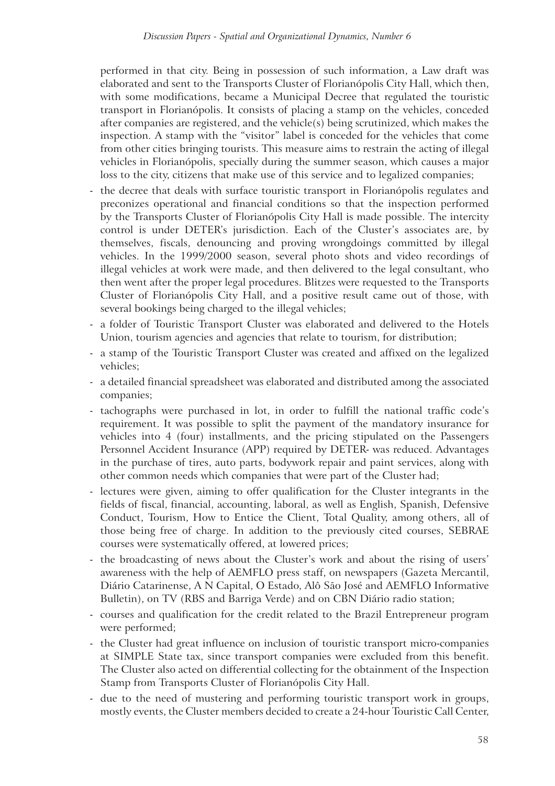performed in that city. Being in possession of such information, a Law draft was elaborated and sent to the Transports Cluster of Florianópolis City Hall, which then, with some modifications, became a Municipal Decree that regulated the touristic transport in Florianópolis. It consists of placing a stamp on the vehicles, conceded after companies are registered, and the vehicle(s) being scrutinized, which makes the inspection. A stamp with the "visitor" label is conceded for the vehicles that come from other cities bringing tourists. This measure aims to restrain the acting of illegal vehicles in Florianópolis, specially during the summer season, which causes a major loss to the city, citizens that make use of this service and to legalized companies;

- the decree that deals with surface touristic transport in Florianópolis regulates and preconizes operational and financial conditions so that the inspection performed by the Transports Cluster of Florianópolis City Hall is made possible. The intercity control is under DETER's jurisdiction. Each of the Cluster's associates are, by themselves, fiscals, denouncing and proving wrongdoings committed by illegal vehicles. In the 1999/2000 season, several photo shots and video recordings of illegal vehicles at work were made, and then delivered to the legal consultant, who then went after the proper legal procedures. Blitzes were requested to the Transports Cluster of Florianópolis City Hall, and a positive result came out of those, with several bookings being charged to the illegal vehicles;
- a folder of Touristic Transport Cluster was elaborated and delivered to the Hotels Union, tourism agencies and agencies that relate to tourism, for distribution;
- a stamp of the Touristic Transport Cluster was created and affixed on the legalized vehicles;
- a detailed financial spreadsheet was elaborated and distributed among the associated companies;
- tachographs were purchased in lot, in order to fulfill the national traffic code's requirement. It was possible to split the payment of the mandatory insurance for vehicles into 4 (four) installments, and the pricing stipulated on the Passengers Personnel Accident Insurance (APP) required by DETER- was reduced. Advantages in the purchase of tires, auto parts, bodywork repair and paint services, along with other common needs which companies that were part of the Cluster had;
- lectures were given, aiming to offer qualification for the Cluster integrants in the fields of fiscal, financial, accounting, laboral, as well as English, Spanish, Defensive Conduct, Tourism, How to Entice the Client, Total Quality, among others, all of those being free of charge. In addition to the previously cited courses, SEBRAE courses were systematically offered, at lowered prices;
- the broadcasting of news about the Cluster's work and about the rising of users' awareness with the help of AEMFLO press staff, on newspapers (Gazeta Mercantil, Diário Catarinense, A N Capital, O Estado, Alô São José and AEMFLO Informative Bulletin), on TV (RBS and Barriga Verde) and on CBN Diário radio station;
- courses and qualification for the credit related to the Brazil Entrepreneur program were performed;
- the Cluster had great influence on inclusion of touristic transport micro-companies at SIMPLE State tax, since transport companies were excluded from this benefit. The Cluster also acted on differential collecting for the obtainment of the Inspection Stamp from Transports Cluster of Florianópolis City Hall.
- due to the need of mustering and performing touristic transport work in groups, mostly events, the Cluster members decided to create a 24-hour Touristic Call Center,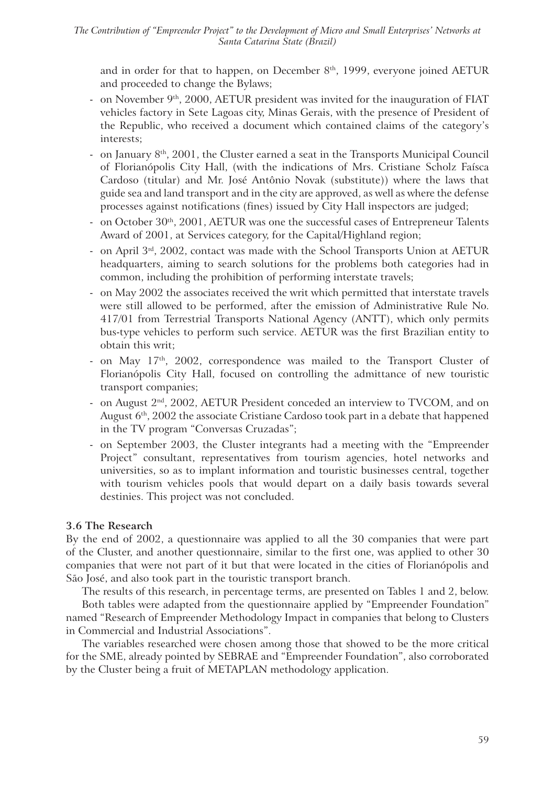and in order for that to happen, on December  $8<sup>th</sup>$ , 1999, everyone joined AETUR and proceeded to change the Bylaws;

- on November  $9<sup>th</sup>$ , 2000, AETUR president was invited for the inauguration of FIAT vehicles factory in Sete Lagoas city, Minas Gerais, with the presence of President of the Republic, who received a document which contained claims of the category's interests;
- on January  $8<sup>th</sup>$ , 2001, the Cluster earned a seat in the Transports Municipal Council of Florianópolis City Hall, (with the indications of Mrs. Cristiane Scholz Faísca Cardoso (titular) and Mr. José Antônio Novak (substitute)) where the laws that guide sea and land transport and in the city are approved, as well as where the defense processes against notifications (fines) issued by City Hall inspectors are judged;
- on October  $30<sup>th</sup>$ ,  $2001$ , AETUR was one the successful cases of Entrepreneur Talents Award of 2001, at Services category, for the Capital/Highland region;
- on April 3rd, 2002, contact was made with the School Transports Union at AETUR headquarters, aiming to search solutions for the problems both categories had in common, including the prohibition of performing interstate travels;
- on May 2002 the associates received the writ which permitted that interstate travels were still allowed to be performed, after the emission of Administrative Rule No. 417/01 from Terrestrial Transports National Agency (ANTT), which only permits bus-type vehicles to perform such service. AETUR was the first Brazilian entity to obtain this writ;
- on May 17<sup>th</sup>, 2002, correspondence was mailed to the Transport Cluster of Florianópolis City Hall, focused on controlling the admittance of new touristic transport companies;
- on August 2nd, 2002, AETUR President conceded an interview to TVCOM, and on August 6<sup>th</sup>, 2002 the associate Cristiane Cardoso took part in a debate that happened in the TV program "Conversas Cruzadas";
- on September 2003, the Cluster integrants had a meeting with the "Empreender Project" consultant, representatives from tourism agencies, hotel networks and universities, so as to implant information and touristic businesses central, together with tourism vehicles pools that would depart on a daily basis towards several destinies. This project was not concluded.

# **3.6 The Research**

By the end of 2002, a questionnaire was applied to all the 30 companies that were part of the Cluster, and another questionnaire, similar to the first one, was applied to other 30 companies that were not part of it but that were located in the cities of Florianópolis and São José, and also took part in the touristic transport branch.

The results of this research, in percentage terms, are presented on Tables 1 and 2, below.

Both tables were adapted from the questionnaire applied by "Empreender Foundation" named "Research of Empreender Methodology Impact in companies that belong to Clusters in Commercial and Industrial Associations".

The variables researched were chosen among those that showed to be the more critical for the SME, already pointed by SEBRAE and "Empreender Foundation", also corroborated by the Cluster being a fruit of METAPLAN methodology application.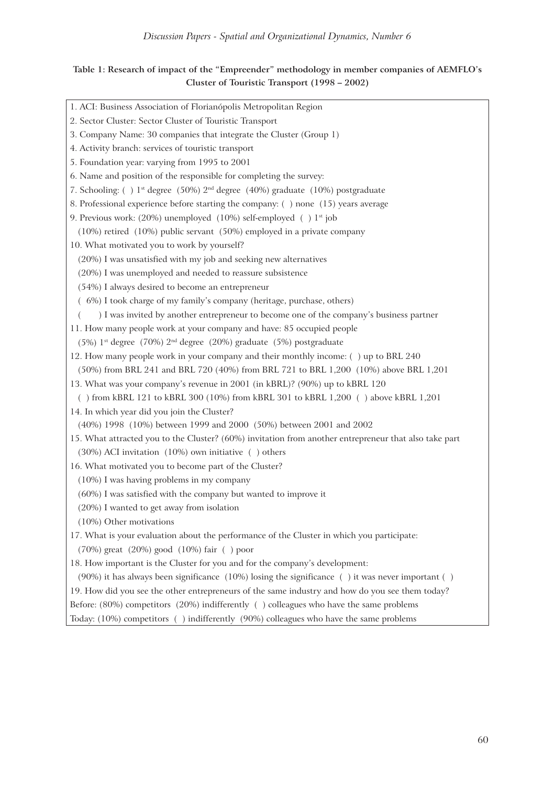# **Table 1: Research of impact of the "Empreender" methodology in member companies of AEMFLO's Cluster of Touristic Transport (1998 – 2002)**

| 1. ACI: Business Association of Florianópolis Metropolitan Region                                      |
|--------------------------------------------------------------------------------------------------------|
| 2. Sector Cluster: Sector Cluster of Touristic Transport                                               |
| 3. Company Name: 30 companies that integrate the Cluster (Group 1)                                     |
| 4. Activity branch: services of touristic transport                                                    |
| 5. Foundation year: varying from 1995 to 2001                                                          |
| 6. Name and position of the responsible for completing the survey:                                     |
| 7. Schooling: () 1 <sup>st</sup> degree (50%) 2 <sup>nd</sup> degree (40%) graduate (10%) postgraduate |
| 8. Professional experience before starting the company: () none (15) years average                     |
| 9. Previous work: (20%) unemployed (10%) self-employed () 1 <sup>st</sup> job                          |
| $(10%)$ retired $(10%)$ public servant $(50%)$ employed in a private company                           |
| 10. What motivated you to work by yourself?                                                            |
| (20%) I was unsatisfied with my job and seeking new alternatives                                       |
| (20%) I was unemployed and needed to reassure subsistence                                              |
| (54%) I always desired to become an entrepreneur                                                       |
| (6%) I took charge of my family's company (heritage, purchase, others)                                 |
| ) I was invited by another entrepreneur to become one of the company's business partner                |
| 11. How many people work at your company and have: 85 occupied people                                  |
| (5%) $1^{\text{st}}$ degree (70%) $2^{\text{nd}}$ degree (20%) graduate (5%) postgraduate              |
| 12. How many people work in your company and their monthly income: () up to BRL 240                    |
| (50%) from BRL 241 and BRL 720 (40%) from BRL 721 to BRL 1,200 (10%) above BRL 1,201                   |
| 13. What was your company's revenue in 2001 (in kBRL)? (90%) up to kBRL 120                            |
| ( $\cdot$ ) from kBRL 121 to kBRL 300 (10%) from kBRL 301 to kBRL 1,200 ( $\cdot$ ) above kBRL 1,201   |
| 14. In which year did you join the Cluster?                                                            |
| (40%) 1998 (10%) between 1999 and 2000 (50%) between 2001 and 2002                                     |
| 15. What attracted you to the Cluster? (60%) invitation from another entrepreneur that also take part  |
| $(30%)$ ACI invitation $(10%)$ own initiative () others                                                |
| 16. What motivated you to become part of the Cluster?                                                  |
| (10%) I was having problems in my company                                                              |
| (60%) I was satisfied with the company but wanted to improve it                                        |
| (20%) I wanted to get away from isolation                                                              |
| (10%) Other motivations                                                                                |
| 17. What is your evaluation about the performance of the Cluster in which you participate:             |
| (70%) great (20%) good (10%) fair () poor                                                              |
| 18. How important is the Cluster for you and for the company's development:                            |
| (90%) it has always been significance (10%) losing the significance () it was never important ()       |
| 19. How did you see the other entrepreneurs of the same industry and how do you see them today?        |
| Before: (80%) competitors (20%) indifferently () colleagues who have the same problems                 |
| Today: (10%) competitors () indifferently (90%) colleagues who have the same problems                  |
|                                                                                                        |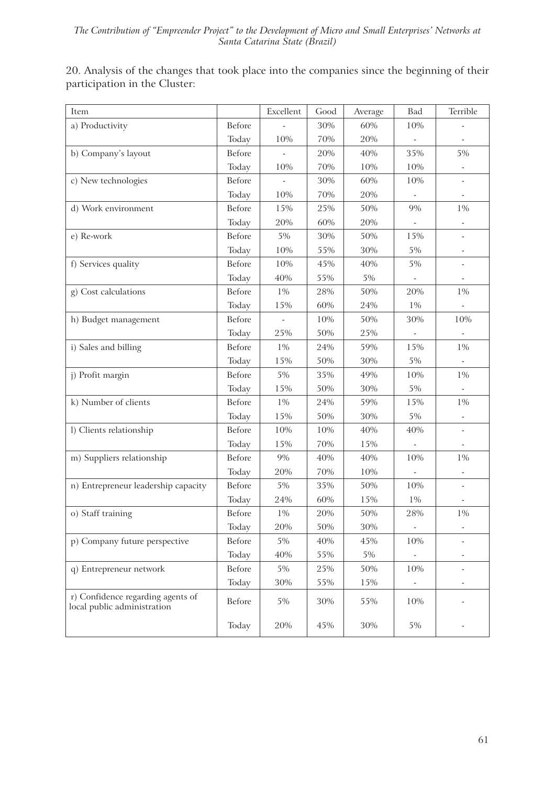20. Analysis of the changes that took place into the companies since the beginning of their participation in the Cluster:

| Item                                                             |               | Excellent | Good | Average | Bad    | Terrible                 |
|------------------------------------------------------------------|---------------|-----------|------|---------|--------|--------------------------|
| a) Productivity                                                  | <b>Before</b> |           | 30%  | 60%     | 10%    |                          |
|                                                                  | Today         | 10%       | 70%  | 20%     | $\Box$ |                          |
| b) Company's layout                                              | <b>Before</b> |           | 20%  | 40%     | 35%    | 5%                       |
|                                                                  | Today         | $10%$     | 70%  | 10%     | 10%    |                          |
| c) New technologies                                              | <b>Before</b> |           | 30%  | 60%     | 10%    |                          |
|                                                                  | Today         | 10%       | 70%  | 20%     |        | ÷,                       |
| d) Work environment                                              | <b>Before</b> | 15%       | 25%  | 50%     | 9%     | 1%                       |
|                                                                  | Today         | 20%       | 60%  | 20%     |        | $\overline{\phantom{a}}$ |
| e) Re-work                                                       | <b>Before</b> | 5%        | 30%  | 50%     | 15%    |                          |
|                                                                  | Today         | $10%$     | 55%  | 30%     | $5\%$  | $\overline{\phantom{a}}$ |
| f) Services quality                                              | <b>Before</b> | 10%       | 45%  | 40%     | 5%     |                          |
|                                                                  | Today         | 40%       | 55%  | $5\%$   |        |                          |
| g) Cost calculations                                             | <b>Before</b> | 1%        | 28%  | 50%     | 20%    | $1\%$                    |
|                                                                  | Today         | 15%       | 60%  | 24%     | 1%     |                          |
| h) Budget management                                             | <b>Before</b> |           | 10%  | 50%     | 30%    | 10%                      |
|                                                                  | Today         | 25%       | 50%  | 25%     |        |                          |
| i) Sales and billing                                             | <b>Before</b> | 1%        | 24%  | 59%     | 15%    | 1%                       |
|                                                                  | Today         | 15%       | 50%  | 30%     | 5%     |                          |
| j) Profit margin                                                 | <b>Before</b> | 5%        | 35%  | 49%     | 10%    | 1%                       |
|                                                                  | Today         | 15%       | 50%  | 30%     | $5\%$  |                          |
| k) Number of clients                                             | Before        | 1%        | 24%  | 59%     | 15%    | 1%                       |
|                                                                  | Today         | 15%       | 50%  | 30%     | $5\%$  |                          |
| l) Clients relationship                                          | Before        | 10%       | 10%  | 40%     | 40%    | $\overline{\phantom{a}}$ |
|                                                                  | Today         | 15%       | 70%  | 15%     |        |                          |
| m) Suppliers relationship                                        | <b>Before</b> | 9%        | 40%  | 40%     | 10%    | 1%                       |
|                                                                  | Today         | 20%       | 70%  | $10\%$  |        |                          |
| n) Entrepreneur leadership capacity                              | Before        | 5%        | 35%  | 50%     | 10%    | $\overline{\phantom{a}}$ |
|                                                                  | Today         | 24%       | 60%  | 15%     | 1%     |                          |
| o) Staff training                                                | Before        | 1%        | 20%  | 50%     | 28%    | $1\%$                    |
|                                                                  | Today         | 20%       | 50%  | 30%     |        |                          |
| p) Company future perspective                                    | Before        | $5\%$     | 40%  | 45%     | 10%    |                          |
|                                                                  | Today         | 40%       | 55%  | $5\%$   |        |                          |
| q) Entrepreneur network                                          | Before        | $5\%$     | 25%  | 50%     | 10%    |                          |
|                                                                  | Today         | 30%       | 55%  | 15%     |        |                          |
| r) Confidence regarding agents of<br>local public administration | Before        | 5%        | 30%  | 55%     | 10%    |                          |
|                                                                  | Today         | 20%       | 45%  | 30%     | 5%     |                          |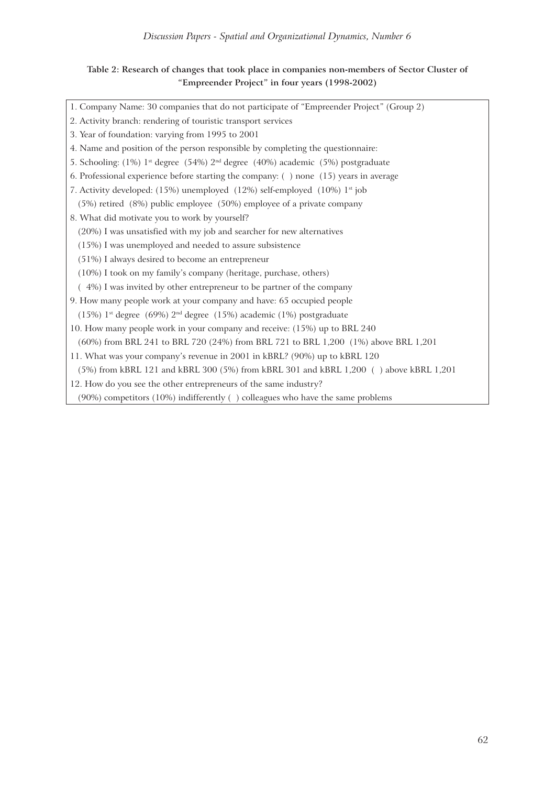# **Table 2: Research of changes that took place in companies non-members of Sector Cluster of "Empreender Project" in four years (1998-2002)**

| 1. Company Name: 30 companies that do not participate of "Empreender Project" (Group 2)                 |
|---------------------------------------------------------------------------------------------------------|
| 2. Activity branch: rendering of touristic transport services                                           |
| 3. Year of foundation: varying from 1995 to 2001                                                        |
| 4. Name and position of the person responsible by completing the questionnaire:                         |
| 5. Schooling: (1%) 1 <sup>st</sup> degree (54%) 2 <sup>nd</sup> degree (40%) academic (5%) postgraduate |
| 6. Professional experience before starting the company: () none (15) years in average                   |
| 7. Activity developed: (15%) unemployed (12%) self-employed (10%) 1 <sup>st</sup> job                   |
| (5%) retired (8%) public employee (50%) employee of a private company                                   |
| 8. What did motivate you to work by yourself?                                                           |
| (20%) I was unsatisfied with my job and searcher for new alternatives                                   |
| (15%) I was unemployed and needed to assure subsistence                                                 |
| (51%) I always desired to become an entrepreneur                                                        |
| (10%) I took on my family's company (heritage, purchase, others)                                        |
| (4%) I was invited by other entrepreneur to be partner of the company                                   |
| 9. How many people work at your company and have: 65 occupied people                                    |
| $(15%)$ 1 <sup>st</sup> degree $(69%)$ 2 <sup>nd</sup> degree $(15%)$ academic $(1%)$ postgraduate      |
| 10. How many people work in your company and receive: (15%) up to BRL 240                               |
| (60%) from BRL 241 to BRL 720 (24%) from BRL 721 to BRL 1,200 (1%) above BRL 1,201                      |
| 11. What was your company's revenue in 2001 in kBRL? (90%) up to kBRL 120                               |
| (5%) from kBRL 121 and kBRL 300 (5%) from kBRL 301 and kBRL 1,200 () above kBRL 1,201                   |
| 12. How do you see the other entrepreneurs of the same industry?                                        |
| (90%) competitors (10%) indifferently () colleagues who have the same problems                          |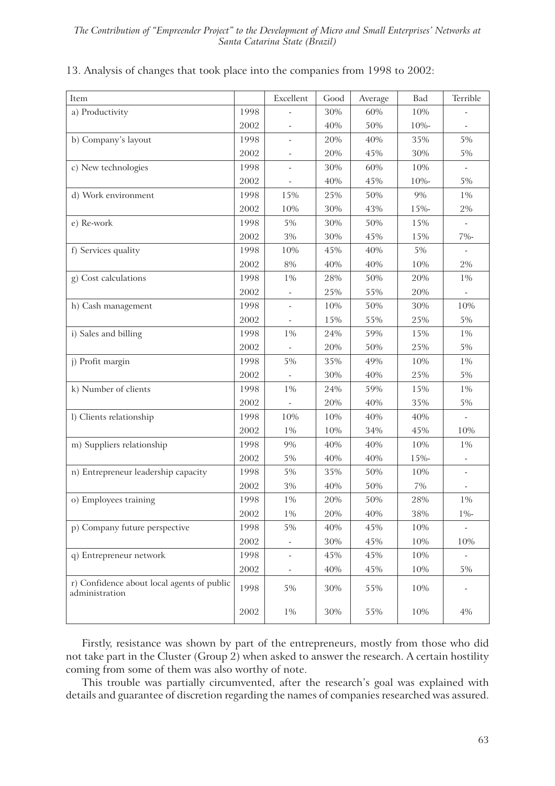| Item                                                         |      | Excellent                | Good | Average | Bad   | Terrible       |
|--------------------------------------------------------------|------|--------------------------|------|---------|-------|----------------|
| a) Productivity                                              | 1998 |                          | 30%  | 60%     | 10%   |                |
|                                                              | 2002 |                          | 40%  | 50%     | 10%-  |                |
| b) Company's layout                                          | 1998 |                          | 20%  | 40%     | 35%   | 5%             |
|                                                              | 2002 |                          | 20%  | 45%     | 30%   | $5\%$          |
| c) New technologies                                          | 1998 |                          | 30%  | 60%     | 10%   |                |
|                                                              | 2002 |                          | 40%  | 45%     | 10%-  | 5%             |
| d) Work environment                                          | 1998 | 15%                      | 25%  | 50%     | 9%    | $1\%$          |
|                                                              | 2002 | 10%                      | 30%  | 43%     | 15%-  | $2\%$          |
| e) Re-work                                                   | 1998 | 5%                       | 30%  | 50%     | 15%   | $\blacksquare$ |
|                                                              | 2002 | $3\%$                    | 30%  | 45%     | 15%   | 7%-            |
| f) Services quality                                          | 1998 | 10%                      | 45%  | 40%     | 5%    |                |
|                                                              | 2002 | 8%                       | 40%  | 40%     | 10%   | $2\%$          |
| g) Cost calculations                                         | 1998 | $1\%$                    | 28%  | 50%     | 20%   | $1\%$          |
|                                                              | 2002 | $\overline{\phantom{a}}$ | 25%  | 55%     | 20%   |                |
| h) Cash management                                           | 1998 | $\mathbf{r}$             | 10%  | 50%     | 30%   | 10%            |
|                                                              | 2002 |                          | 15%  | 55%     | 25%   | 5%             |
| i) Sales and billing                                         | 1998 | 1%                       | 24%  | 59%     | 15%   | $1\%$          |
|                                                              | 2002 |                          | 20%  | 50%     | 25%   | 5%             |
| j) Profit margin                                             | 1998 | 5%                       | 35%  | 49%     | 10%   | $1\%$          |
|                                                              | 2002 |                          | 30%  | 40%     | 25%   | 5%             |
| k) Number of clients                                         | 1998 | 1%                       | 24%  | 59%     | 15%   | $1\%$          |
|                                                              | 2002 |                          | 20%  | 40%     | 35%   | 5%             |
| l) Clients relationship                                      | 1998 | 10%                      | 10%  | 40%     | 40%   | ÷,             |
|                                                              | 2002 | $1\%$                    | 10%  | 34%     | 45%   | 10%            |
| m) Suppliers relationship                                    | 1998 | 9%                       | 40%  | 40%     | 10%   | $1\%$          |
|                                                              | 2002 | $5\%$                    | 40%  | 40%     | 15%-  |                |
| n) Entrepreneur leadership capacity                          | 1998 | 5%                       | 35%  | 50%     | 10%   |                |
|                                                              | 2002 | $3\%$                    | 40%  | 50%     | $7\%$ |                |
| o) Employees training                                        | 1998 | $1\%$                    | 20%  | 50%     | 28%   | $1\%$          |
|                                                              | 2002 | $1\%$                    | 20%  | 40%     | 38%   | $1\%$ -        |
| p) Company future perspective                                | 1998 | 5%                       | 40%  | 45%     | 10%   |                |
|                                                              | 2002 |                          | 30%  | 45%     | 10%   | 10%            |
| q) Entrepreneur network                                      | 1998 | $\overline{\phantom{a}}$ | 45%  | 45%     | 10%   |                |
|                                                              | 2002 |                          | 40%  | 45%     | 10%   | 5%             |
| r) Confidence about local agents of public<br>administration | 1998 | 5%                       | 30%  | 55%     | 10%   |                |
|                                                              | 2002 | $1\%$                    | 30%  | 55%     | 10%   | $4\%$          |

## 13. Analysis of changes that took place into the companies from 1998 to 2002:

Firstly, resistance was shown by part of the entrepreneurs, mostly from those who did not take part in the Cluster (Group 2) when asked to answer the research. A certain hostility coming from some of them was also worthy of note.

This trouble was partially circumvented, after the research's goal was explained with details and guarantee of discretion regarding the names of companies researched was assured.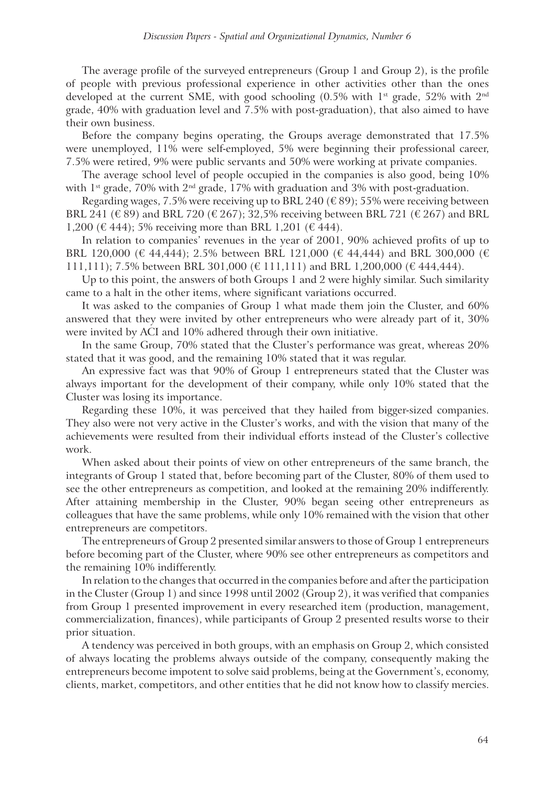The average profile of the surveyed entrepreneurs (Group 1 and Group 2), is the profile of people with previous professional experience in other activities other than the ones developed at the current SME, with good schooling  $(0.5\%$  with  $1<sup>st</sup>$  grade, 52% with  $2<sup>nd</sup>$ grade, 40% with graduation level and 7.5% with post-graduation), that also aimed to have their own business.

Before the company begins operating, the Groups average demonstrated that 17.5% were unemployed, 11% were self-employed, 5% were beginning their professional career, 7.5% were retired, 9% were public servants and 50% were working at private companies.

The average school level of people occupied in the companies is also good, being 10% with  $1<sup>st</sup>$  grade, 70% with  $2<sup>nd</sup>$  grade, 17% with graduation and 3% with post-graduation.

Regarding wages, 7.5% were receiving up to BRL 240 ( $\epsilon$  89); 55% were receiving between BRL 241 (€ 89) and BRL 720 (€ 267); 32,5% receiving between BRL 721 (€ 267) and BRL 1,200 ( $\in$  444); 5% receiving more than BRL 1,201 ( $\in$  444).

In relation to companies' revenues in the year of 2001, 90% achieved profits of up to BRL 120,000 (€ 44,444); 2.5% between BRL 121,000 (€ 44,444) and BRL 300,000 (€ 111,111); 7.5% between BRL 301,000 ( $\in$  111,111) and BRL 1,200,000 ( $\in$  444,444).

Up to this point, the answers of both Groups 1 and 2 were highly similar. Such similarity came to a halt in the other items, where significant variations occurred.

It was asked to the companies of Group 1 what made them join the Cluster, and 60% answered that they were invited by other entrepreneurs who were already part of it, 30% were invited by ACI and 10% adhered through their own initiative.

In the same Group, 70% stated that the Cluster's performance was great, whereas 20% stated that it was good, and the remaining 10% stated that it was regular.

An expressive fact was that 90% of Group 1 entrepreneurs stated that the Cluster was always important for the development of their company, while only 10% stated that the Cluster was losing its importance.

Regarding these 10%, it was perceived that they hailed from bigger-sized companies. They also were not very active in the Cluster's works, and with the vision that many of the achievements were resulted from their individual efforts instead of the Cluster's collective work.

When asked about their points of view on other entrepreneurs of the same branch, the integrants of Group 1 stated that, before becoming part of the Cluster, 80% of them used to see the other entrepreneurs as competition, and looked at the remaining 20% indifferently. After attaining membership in the Cluster, 90% began seeing other entrepreneurs as colleagues that have the same problems, while only 10% remained with the vision that other entrepreneurs are competitors.

The entrepreneurs of Group 2 presented similar answers to those of Group 1 entrepreneurs before becoming part of the Cluster, where 90% see other entrepreneurs as competitors and the remaining 10% indifferently.

In relation to the changes that occurred in the companies before and after the participation in the Cluster (Group 1) and since 1998 until 2002 (Group 2), it was verified that companies from Group 1 presented improvement in every researched item (production, management, commercialization, finances), while participants of Group 2 presented results worse to their prior situation.

A tendency was perceived in both groups, with an emphasis on Group 2, which consisted of always locating the problems always outside of the company, consequently making the entrepreneurs become impotent to solve said problems, being at the Government's, economy, clients, market, competitors, and other entities that he did not know how to classify mercies.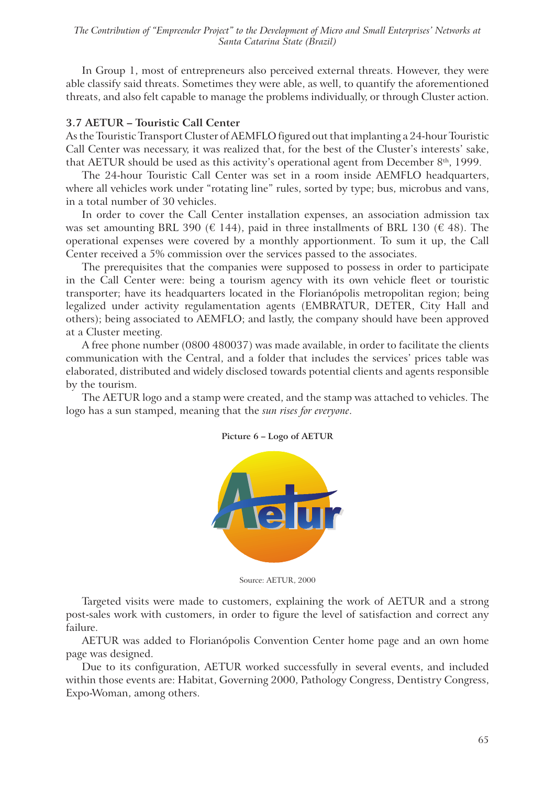*The Contribution of "Empreender Project" to the Development of Micro and Small Enterprises' Networks at Santa Catarina State (Brazil)*

In Group 1, most of entrepreneurs also perceived external threats. However, they were able classify said threats. Sometimes they were able, as well, to quantify the aforementioned threats, and also felt capable to manage the problems individually, or through Cluster action.

#### **3.7 AETUR – Touristic Call Center**

As the Touristic Transport Cluster of AEMFLO figured out that implanting a 24-hour Touristic Call Center was necessary, it was realized that, for the best of the Cluster's interests' sake, that AETUR should be used as this activity's operational agent from December  $8<sup>th</sup>$ , 1999.

The 24-hour Touristic Call Center was set in a room inside AEMFLO headquarters, where all vehicles work under "rotating line" rules, sorted by type; bus, microbus and vans, in a total number of 30 vehicles.

In order to cover the Call Center installation expenses, an association admission tax was set amounting BRL 390 ( $\in$  144), paid in three installments of BRL 130 ( $\in$  48). The operational expenses were covered by a monthly apportionment. To sum it up, the Call Center received a 5% commission over the services passed to the associates.

The prerequisites that the companies were supposed to possess in order to participate in the Call Center were: being a tourism agency with its own vehicle fleet or touristic transporter; have its headquarters located in the Florianópolis metropolitan region; being legalized under activity regulamentation agents (EMBRATUR, DETER, City Hall and others); being associated to AEMFLO; and lastly, the company should have been approved at a Cluster meeting.

A free phone number (0800 480037) was made available, in order to facilitate the clients communication with the Central, and a folder that includes the services' prices table was elaborated, distributed and widely disclosed towards potential clients and agents responsible by the tourism.

The AETUR logo and a stamp were created, and the stamp was attached to vehicles. The logo has a sun stamped, meaning that the *sun rises for everyone*.



#### **Picture 6 – Logo of AETUR**

Source: AETUR, 2000

Targeted visits were made to customers, explaining the work of AETUR and a strong post-sales work with customers, in order to figure the level of satisfaction and correct any failure.

AETUR was added to Florianópolis Convention Center home page and an own home page was designed.

Due to its configuration, AETUR worked successfully in several events, and included within those events are: Habitat, Governing 2000, Pathology Congress, Dentistry Congress, Expo-Woman, among others.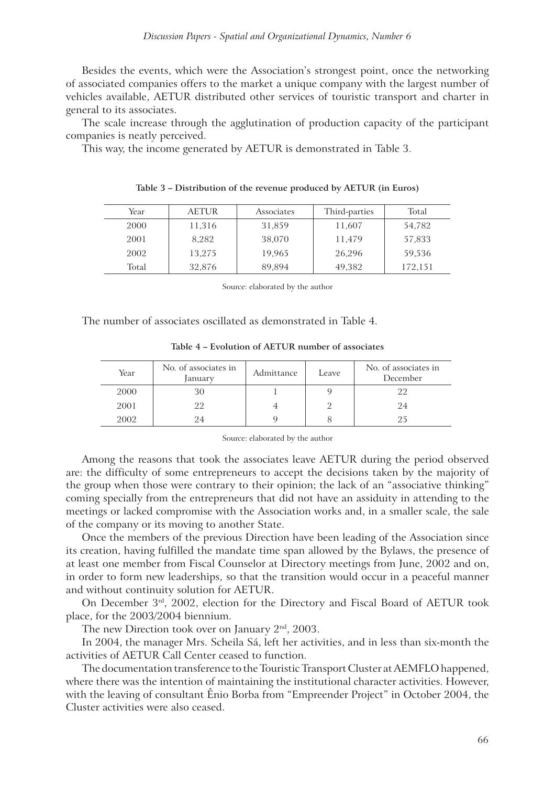Besides the events, which were the Association's strongest point, once the networking of associated companies offers to the market a unique company with the largest number of vehicles available, AETUR distributed other services of touristic transport and charter in general to its associates.

The scale increase through the agglutination of production capacity of the participant companies is neatly perceived.

This way, the income generated by AETUR is demonstrated in Table 3.

| Year  | <b>AETUR</b> | Associates | Third-parties | Total   |
|-------|--------------|------------|---------------|---------|
| 2000  | 11,316       | 31,859     | 11,607        | 54,782  |
| 2001  | 8.282        | 38,070     | 11,479        | 57,833  |
| 2002  | 13.275       | 19.965     | 26,296        | 59,536  |
| Total | 32,876       | 89,894     | 49,382        | 172,151 |

| Table 3 - Distribution of the revenue produced by AETUR (in Euros) |  |  |  |  |
|--------------------------------------------------------------------|--|--|--|--|
|--------------------------------------------------------------------|--|--|--|--|

Source: elaborated by the author

The number of associates oscillated as demonstrated in Table 4.

| Table 4 – Evolution of AETUR number of associates |                                 |            |       |                             |  |
|---------------------------------------------------|---------------------------------|------------|-------|-----------------------------|--|
| ar                                                | No. of associates in<br>January | Admittance | Leave | No. of associat<br>December |  |

| Year | No. of associates in<br>January | Admittance<br>Leave |  | No. of associates in<br>December |  |
|------|---------------------------------|---------------------|--|----------------------------------|--|
| 2000 | 30                              |                     |  | 22                               |  |
| 2001 | 22                              |                     |  | 24                               |  |
| 2002 | 94                              |                     |  | 25                               |  |

Source: elaborated by the author

Among the reasons that took the associates leave AETUR during the period observed are: the difficulty of some entrepreneurs to accept the decisions taken by the majority of the group when those were contrary to their opinion; the lack of an "associative thinking" coming specially from the entrepreneurs that did not have an assiduity in attending to the meetings or lacked compromise with the Association works and, in a smaller scale, the sale of the company or its moving to another State.

Once the members of the previous Direction have been leading of the Association since its creation, having fulfilled the mandate time span allowed by the Bylaws, the presence of at least one member from Fiscal Counselor at Directory meetings from June, 2002 and on, in order to form new leaderships, so that the transition would occur in a peaceful manner and without continuity solution for AETUR.

On December 3rd, 2002, election for the Directory and Fiscal Board of AETUR took place, for the 2003/2004 biennium.

The new Direction took over on January 2<sup>nd</sup>, 2003.

In 2004, the manager Mrs. Scheila Sá, left her activities, and in less than six-month the activities of AETUR Call Center ceased to function.

The documentation transference to the Touristic Transport Cluster at AEMFLO happened, where there was the intention of maintaining the institutional character activities. However, with the leaving of consultant Ênio Borba from "Empreender Project" in October 2004, the Cluster activities were also ceased.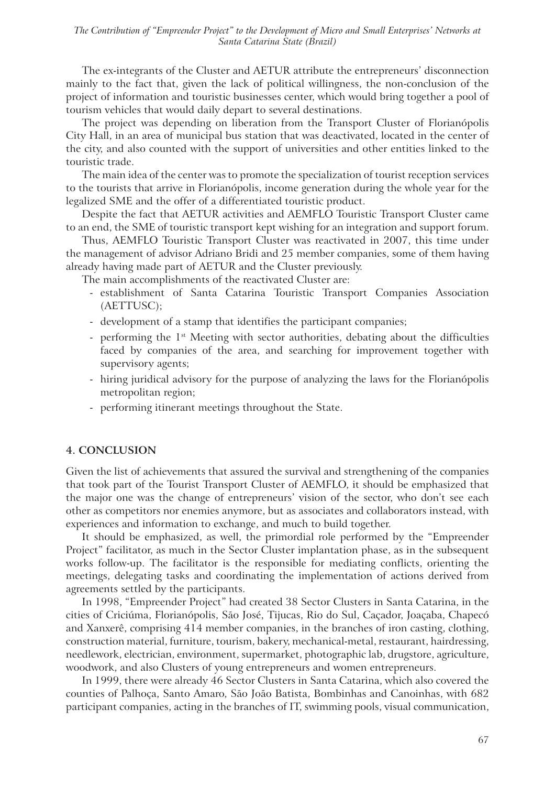The ex-integrants of the Cluster and AETUR attribute the entrepreneurs' disconnection mainly to the fact that, given the lack of political willingness, the non-conclusion of the project of information and touristic businesses center, which would bring together a pool of tourism vehicles that would daily depart to several destinations.

The project was depending on liberation from the Transport Cluster of Florianópolis City Hall, in an area of municipal bus station that was deactivated, located in the center of the city, and also counted with the support of universities and other entities linked to the touristic trade.

The main idea of the center was to promote the specialization of tourist reception services to the tourists that arrive in Florianópolis, income generation during the whole year for the legalized SME and the offer of a differentiated touristic product.

Despite the fact that AETUR activities and AEMFLO Touristic Transport Cluster came to an end, the SME of touristic transport kept wishing for an integration and support forum.

Thus, AEMFLO Touristic Transport Cluster was reactivated in 2007, this time under the management of advisor Adriano Bridi and 25 member companies, some of them having already having made part of AETUR and the Cluster previously.

The main accomplishments of the reactivated Cluster are:

- establishment of Santa Catarina Touristic Transport Companies Association (AETTUSC);
- development of a stamp that identifies the participant companies;
- performing the 1<sup>st</sup> Meeting with sector authorities, debating about the difficulties faced by companies of the area, and searching for improvement together with supervisory agents;
- hiring juridical advisory for the purpose of analyzing the laws for the Florianópolis metropolitan region;
- performing itinerant meetings throughout the State.

#### **4. CONCLUSION**

Given the list of achievements that assured the survival and strengthening of the companies that took part of the Tourist Transport Cluster of AEMFLO, it should be emphasized that the major one was the change of entrepreneurs' vision of the sector, who don't see each other as competitors nor enemies anymore, but as associates and collaborators instead, with experiences and information to exchange, and much to build together.

It should be emphasized, as well, the primordial role performed by the "Empreender Project" facilitator, as much in the Sector Cluster implantation phase, as in the subsequent works follow-up. The facilitator is the responsible for mediating conflicts, orienting the meetings, delegating tasks and coordinating the implementation of actions derived from agreements settled by the participants.

In 1998, "Empreender Project" had created 38 Sector Clusters in Santa Catarina, in the cities of Criciúma, Florianópolis, São José, Tijucas, Rio do Sul, Caçador, Joaçaba, Chapecó and Xanxerê, comprising 414 member companies, in the branches of iron casting, clothing, construction material, furniture, tourism, bakery, mechanical-metal, restaurant, hairdressing, needlework, electrician, environment, supermarket, photographic lab, drugstore, agriculture, woodwork, and also Clusters of young entrepreneurs and women entrepreneurs.

In 1999, there were already 46 Sector Clusters in Santa Catarina, which also covered the counties of Palhoça, Santo Amaro, São João Batista, Bombinhas and Canoinhas, with 682 participant companies, acting in the branches of IT, swimming pools, visual communication,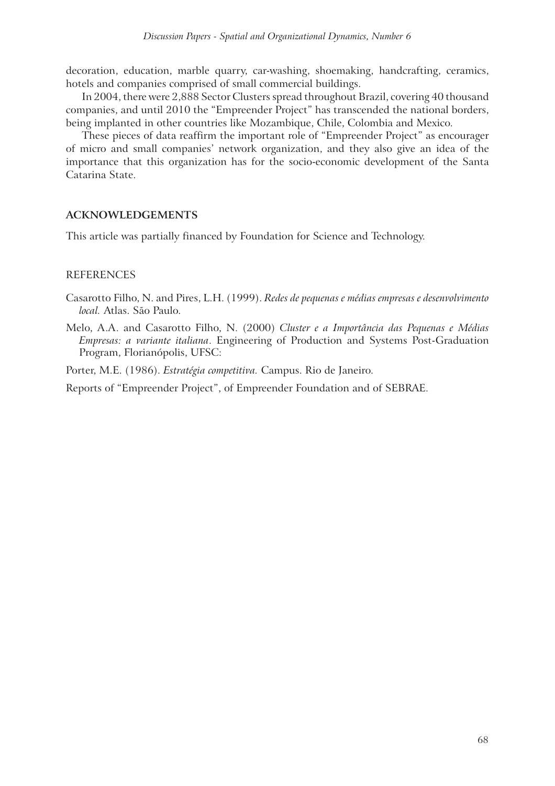decoration, education, marble quarry, car-washing, shoemaking, handcrafting, ceramics, hotels and companies comprised of small commercial buildings.

In 2004, there were 2,888 Sector Clusters spread throughout Brazil, covering 40 thousand companies, and until 2010 the "Empreender Project" has transcended the national borders, being implanted in other countries like Mozambique, Chile, Colombia and Mexico.

These pieces of data reaffirm the important role of "Empreender Project" as encourager of micro and small companies' network organization, and they also give an idea of the importance that this organization has for the socio-economic development of the Santa Catarina State.

# **ACKNOWLEDGEMENTS**

This article was partially financed by Foundation for Science and Technology.

# **REFERENCES**

- Casarotto Filho, N. and Pires, L.H. (1999). *Redes de pequenas e médias empresas e desenvolvimento local.* Atlas. São Paulo.
- Melo, A.A. and Casarotto Filho, N. (2000) *Cluster e a Importância das Pequenas e Médias Empresas: a variante italiana*. Engineering of Production and Systems Post-Graduation Program, Florianópolis, UFSC:

Porter, M.E. (1986). *Estratégia competitiva.* Campus. Rio de Janeiro.

Reports of "Empreender Project", of Empreender Foundation and of SEBRAE.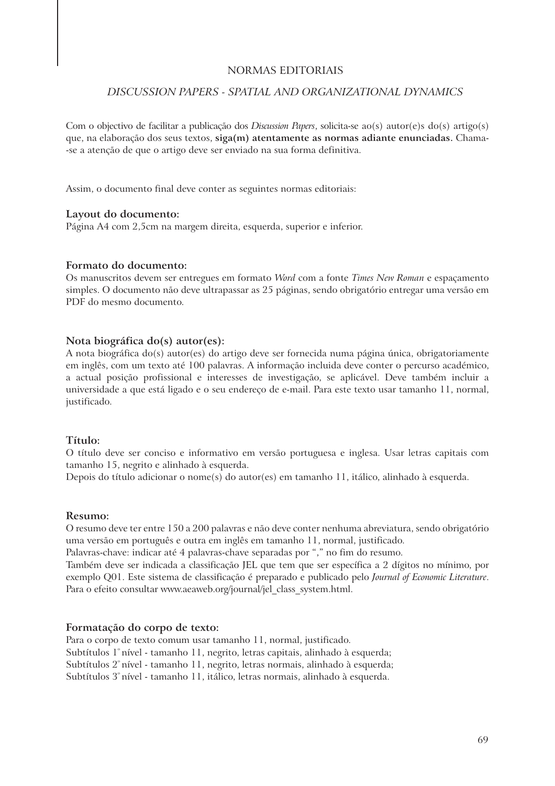#### NORMAS EDITORIAIS

### *DISCUSSION PAPERS - SPATIAL AND ORGANIZATIONAL DYNAMICS*

Com o objectivo de facilitar a publicação dos *Discussion Papers*, solicita-se ao(s) autor(e)s do(s) artigo(s) que, na elaboração dos seus textos, **siga(m) atentamente as normas adiante enunciadas.** Chama- -se a atenção de que o artigo deve ser enviado na sua forma definitiva.

Assim, o documento final deve conter as seguintes normas editoriais:

#### **Layout do documento:**

Página A4 com 2,5cm na margem direita, esquerda, superior e inferior.

#### **Formato do documento:**

Os manuscritos devem ser entregues em formato *Word* com a fonte *Times New Roman* e espaçamento simples. O documento não deve ultrapassar as 25 páginas, sendo obrigatório entregar uma versão em PDF do mesmo documento.

#### **Nota biográfica do(s) autor(es):**

A nota biográfica do(s) autor(es) do artigo deve ser fornecida numa página única, obrigatoriamente em inglês, com um texto até 100 palavras. A informação incluida deve conter o percurso académico, a actual posição profissional e interesses de investigação, se aplicável. Deve também incluir a universidade a que está ligado e o seu endereço de e-mail. Para este texto usar tamanho 11, normal, justificado.

#### **Título:**

O título deve ser conciso e informativo em versão portuguesa e inglesa. Usar letras capitais com tamanho 15, negrito e alinhado à esquerda.

Depois do título adicionar o nome(s) do autor(es) em tamanho 11, itálico, alinhado à esquerda.

#### **Resumo:**

O resumo deve ter entre 150 a 200 palavras e não deve conter nenhuma abreviatura, sendo obrigatório uma versão em português e outra em inglês em tamanho 11, normal, justificado.

Palavras-chave: indicar até 4 palavras-chave separadas por "," no fim do resumo.

Também deve ser indicada a classificação JEL que tem que ser específica a 2 dígitos no mínimo, por exemplo Q01. Este sistema de classificação é preparado e publicado pelo *Journal of Economic Literature*. Para o efeito consultar www.aeaweb.org/journal/jel\_class\_system.html.

#### **Formatação do corpo de texto:**

Para o corpo de texto comum usar tamanho 11, normal, justificado. Subtítulos 1° nível - tamanho 11, negrito, letras capitais, alinhado à esquerda; Subtítulos 2<sup>°</sup> nível - tamanho 11, negrito, letras normais, alinhado à esquerda; Subtítulos 3º nível - tamanho 11, itálico, letras normais, alinhado à esquerda.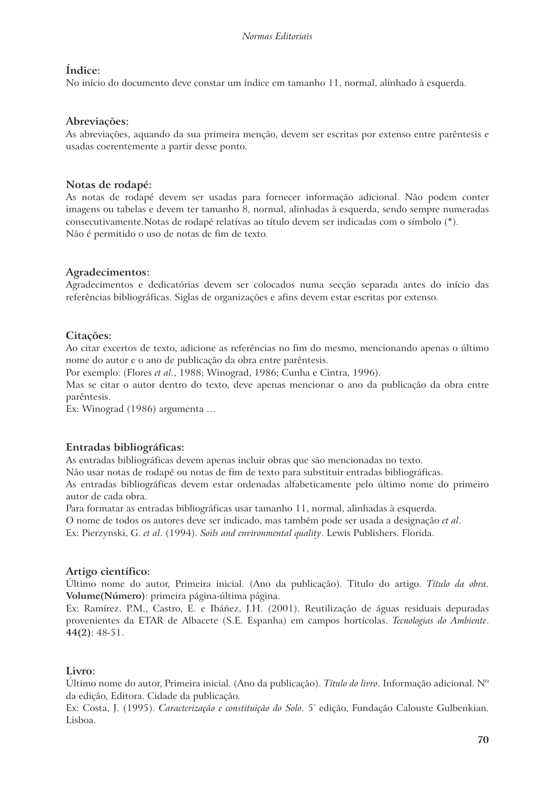# **Índice:**

No início do documento deve constar um índice em tamanho 11, normal, alinhado à esquerda.

# **Abreviações:**

As abreviações, aquando da sua primeira menção, devem ser escritas por extenso entre parêntesis e usadas coerentemente a partir desse ponto.

# **Notas de rodapé:**

As notas de rodapé devem ser usadas para fornecer informação adicional. Não podem conter imagens ou tabelas e devem ter tamanho 8, normal, alinhadas à esquerda, sendo sempre numeradas consecutivamente.Notas de rodapé relativas ao título devem ser indicadas com o símbolo (\*). Não é permitido o uso de notas de fim de texto.

# **Agradecimentos:**

Agradecimentos e dedicatórias devem ser colocados numa secção separada antes do início das referências bibliográficas. Siglas de organizações e afins devem estar escritas por extenso.

# **Citações:**

Ao citar excertos de texto, adicione as referências no fim do mesmo, mencionando apenas o último nome do autor e o ano de publicação da obra entre parêntesis.

Por exemplo: (Flores *et al.*, 1988; Winograd, 1986; Cunha e Cintra, 1996).

Mas se citar o autor dentro do texto, deve apenas mencionar o ano da publicação da obra entre parêntesis.

Ex: Winograd (1986) argumenta …

# **Entradas bibliográficas:**

As entradas bibliográficas devem apenas incluir obras que são mencionadas no texto.

Não usar notas de rodapé ou notas de fim de texto para substituir entradas bibliográficas.

As entradas bibliográficas devem estar ordenadas alfabeticamente pelo último nome do primeiro autor de cada obra.

Para formatar as entradas bibliográficas usar tamanho 11, normal, alinhadas à esquerda.

O nome de todos os autores deve ser indicado, mas também pode ser usada a designação *et al*.

Ex: Pierzynski, G. *et al*. (1994). *Soils and environmental quality*. Lewis Publishers. Florida.

## **Artigo científico:**

Último nome do autor, Primeira inicial. (Ano da publicação). Título do artigo. *Título da obra*. **Volume(Número)**: primeira página-última página.

Ex: Ramírez, P.M., Castro, E. e Ibáñez, J.H. (2001). Reutilização de águas residuais depuradas provenientes da ETAR de Albacete (S.E. Espanha) em campos hortícolas. *Tecnologias do Ambiente*. **44(2)**: 48-51.

# **Livro:**

Último nome do autor, Primeira inicial. (Ano da publicação). *Título do livro*. Informação adicional. Nº da edição, Editora. Cidade da publicação.

Ex: Costa, J. (1995). *Caracterização e constituição do Solo*. 5<sup>ª</sup> edição, Fundação Calouste Gulbenkian. Lisboa.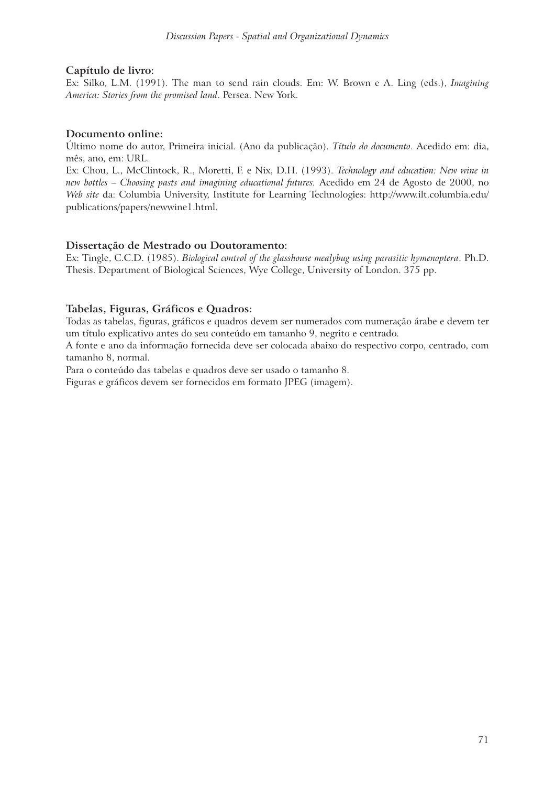## **Capítulo de livro:**

Ex: Silko, L.M. (1991). The man to send rain clouds. Em: W. Brown e A. Ling (eds.), *Imagining America: Stories from the promised land*. Persea. New York.

### **Documento online:**

Último nome do autor, Primeira inicial. (Ano da publicação). *Título do documento*. Acedido em: dia, mês, ano, em: URL.

Ex: Chou, L., McClintock, R., Moretti, F. e Nix, D.H. (1993). *Technology and education: New wine in new bottles – Choosing pasts and imagining educational futures.* Acedido em 24 de Agosto de 2000, no *Web site* da: Columbia University, Institute for Learning Technologies: http://www.ilt.columbia.edu/ publications/papers/newwine1.html.

### **Dissertação de Mestrado ou Doutoramento:**

Ex: Tingle, C.C.D. (1985). *Biological control of the glasshouse mealybug using parasitic hymenoptera*. Ph.D. Thesis. Department of Biological Sciences, Wye College, University of London. 375 pp.

## **Tabelas, Figuras, Gráficos e Quadros:**

Todas as tabelas, figuras, gráficos e quadros devem ser numerados com numeração árabe e devem ter um título explicativo antes do seu conteúdo em tamanho 9, negrito e centrado.

A fonte e ano da informação fornecida deve ser colocada abaixo do respectivo corpo, centrado, com tamanho 8, normal.

Para o conteúdo das tabelas e quadros deve ser usado o tamanho 8.

Figuras e gráficos devem ser fornecidos em formato JPEG (imagem).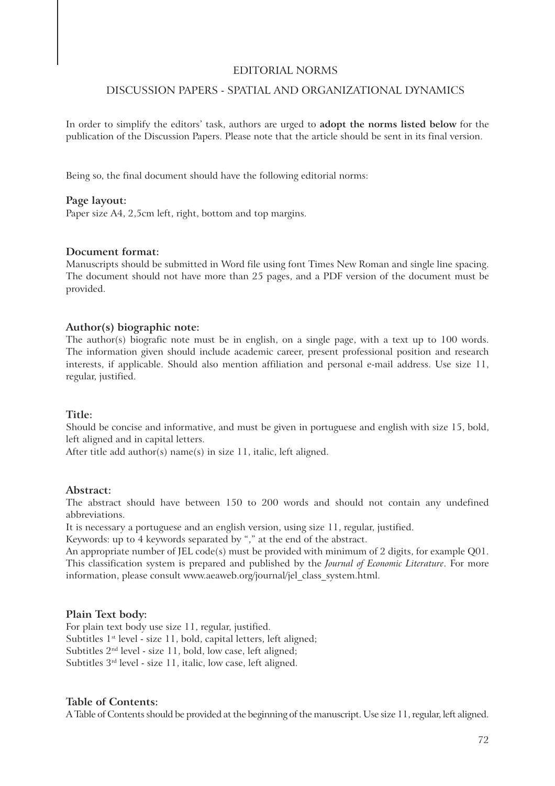#### EDITORIAL NORMS

## DISCUSSION PAPERS - SPATIAL AND ORGANIZATIONAL DYNAMICS

In order to simplify the editors' task, authors are urged to **adopt the norms listed below** for the publication of the Discussion Papers. Please note that the article should be sent in its final version.

Being so, the final document should have the following editorial norms:

#### **Page layout:**

Paper size A4, 2,5cm left, right, bottom and top margins.

#### **Document format:**

Manuscripts should be submitted in Word file using font Times New Roman and single line spacing. The document should not have more than 25 pages, and a PDF version of the document must be provided.

#### **Author(s) biographic note:**

The author(s) biografic note must be in english, on a single page, with a text up to 100 words. The information given should include academic career, present professional position and research interests, if applicable. Should also mention affiliation and personal e-mail address. Use size 11, regular, justified.

#### **Title:**

Should be concise and informative, and must be given in portuguese and english with size 15, bold, left aligned and in capital letters.

After title add author(s) name(s) in size 11, italic, left aligned.

#### **Abstract:**

The abstract should have between 150 to 200 words and should not contain any undefined abbreviations.

It is necessary a portuguese and an english version, using size 11, regular, justified.

Keywords: up to 4 keywords separated by "," at the end of the abstract.

An appropriate number of JEL code(s) must be provided with minimum of 2 digits, for example Q01. This classification system is prepared and published by the *Journal of Economic Literature*. For more information, please consult www.aeaweb.org/journal/jel\_class\_system.html.

#### **Plain Text body:**

For plain text body use size 11, regular, justified. Subtitles 1<sup>st</sup> level - size 11, bold, capital letters, left aligned; Subtitles  $2<sup>nd</sup>$  level - size 11, bold, low case, left aligned; Subtitles 3rd level - size 11, italic, low case, left aligned.

#### **Table of Contents:**

A Table of Contents should be provided at the beginning of the manuscript. Use size 11, regular, left aligned.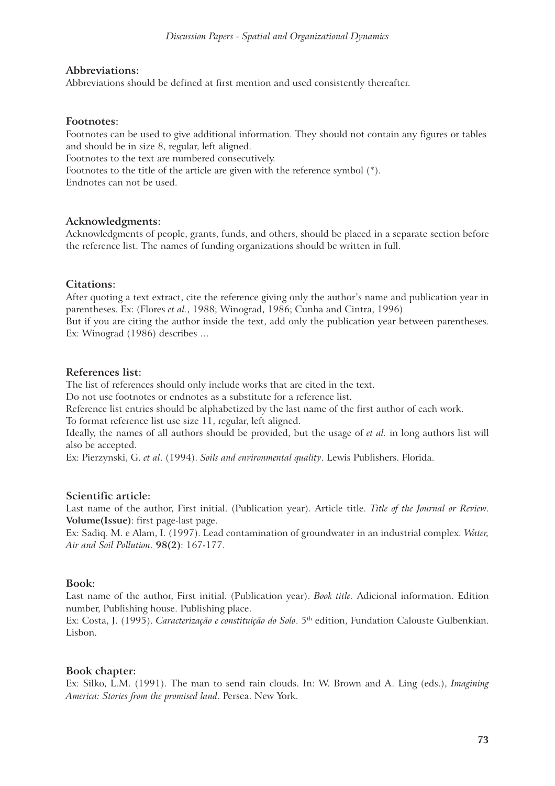### **Abbreviations:**

Abbreviations should be defined at first mention and used consistently thereafter.

#### **Footnotes:**

Footnotes can be used to give additional information. They should not contain any figures or tables and should be in size 8, regular, left aligned. Footnotes to the text are numbered consecutively.

Footnotes to the title of the article are given with the reference symbol (\*).

Endnotes can not be used.

### **Acknowledgments:**

Acknowledgments of people, grants, funds, and others, should be placed in a separate section before the reference list. The names of funding organizations should be written in full.

### **Citations:**

After quoting a text extract, cite the reference giving only the author's name and publication year in parentheses. Ex: (Flores *et al.*, 1988; Winograd, 1986; Cunha and Cintra, 1996)

But if you are citing the author inside the text, add only the publication year between parentheses. Ex: Winograd (1986) describes …

### **References list:**

The list of references should only include works that are cited in the text.

Do not use footnotes or endnotes as a substitute for a reference list.

Reference list entries should be alphabetized by the last name of the first author of each work. To format reference list use size 11, regular, left aligned.

Ideally, the names of all authors should be provided, but the usage of *et al.* in long authors list will also be accepted.

Ex: Pierzynski, G. *et al*. (1994). *Soils and environmental quality*. Lewis Publishers. Florida.

## **Scientific article:**

Last name of the author, First initial. (Publication year). Article title. *Title of the Journal or Review*. **Volume(Issue)**: first page-last page.

Ex: Sadiq. M. e Alam, I. (1997). Lead contamination of groundwater in an industrial complex. *Water, Air and Soil Pollution*. **98(2)**: 167-177.

## **Book:**

Last name of the author, First initial. (Publication year). *Book title.* Adicional information. Edition number, Publishing house. Publishing place.

Ex: Costa, J. (1995). *Caracterização e constituição do Solo*. 5th edition, Fundation Calouste Gulbenkian. Lisbon.

## **Book chapter:**

Ex: Silko, L.M. (1991). The man to send rain clouds. In: W. Brown and A. Ling (eds.), *Imagining America: Stories from the promised land*. Persea. New York.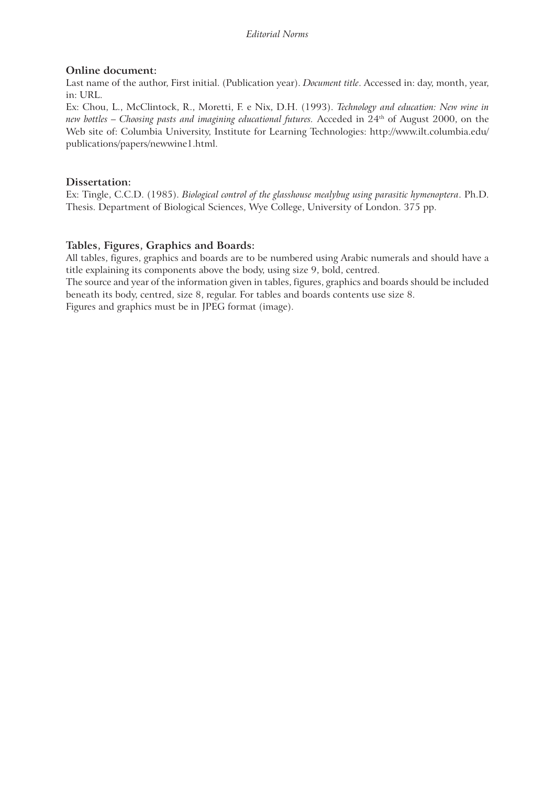# **Online document:**

Last name of the author, First initial. (Publication year). *Document title*. Accessed in: day, month, year, in: URL.

Ex: Chou, L., McClintock, R., Moretti, F. e Nix, D.H. (1993). *Technology and education: New wine in new bottles – Choosing pasts and imagining educational futures.* Acceded in 24th of August 2000, on the Web site of: Columbia University, Institute for Learning Technologies: http://www.ilt.columbia.edu/ publications/papers/newwine1.html.

# **Dissertation:**

Ex: Tingle, C.C.D. (1985). *Biological control of the glasshouse mealybug using parasitic hymenoptera*. Ph.D. Thesis. Department of Biological Sciences, Wye College, University of London. 375 pp.

# **Tables, Figures, Graphics and Boards:**

All tables, figures, graphics and boards are to be numbered using Arabic numerals and should have a title explaining its components above the body, using size 9, bold, centred.

The source and year of the information given in tables, figures, graphics and boards should be included beneath its body, centred, size 8, regular. For tables and boards contents use size 8.

Figures and graphics must be in JPEG format (image).